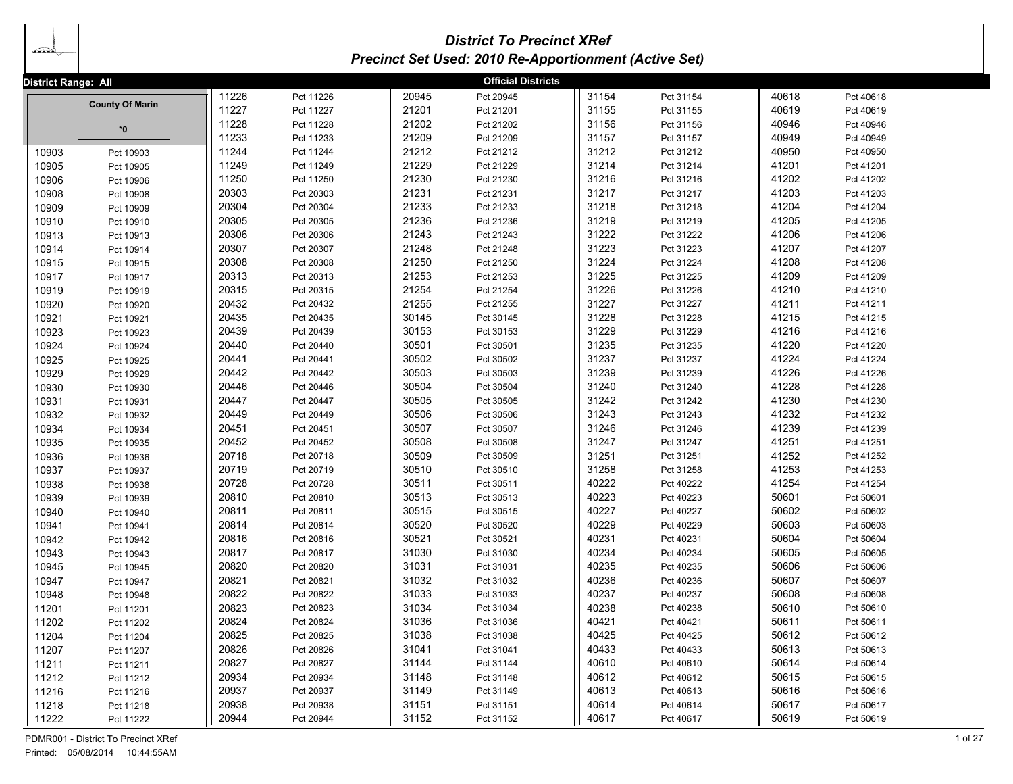| ada                 | <b>District To Precinct XRef</b><br><b>Precinct Set Used: 2010 Re-Apportionment (Active Set)</b> |       |           |       |                           |       |           |       |           |  |  |
|---------------------|--------------------------------------------------------------------------------------------------|-------|-----------|-------|---------------------------|-------|-----------|-------|-----------|--|--|
| District Range: All |                                                                                                  |       |           |       | <b>Official Districts</b> |       |           |       |           |  |  |
|                     |                                                                                                  | 11226 | Pct 11226 | 20945 | Pct 20945                 | 31154 | Pct 31154 | 40618 | Pct 40618 |  |  |
|                     | <b>County Of Marin</b>                                                                           | 11227 | Pct 11227 | 21201 | Pct 21201                 | 31155 | Pct 31155 | 40619 | Pct 40619 |  |  |
|                     | *0                                                                                               | 11228 | Pct 11228 | 21202 | Pct 21202                 | 31156 | Pct 31156 | 40946 | Pct 40946 |  |  |
|                     |                                                                                                  | 11233 | Pct 11233 | 21209 | Pct 21209                 | 31157 | Pct 31157 | 40949 | Pct 40949 |  |  |
| 10903               | Pct 10903                                                                                        | 11244 | Pct 11244 | 21212 | Pct 21212                 | 31212 | Pct 31212 | 40950 | Pct 40950 |  |  |
| 10905               | Pct 10905                                                                                        | 11249 | Pct 11249 | 21229 | Pct 21229                 | 31214 | Pct 31214 | 41201 | Pct 41201 |  |  |
| 10906               | Pct 10906                                                                                        | 11250 | Pct 11250 | 21230 | Pct 21230                 | 31216 | Pct 31216 | 41202 | Pct 41202 |  |  |
| 10908               | Pct 10908                                                                                        | 20303 | Pct 20303 | 21231 | Pct 21231                 | 31217 | Pct 31217 | 41203 | Pct 41203 |  |  |
| 10909               | Pct 10909                                                                                        | 20304 | Pct 20304 | 21233 | Pct 21233                 | 31218 | Pct 31218 | 41204 | Pct 41204 |  |  |
| 10910               | Pct 10910                                                                                        | 20305 | Pct 20305 | 21236 | Pct 21236                 | 31219 | Pct 31219 | 41205 | Pct 41205 |  |  |
| 10913               | Pct 10913                                                                                        | 20306 | Pct 20306 | 21243 | Pct 21243                 | 31222 | Pct 31222 | 41206 | Pct 41206 |  |  |
| 10914               | Pct 10914                                                                                        | 20307 | Pct 20307 | 21248 | Pct 21248                 | 31223 | Pct 31223 | 41207 | Pct 41207 |  |  |
| 10915               | Pct 10915                                                                                        | 20308 | Pct 20308 | 21250 | Pct 21250                 | 31224 | Pct 31224 | 41208 | Pct 41208 |  |  |
| 10917               | Pct 10917                                                                                        | 20313 | Pct 20313 | 21253 | Pct 21253                 | 31225 | Pct 31225 | 41209 | Pct 41209 |  |  |
| 10919               | Pct 10919                                                                                        | 20315 | Pct 20315 | 21254 | Pct 21254                 | 31226 | Pct 31226 | 41210 | Pct 41210 |  |  |
| 10920               | Pct 10920                                                                                        | 20432 | Pct 20432 | 21255 | Pct 21255                 | 31227 | Pct 31227 | 41211 | Pct 41211 |  |  |
| 10921               | Pct 10921                                                                                        | 20435 | Pct 20435 | 30145 | Pct 30145                 | 31228 | Pct 31228 | 41215 | Pct 41215 |  |  |
| 10923               | Pct 10923                                                                                        | 20439 | Pct 20439 | 30153 | Pct 30153                 | 31229 | Pct 31229 | 41216 | Pct 41216 |  |  |
| 10924               | Pct 10924                                                                                        | 20440 | Pct 20440 | 30501 | Pct 30501                 | 31235 | Pct 31235 | 41220 | Pct 41220 |  |  |
| 10925               | Pct 10925                                                                                        | 20441 | Pct 20441 | 30502 | Pct 30502                 | 31237 | Pct 31237 | 41224 | Pct 41224 |  |  |
| 10929               | Pct 10929                                                                                        | 20442 | Pct 20442 | 30503 | Pct 30503                 | 31239 | Pct 31239 | 41226 | Pct 41226 |  |  |
| 10930               | Pct 10930                                                                                        | 20446 | Pct 20446 | 30504 | Pct 30504                 | 31240 | Pct 31240 | 41228 | Pct 41228 |  |  |
| 10931               | Pct 10931                                                                                        | 20447 | Pct 20447 | 30505 | Pct 30505                 | 31242 | Pct 31242 | 41230 | Pct 41230 |  |  |
| 10932               | Pct 10932                                                                                        | 20449 | Pct 20449 | 30506 | Pct 30506                 | 31243 | Pct 31243 | 41232 | Pct 41232 |  |  |
| 10934               | Pct 10934                                                                                        | 20451 | Pct 20451 | 30507 | Pct 30507                 | 31246 | Pct 31246 | 41239 | Pct 41239 |  |  |
| 10935               | Pct 10935                                                                                        | 20452 | Pct 20452 | 30508 | Pct 30508                 | 31247 | Pct 31247 | 41251 | Pct 41251 |  |  |
| 10936               | Pct 10936                                                                                        | 20718 | Pct 20718 | 30509 | Pct 30509                 | 31251 | Pct 31251 | 41252 | Pct 41252 |  |  |
| 10937               | Pct 10937                                                                                        | 20719 | Pct 20719 | 30510 | Pct 30510                 | 31258 | Pct 31258 | 41253 | Pct 41253 |  |  |
| 10938               | Pct 10938                                                                                        | 20728 | Pct 20728 | 30511 | Pct 30511                 | 40222 | Pct 40222 | 41254 | Pct 41254 |  |  |
| 10939               | Pct 10939                                                                                        | 20810 | Pct 20810 | 30513 | Pct 30513                 | 40223 | Pct 40223 | 50601 | Pct 50601 |  |  |
| 10940               | Pct 10940                                                                                        | 20811 | Pct 20811 | 30515 | Pct 30515                 | 40227 | Pct 40227 | 50602 | Pct 50602 |  |  |
| 10941               | Pct 10941                                                                                        | 20814 | Pct 20814 | 30520 | Pct 30520                 | 40229 | Pct 40229 | 50603 | Pct 50603 |  |  |
| 10942               | Pct 10942                                                                                        | 20816 | Pct 20816 | 30521 | Pct 30521                 | 40231 | Pct 40231 | 50604 | Pct 50604 |  |  |
| 10943               | Pct 10943                                                                                        | 20817 | Pct 20817 | 31030 | Pct 31030                 | 40234 | Pct 40234 | 50605 | Pct 50605 |  |  |
| 10945               | Pct 10945                                                                                        | 20820 | Pct 20820 | 31031 | Pct 31031                 | 40235 | Pct 40235 | 50606 | Pct 50606 |  |  |
| 10947               | Pct 10947                                                                                        | 20821 | Pct 20821 | 31032 | Pct 31032                 | 40236 | Pct 40236 | 50607 | Pct 50607 |  |  |
| 10948               | Pct 10948                                                                                        | 20822 | Pct 20822 | 31033 | Pct 31033                 | 40237 | Pct 40237 | 50608 | Pct 50608 |  |  |
| 11201               | Pct 11201                                                                                        | 20823 | Pct 20823 | 31034 | Pct 31034                 | 40238 | Pct 40238 | 50610 | Pct 50610 |  |  |
| 11202               | Pct 11202                                                                                        | 20824 | Pct 20824 | 31036 | Pct 31036                 | 40421 | Pct 40421 | 50611 | Pct 50611 |  |  |
| 11204               | Pct 11204                                                                                        | 20825 | Pct 20825 | 31038 | Pct 31038                 | 40425 | Pct 40425 | 50612 | Pct 50612 |  |  |
| 11207               | Pct 11207                                                                                        | 20826 | Pct 20826 | 31041 | Pct 31041                 | 40433 | Pct 40433 | 50613 | Pct 50613 |  |  |
| 11211               | Pct 11211                                                                                        | 20827 | Pct 20827 | 31144 | Pct 31144                 | 40610 | Pct 40610 | 50614 | Pct 50614 |  |  |
| 11212               | Pct 11212                                                                                        | 20934 | Pct 20934 | 31148 | Pct 31148                 | 40612 | Pct 40612 | 50615 | Pct 50615 |  |  |
| 11216               | Pct 11216                                                                                        | 20937 | Pct 20937 | 31149 | Pct 31149                 | 40613 | Pct 40613 | 50616 | Pct 50616 |  |  |
| 11218               | Pct 11218                                                                                        | 20938 | Pct 20938 | 31151 | Pct 31151                 | 40614 | Pct 40614 | 50617 | Pct 50617 |  |  |
| 11222               | Pct 11222                                                                                        | 20944 | Pct 20944 | 31152 | Pct 31152                 | 40617 | Pct 40617 | 50619 | Pct 50619 |  |  |

PDMR001 - District To Precinct XRef 1 of 27 Printed: 05/08/2014 10:44:55AM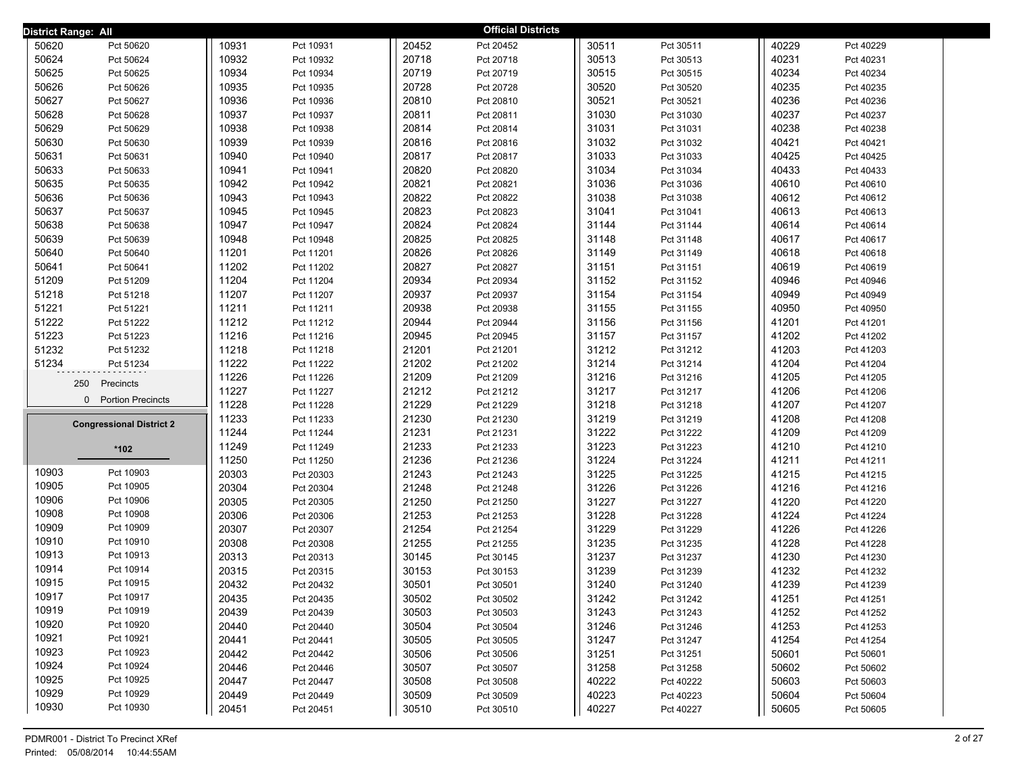| District Range: All             |       |           |       | <b>Official Districts</b> |       |           |       |           |  |
|---------------------------------|-------|-----------|-------|---------------------------|-------|-----------|-------|-----------|--|
| 50620<br>Pct 50620              | 10931 | Pct 10931 | 20452 | Pct 20452                 | 30511 | Pct 30511 | 40229 | Pct 40229 |  |
| 50624<br>Pct 50624              | 10932 | Pct 10932 | 20718 | Pct 20718                 | 30513 | Pct 30513 | 40231 | Pct 40231 |  |
| 50625<br>Pct 50625              | 10934 | Pct 10934 | 20719 | Pct 20719                 | 30515 | Pct 30515 | 40234 | Pct 40234 |  |
| 50626<br>Pct 50626              | 10935 | Pct 10935 | 20728 | Pct 20728                 | 30520 | Pct 30520 | 40235 | Pct 40235 |  |
| 50627<br>Pct 50627              | 10936 | Pct 10936 | 20810 | Pct 20810                 | 30521 | Pct 30521 | 40236 | Pct 40236 |  |
| 50628<br>Pct 50628              | 10937 | Pct 10937 | 20811 | Pct 20811                 | 31030 | Pct 31030 | 40237 | Pct 40237 |  |
| 50629<br>Pct 50629              | 10938 | Pct 10938 | 20814 | Pct 20814                 | 31031 | Pct 31031 | 40238 | Pct 40238 |  |
| 50630<br>Pct 50630              | 10939 | Pct 10939 | 20816 | Pct 20816                 | 31032 | Pct 31032 | 40421 | Pct 40421 |  |
| 50631<br>Pct 50631              | 10940 | Pct 10940 | 20817 | Pct 20817                 | 31033 | Pct 31033 | 40425 | Pct 40425 |  |
| 50633<br>Pct 50633              | 10941 | Pct 10941 | 20820 | Pct 20820                 | 31034 | Pct 31034 | 40433 | Pct 40433 |  |
| 50635<br>Pct 50635              | 10942 | Pct 10942 | 20821 | Pct 20821                 | 31036 | Pct 31036 | 40610 | Pct 40610 |  |
| 50636<br>Pct 50636              | 10943 | Pct 10943 | 20822 | Pct 20822                 | 31038 | Pct 31038 | 40612 | Pct 40612 |  |
| 50637<br>Pct 50637              | 10945 | Pct 10945 | 20823 | Pct 20823                 | 31041 | Pct 31041 | 40613 | Pct 40613 |  |
| 50638<br>Pct 50638              | 10947 | Pct 10947 | 20824 | Pct 20824                 | 31144 | Pct 31144 | 40614 | Pct 40614 |  |
| 50639<br>Pct 50639              | 10948 | Pct 10948 | 20825 | Pct 20825                 | 31148 | Pct 31148 | 40617 | Pct 40617 |  |
| 50640<br>Pct 50640              | 11201 | Pct 11201 | 20826 | Pct 20826                 | 31149 | Pct 31149 | 40618 | Pct 40618 |  |
| 50641<br>Pct 50641              | 11202 | Pct 11202 | 20827 | Pct 20827                 | 31151 | Pct 31151 | 40619 | Pct 40619 |  |
| 51209<br>Pct 51209              | 11204 | Pct 11204 | 20934 | Pct 20934                 | 31152 | Pct 31152 | 40946 | Pct 40946 |  |
| 51218<br>Pct 51218              | 11207 | Pct 11207 | 20937 | Pct 20937                 | 31154 | Pct 31154 | 40949 | Pct 40949 |  |
| 51221<br>Pct 51221              | 11211 | Pct 11211 | 20938 | Pct 20938                 | 31155 | Pct 31155 | 40950 | Pct 40950 |  |
| 51222<br>Pct 51222              | 11212 | Pct 11212 | 20944 | Pct 20944                 | 31156 | Pct 31156 | 41201 | Pct 41201 |  |
| 51223<br>Pct 51223              | 11216 | Pct 11216 | 20945 | Pct 20945                 | 31157 | Pct 31157 | 41202 | Pct 41202 |  |
| 51232<br>Pct 51232              | 11218 | Pct 11218 | 21201 | Pct 21201                 | 31212 | Pct 31212 | 41203 | Pct 41203 |  |
| 51234<br>Pct 51234              | 11222 | Pct 11222 | 21202 | Pct 21202                 | 31214 | Pct 31214 | 41204 | Pct 41204 |  |
| 250<br>Precincts                | 11226 | Pct 11226 | 21209 | Pct 21209                 | 31216 | Pct 31216 | 41205 | Pct 41205 |  |
| 0 Portion Precincts             | 11227 | Pct 11227 | 21212 | Pct 21212                 | 31217 | Pct 31217 | 41206 | Pct 41206 |  |
|                                 | 11228 | Pct 11228 | 21229 | Pct 21229                 | 31218 | Pct 31218 | 41207 | Pct 41207 |  |
| <b>Congressional District 2</b> | 11233 | Pct 11233 | 21230 | Pct 21230                 | 31219 | Pct 31219 | 41208 | Pct 41208 |  |
|                                 | 11244 | Pct 11244 | 21231 | Pct 21231                 | 31222 | Pct 31222 | 41209 | Pct 41209 |  |
| *102                            | 11249 | Pct 11249 | 21233 | Pct 21233                 | 31223 | Pct 31223 | 41210 | Pct 41210 |  |
|                                 | 11250 | Pct 11250 | 21236 | Pct 21236                 | 31224 | Pct 31224 | 41211 | Pct 41211 |  |
| 10903<br>Pct 10903              | 20303 | Pct 20303 | 21243 | Pct 21243                 | 31225 | Pct 31225 | 41215 | Pct 41215 |  |
| 10905<br>Pct 10905              | 20304 | Pct 20304 | 21248 | Pct 21248                 | 31226 | Pct 31226 | 41216 | Pct 41216 |  |
| 10906<br>Pct 10906              | 20305 | Pct 20305 | 21250 | Pct 21250                 | 31227 | Pct 31227 | 41220 | Pct 41220 |  |
| 10908<br>Pct 10908              | 20306 | Pct 20306 | 21253 | Pct 21253                 | 31228 | Pct 31228 | 41224 | Pct 41224 |  |
| 10909<br>Pct 10909<br>Pct 10910 | 20307 | Pct 20307 | 21254 | Pct 21254                 | 31229 | Pct 31229 | 41226 | Pct 41226 |  |
| 10910<br>10913<br>Pct 10913     | 20308 | Pct 20308 | 21255 | Pct 21255                 | 31235 | Pct 31235 | 41228 | Pct 41228 |  |
| 10914<br>Pct 10914              | 20313 | Pct 20313 | 30145 | Pct 30145                 | 31237 | Pct 31237 | 41230 | Pct 41230 |  |
| 10915<br>Pct 10915              | 20315 | Pct 20315 | 30153 | Pct 30153                 | 31239 | Pct 31239 | 41232 | Pct 41232 |  |
| 10917                           | 20432 | Pct 20432 | 30501 | Pct 30501                 | 31240 | Pct 31240 | 41239 | Pct 41239 |  |
| Pct 10917<br>10919<br>Pct 10919 | 20435 | Pct 20435 | 30502 | Pct 30502                 | 31242 | Pct 31242 | 41251 | Pct 41251 |  |
| 10920<br>Pct 10920              | 20439 | Pct 20439 | 30503 | Pct 30503                 | 31243 | Pct 31243 | 41252 | Pct 41252 |  |
| 10921<br>Pct 10921              | 20440 | Pct 20440 | 30504 | Pct 30504                 | 31246 | Pct 31246 | 41253 | Pct 41253 |  |
| 10923<br>Pct 10923              | 20441 | Pct 20441 | 30505 | Pct 30505                 | 31247 | Pct 31247 | 41254 | Pct 41254 |  |
| 10924<br>Pct 10924              | 20442 | Pct 20442 | 30506 | Pct 30506                 | 31251 | Pct 31251 | 50601 | Pct 50601 |  |
| 10925<br>Pct 10925              | 20446 | Pct 20446 | 30507 | Pct 30507                 | 31258 | Pct 31258 | 50602 | Pct 50602 |  |
| 10929<br>Pct 10929              | 20447 | Pct 20447 | 30508 | Pct 30508                 | 40222 | Pct 40222 | 50603 | Pct 50603 |  |
|                                 | 20449 | Pct 20449 | 30509 | Pct 30509                 | 40223 | Pct 40223 | 50604 | Pct 50604 |  |
| 10930<br>Pct 10930              | 20451 | Pct 20451 | 30510 | Pct 30510                 | 40227 | Pct 40227 | 50605 | Pct 50605 |  |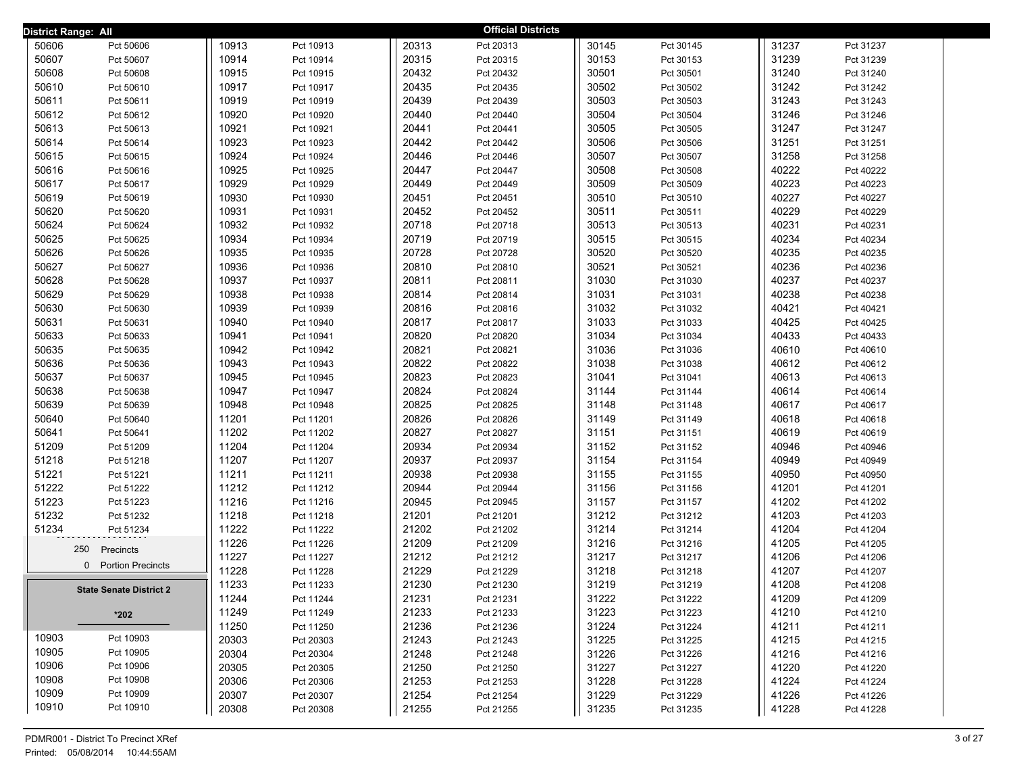| District Range: All |                                |       |           |       | <b>Official Districts</b> |       |           |       |           |  |
|---------------------|--------------------------------|-------|-----------|-------|---------------------------|-------|-----------|-------|-----------|--|
| 50606               | Pct 50606                      | 10913 | Pct 10913 | 20313 | Pct 20313                 | 30145 | Pct 30145 | 31237 | Pct 31237 |  |
| 50607               | Pct 50607                      | 10914 | Pct 10914 | 20315 | Pct 20315                 | 30153 | Pct 30153 | 31239 | Pct 31239 |  |
| 50608               | Pct 50608                      | 10915 | Pct 10915 | 20432 | Pct 20432                 | 30501 | Pct 30501 | 31240 | Pct 31240 |  |
| 50610               | Pct 50610                      | 10917 | Pct 10917 | 20435 | Pct 20435                 | 30502 | Pct 30502 | 31242 | Pct 31242 |  |
| 50611               | Pct 50611                      | 10919 | Pct 10919 | 20439 | Pct 20439                 | 30503 | Pct 30503 | 31243 | Pct 31243 |  |
| 50612               | Pct 50612                      | 10920 | Pct 10920 | 20440 | Pct 20440                 | 30504 | Pct 30504 | 31246 | Pct 31246 |  |
| 50613               | Pct 50613                      | 10921 | Pct 10921 | 20441 | Pct 20441                 | 30505 | Pct 30505 | 31247 | Pct 31247 |  |
| 50614               | Pct 50614                      | 10923 | Pct 10923 | 20442 | Pct 20442                 | 30506 | Pct 30506 | 31251 | Pct 31251 |  |
| 50615               | Pct 50615                      | 10924 | Pct 10924 | 20446 | Pct 20446                 | 30507 | Pct 30507 | 31258 | Pct 31258 |  |
| 50616               | Pct 50616                      | 10925 | Pct 10925 | 20447 | Pct 20447                 | 30508 | Pct 30508 | 40222 | Pct 40222 |  |
| 50617               | Pct 50617                      | 10929 | Pct 10929 | 20449 | Pct 20449                 | 30509 | Pct 30509 | 40223 | Pct 40223 |  |
| 50619               | Pct 50619                      | 10930 | Pct 10930 | 20451 | Pct 20451                 | 30510 | Pct 30510 | 40227 | Pct 40227 |  |
| 50620               | Pct 50620                      | 10931 | Pct 10931 | 20452 | Pct 20452                 | 30511 | Pct 30511 | 40229 | Pct 40229 |  |
| 50624               | Pct 50624                      | 10932 | Pct 10932 | 20718 | Pct 20718                 | 30513 | Pct 30513 | 40231 | Pct 40231 |  |
| 50625               | Pct 50625                      | 10934 | Pct 10934 | 20719 | Pct 20719                 | 30515 | Pct 30515 | 40234 | Pct 40234 |  |
| 50626               | Pct 50626                      | 10935 | Pct 10935 | 20728 | Pct 20728                 | 30520 | Pct 30520 | 40235 | Pct 40235 |  |
| 50627               | Pct 50627                      | 10936 | Pct 10936 | 20810 | Pct 20810                 | 30521 | Pct 30521 | 40236 | Pct 40236 |  |
| 50628               | Pct 50628                      | 10937 | Pct 10937 | 20811 | Pct 20811                 | 31030 | Pct 31030 | 40237 | Pct 40237 |  |
| 50629               | Pct 50629                      | 10938 | Pct 10938 | 20814 | Pct 20814                 | 31031 | Pct 31031 | 40238 | Pct 40238 |  |
| 50630               | Pct 50630                      | 10939 | Pct 10939 | 20816 | Pct 20816                 | 31032 | Pct 31032 | 40421 | Pct 40421 |  |
| 50631               | Pct 50631                      | 10940 | Pct 10940 | 20817 | Pct 20817                 | 31033 | Pct 31033 | 40425 | Pct 40425 |  |
| 50633               | Pct 50633                      | 10941 | Pct 10941 | 20820 | Pct 20820                 | 31034 | Pct 31034 | 40433 | Pct 40433 |  |
| 50635               | Pct 50635                      | 10942 | Pct 10942 | 20821 | Pct 20821                 | 31036 | Pct 31036 | 40610 | Pct 40610 |  |
| 50636               | Pct 50636                      | 10943 | Pct 10943 | 20822 | Pct 20822                 | 31038 | Pct 31038 | 40612 | Pct 40612 |  |
| 50637               | Pct 50637                      | 10945 | Pct 10945 | 20823 | Pct 20823                 | 31041 | Pct 31041 | 40613 | Pct 40613 |  |
| 50638               | Pct 50638                      | 10947 | Pct 10947 | 20824 | Pct 20824                 | 31144 | Pct 31144 | 40614 | Pct 40614 |  |
| 50639               | Pct 50639                      | 10948 | Pct 10948 | 20825 | Pct 20825                 | 31148 | Pct 31148 | 40617 | Pct 40617 |  |
| 50640               | Pct 50640                      | 11201 | Pct 11201 | 20826 | Pct 20826                 | 31149 | Pct 31149 | 40618 | Pct 40618 |  |
| 50641               | Pct 50641                      | 11202 | Pct 11202 | 20827 | Pct 20827                 | 31151 | Pct 31151 | 40619 | Pct 40619 |  |
| 51209               | Pct 51209                      | 11204 | Pct 11204 | 20934 | Pct 20934                 | 31152 | Pct 31152 | 40946 | Pct 40946 |  |
| 51218               | Pct 51218                      | 11207 | Pct 11207 | 20937 | Pct 20937                 | 31154 | Pct 31154 | 40949 | Pct 40949 |  |
| 51221               | Pct 51221                      | 11211 | Pct 11211 | 20938 | Pct 20938                 | 31155 | Pct 31155 | 40950 | Pct 40950 |  |
| 51222               | Pct 51222                      | 11212 | Pct 11212 | 20944 | Pct 20944                 | 31156 | Pct 31156 | 41201 | Pct 41201 |  |
| 51223               | Pct 51223                      | 11216 | Pct 11216 | 20945 | Pct 20945                 | 31157 | Pct 31157 | 41202 | Pct 41202 |  |
| 51232               | Pct 51232                      | 11218 | Pct 11218 | 21201 | Pct 21201                 | 31212 | Pct 31212 | 41203 | Pct 41203 |  |
| 51234               | Pct 51234                      | 11222 | Pct 11222 | 21202 | Pct 21202                 | 31214 | Pct 31214 | 41204 | Pct 41204 |  |
|                     | 250<br>Precincts               | 11226 | Pct 11226 | 21209 | Pct 21209                 | 31216 | Pct 31216 | 41205 | Pct 41205 |  |
|                     | 0 Portion Precincts            | 11227 | Pct 11227 | 21212 | Pct 21212                 | 31217 | Pct 31217 | 41206 | Pct 41206 |  |
|                     |                                | 11228 | Pct 11228 | 21229 | Pct 21229                 | 31218 | Pct 31218 | 41207 | Pct 41207 |  |
|                     | <b>State Senate District 2</b> | 11233 | Pct 11233 | 21230 | Pct 21230                 | 31219 | Pct 31219 | 41208 | Pct 41208 |  |
|                     |                                | 11244 | Pct 11244 | 21231 | Pct 21231                 | 31222 | Pct 31222 | 41209 | Pct 41209 |  |
|                     | $*202$                         | 11249 | Pct 11249 | 21233 | Pct 21233                 | 31223 | Pct 31223 | 41210 | Pct 41210 |  |
|                     |                                | 11250 | Pct 11250 | 21236 | Pct 21236                 | 31224 | Pct 31224 | 41211 | Pct 41211 |  |
| 10903               | Pct 10903                      | 20303 | Pct 20303 | 21243 | Pct 21243                 | 31225 | Pct 31225 | 41215 | Pct 41215 |  |
| 10905               | Pct 10905                      | 20304 | Pct 20304 | 21248 | Pct 21248                 | 31226 | Pct 31226 | 41216 | Pct 41216 |  |
| 10906               | Pct 10906                      | 20305 | Pct 20305 | 21250 | Pct 21250                 | 31227 | Pct 31227 | 41220 | Pct 41220 |  |
| 10908               | Pct 10908                      | 20306 | Pct 20306 | 21253 | Pct 21253                 | 31228 | Pct 31228 | 41224 | Pct 41224 |  |
| 10909               | Pct 10909                      | 20307 | Pct 20307 | 21254 | Pct 21254                 | 31229 | Pct 31229 | 41226 | Pct 41226 |  |
| 10910               | Pct 10910                      | 20308 | Pct 20308 | 21255 | Pct 21255                 | 31235 | Pct 31235 | 41228 | Pct 41228 |  |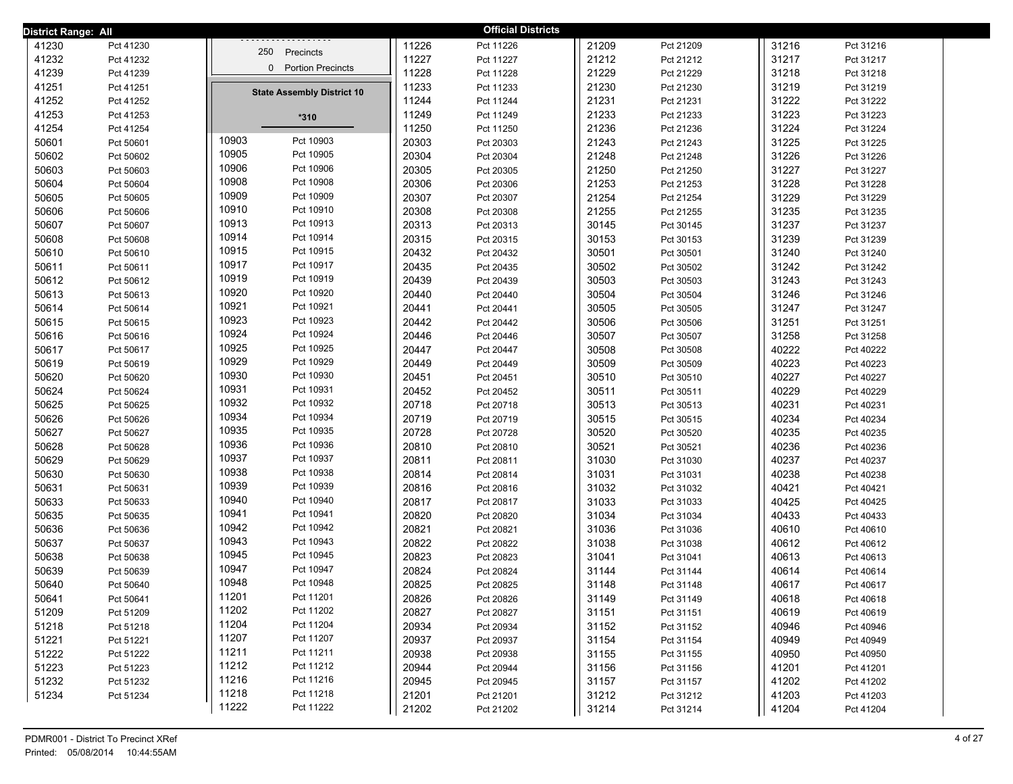| District Range: All |           |                                   |       | <b>Official Districts</b> |       |           |       |           |  |
|---------------------|-----------|-----------------------------------|-------|---------------------------|-------|-----------|-------|-----------|--|
| 41230               | Pct 41230 | 250 Precincts                     | 11226 | Pct 11226                 | 21209 | Pct 21209 | 31216 | Pct 31216 |  |
| 41232               | Pct 41232 |                                   | 11227 | Pct 11227                 | 21212 | Pct 21212 | 31217 | Pct 31217 |  |
| 41239               | Pct 41239 | 0 Portion Precincts               | 11228 | Pct 11228                 | 21229 | Pct 21229 | 31218 | Pct 31218 |  |
| 41251               | Pct 41251 | <b>State Assembly District 10</b> | 11233 | Pct 11233                 | 21230 | Pct 21230 | 31219 | Pct 31219 |  |
| 41252               | Pct 41252 |                                   | 11244 | Pct 11244                 | 21231 | Pct 21231 | 31222 | Pct 31222 |  |
| 41253               | Pct 41253 | $*310$                            | 11249 | Pct 11249                 | 21233 | Pct 21233 | 31223 | Pct 31223 |  |
| 41254               | Pct 41254 |                                   | 11250 | Pct 11250                 | 21236 | Pct 21236 | 31224 | Pct 31224 |  |
| 50601               | Pct 50601 | 10903<br>Pct 10903                | 20303 | Pct 20303                 | 21243 | Pct 21243 | 31225 | Pct 31225 |  |
| 50602               | Pct 50602 | 10905<br>Pct 10905                | 20304 | Pct 20304                 | 21248 | Pct 21248 | 31226 | Pct 31226 |  |
| 50603               | Pct 50603 | 10906<br>Pct 10906                | 20305 | Pct 20305                 | 21250 | Pct 21250 | 31227 | Pct 31227 |  |
| 50604               | Pct 50604 | 10908<br>Pct 10908                | 20306 | Pct 20306                 | 21253 | Pct 21253 | 31228 | Pct 31228 |  |
| 50605               | Pct 50605 | 10909<br>Pct 10909                | 20307 | Pct 20307                 | 21254 | Pct 21254 | 31229 | Pct 31229 |  |
| 50606               | Pct 50606 | 10910<br>Pct 10910                | 20308 | Pct 20308                 | 21255 | Pct 21255 | 31235 | Pct 31235 |  |
| 50607               | Pct 50607 | 10913<br>Pct 10913                | 20313 | Pct 20313                 | 30145 | Pct 30145 | 31237 | Pct 31237 |  |
| 50608               | Pct 50608 | 10914<br>Pct 10914                | 20315 | Pct 20315                 | 30153 | Pct 30153 | 31239 | Pct 31239 |  |
| 50610               | Pct 50610 | 10915<br>Pct 10915                | 20432 | Pct 20432                 | 30501 | Pct 30501 | 31240 | Pct 31240 |  |
| 50611               | Pct 50611 | 10917<br>Pct 10917                | 20435 | Pct 20435                 | 30502 | Pct 30502 | 31242 | Pct 31242 |  |
| 50612               | Pct 50612 | 10919<br>Pct 10919                | 20439 | Pct 20439                 | 30503 | Pct 30503 | 31243 | Pct 31243 |  |
| 50613               | Pct 50613 | 10920<br>Pct 10920                | 20440 | Pct 20440                 | 30504 | Pct 30504 | 31246 | Pct 31246 |  |
| 50614               | Pct 50614 | 10921<br>Pct 10921                | 20441 | Pct 20441                 | 30505 | Pct 30505 | 31247 | Pct 31247 |  |
| 50615               | Pct 50615 | 10923<br>Pct 10923                | 20442 | Pct 20442                 | 30506 | Pct 30506 | 31251 | Pct 31251 |  |
| 50616               | Pct 50616 | 10924<br>Pct 10924                | 20446 | Pct 20446                 | 30507 | Pct 30507 | 31258 | Pct 31258 |  |
| 50617               | Pct 50617 | 10925<br>Pct 10925                | 20447 | Pct 20447                 | 30508 | Pct 30508 | 40222 | Pct 40222 |  |
| 50619               | Pct 50619 | 10929<br>Pct 10929                | 20449 | Pct 20449                 | 30509 | Pct 30509 | 40223 | Pct 40223 |  |
| 50620               | Pct 50620 | 10930<br>Pct 10930                | 20451 | Pct 20451                 | 30510 | Pct 30510 | 40227 | Pct 40227 |  |
| 50624               | Pct 50624 | 10931<br>Pct 10931                | 20452 | Pct 20452                 | 30511 | Pct 30511 | 40229 | Pct 40229 |  |
| 50625               | Pct 50625 | 10932<br>Pct 10932                | 20718 | Pct 20718                 | 30513 | Pct 30513 | 40231 | Pct 40231 |  |
| 50626               | Pct 50626 | 10934<br>Pct 10934                | 20719 | Pct 20719                 | 30515 | Pct 30515 | 40234 | Pct 40234 |  |
| 50627               | Pct 50627 | 10935<br>Pct 10935                | 20728 | Pct 20728                 | 30520 | Pct 30520 | 40235 | Pct 40235 |  |
| 50628               | Pct 50628 | 10936<br>Pct 10936                | 20810 | Pct 20810                 | 30521 | Pct 30521 | 40236 | Pct 40236 |  |
| 50629               | Pct 50629 | 10937<br>Pct 10937                | 20811 | Pct 20811                 | 31030 | Pct 31030 | 40237 | Pct 40237 |  |
| 50630               | Pct 50630 | 10938<br>Pct 10938                | 20814 | Pct 20814                 | 31031 | Pct 31031 | 40238 | Pct 40238 |  |
| 50631               | Pct 50631 | 10939<br>Pct 10939                | 20816 | Pct 20816                 | 31032 | Pct 31032 | 40421 | Pct 40421 |  |
| 50633               | Pct 50633 | 10940<br>Pct 10940                | 20817 | Pct 20817                 | 31033 | Pct 31033 | 40425 | Pct 40425 |  |
| 50635               | Pct 50635 | 10941<br>Pct 10941                | 20820 | Pct 20820                 | 31034 | Pct 31034 | 40433 | Pct 40433 |  |
| 50636               | Pct 50636 | 10942<br>Pct 10942                | 20821 | Pct 20821                 | 31036 | Pct 31036 | 40610 | Pct 40610 |  |
| 50637               | Pct 50637 | 10943<br>Pct 10943                | 20822 | Pct 20822                 | 31038 | Pct 31038 | 40612 | Pct 40612 |  |
| 50638               | Pct 50638 | 10945<br>Pct 10945                | 20823 | Pct 20823                 | 31041 | Pct 31041 | 40613 | Pct 40613 |  |
| 50639               | Pct 50639 | 10947<br>Pct 10947                | 20824 | Pct 20824                 | 31144 | Pct 31144 | 40614 | Pct 40614 |  |
| 50640               | Pct 50640 | 10948<br>Pct 10948                | 20825 | Pct 20825                 | 31148 | Pct 31148 | 40617 | Pct 40617 |  |
| 50641               | Pct 50641 | 11201<br>Pct 11201                | 20826 | Pct 20826                 | 31149 | Pct 31149 | 40618 | Pct 40618 |  |
| 51209               | Pct 51209 | 11202<br>Pct 11202                | 20827 | Pct 20827                 | 31151 | Pct 31151 | 40619 | Pct 40619 |  |
| 51218               | Pct 51218 | 11204<br>Pct 11204                | 20934 | Pct 20934                 | 31152 | Pct 31152 | 40946 | Pct 40946 |  |
| 51221               | Pct 51221 | 11207<br>Pct 11207                | 20937 | Pct 20937                 | 31154 | Pct 31154 | 40949 | Pct 40949 |  |
| 51222               | Pct 51222 | 11211<br>Pct 11211                | 20938 | Pct 20938                 | 31155 | Pct 31155 | 40950 | Pct 40950 |  |
| 51223               | Pct 51223 | 11212<br>Pct 11212                | 20944 | Pct 20944                 | 31156 | Pct 31156 | 41201 | Pct 41201 |  |
| 51232               | Pct 51232 | 11216<br>Pct 11216                | 20945 | Pct 20945                 | 31157 | Pct 31157 | 41202 | Pct 41202 |  |
| 51234               | Pct 51234 | 11218<br>Pct 11218                | 21201 | Pct 21201                 | 31212 | Pct 31212 | 41203 | Pct 41203 |  |
|                     |           | 11222<br>Pct 11222                | 21202 | Pct 21202                 | 31214 | Pct 31214 | 41204 | Pct 41204 |  |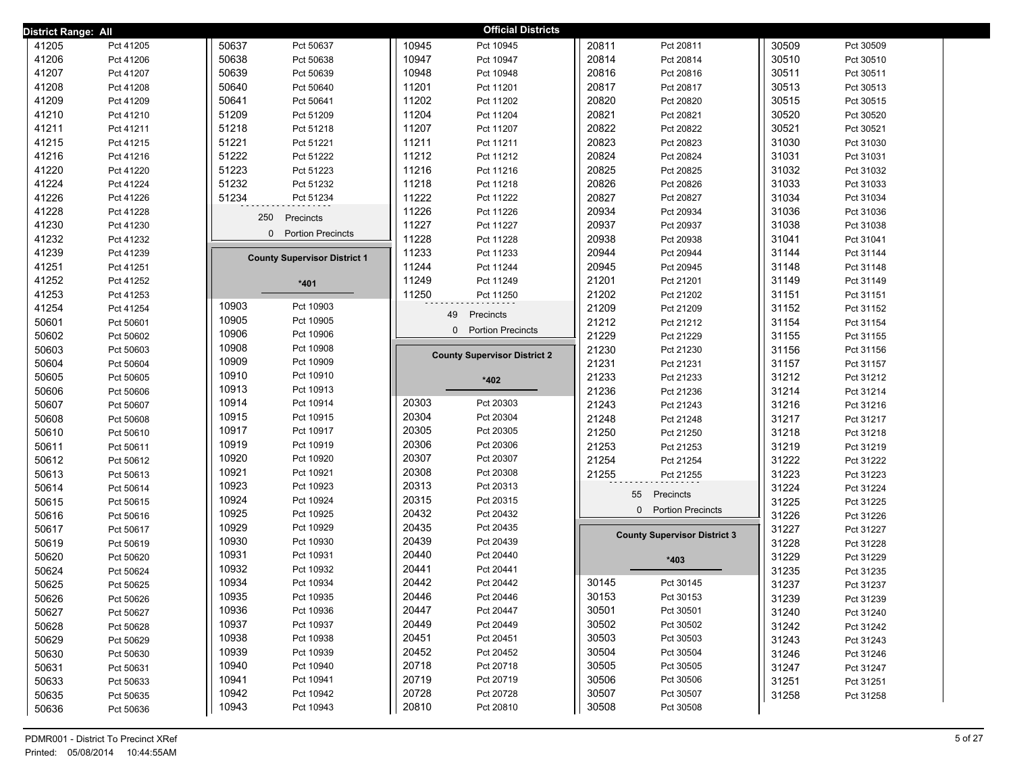| District Range: All |           |                                      |       | <b>Official Districts</b>           |       |                                      |       |           |  |
|---------------------|-----------|--------------------------------------|-------|-------------------------------------|-------|--------------------------------------|-------|-----------|--|
| 41205               | Pct 41205 | 50637<br>Pct 50637                   | 10945 | Pct 10945                           | 20811 | Pct 20811                            | 30509 | Pct 30509 |  |
| 41206               | Pct 41206 | 50638<br>Pct 50638                   | 10947 | Pct 10947                           | 20814 | Pct 20814                            | 30510 | Pct 30510 |  |
| 41207               | Pct 41207 | 50639<br>Pct 50639                   | 10948 | Pct 10948                           | 20816 | Pct 20816                            | 30511 | Pct 30511 |  |
| 41208               | Pct 41208 | 50640<br>Pct 50640                   | 11201 | Pct 11201                           | 20817 | Pct 20817                            | 30513 | Pct 30513 |  |
| 41209               | Pct 41209 | 50641<br>Pct 50641                   | 11202 | Pct 11202                           | 20820 | Pct 20820                            | 30515 | Pct 30515 |  |
| 41210               | Pct 41210 | 51209<br>Pct 51209                   | 11204 | Pct 11204                           | 20821 | Pct 20821                            | 30520 | Pct 30520 |  |
| 41211               | Pct 41211 | 51218<br>Pct 51218                   | 11207 | Pct 11207                           | 20822 | Pct 20822                            | 30521 | Pct 30521 |  |
| 41215               | Pct 41215 | 51221<br>Pct 51221                   | 11211 | Pct 11211                           | 20823 | Pct 20823                            | 31030 | Pct 31030 |  |
| 41216               | Pct 41216 | 51222<br>Pct 51222                   | 11212 | Pct 11212                           | 20824 | Pct 20824                            | 31031 | Pct 31031 |  |
| 41220               | Pct 41220 | 51223<br>Pct 51223                   | 11216 | Pct 11216                           | 20825 | Pct 20825                            | 31032 | Pct 31032 |  |
| 41224               | Pct 41224 | 51232<br>Pct 51232                   | 11218 | Pct 11218                           | 20826 | Pct 20826                            | 31033 | Pct 31033 |  |
| 41226               | Pct 41226 | 51234<br>Pct 51234                   | 11222 | Pct 11222                           | 20827 | Pct 20827                            | 31034 | Pct 31034 |  |
| 41228               | Pct 41228 | 250<br>Precincts                     | 11226 | Pct 11226                           | 20934 | Pct 20934                            | 31036 | Pct 31036 |  |
| 41230               | Pct 41230 |                                      | 11227 | Pct 11227                           | 20937 | Pct 20937                            | 31038 | Pct 31038 |  |
| 41232               | Pct 41232 | $\Omega$<br><b>Portion Precincts</b> | 11228 | Pct 11228                           | 20938 | Pct 20938                            | 31041 | Pct 31041 |  |
| 41239               | Pct 41239 | <b>County Supervisor District 1</b>  | 11233 | Pct 11233                           | 20944 | Pct 20944                            | 31144 | Pct 31144 |  |
| 41251               | Pct 41251 |                                      | 11244 | Pct 11244                           | 20945 | Pct 20945                            | 31148 | Pct 31148 |  |
| 41252               | Pct 41252 | $*401$                               | 11249 | Pct 11249                           | 21201 | Pct 21201                            | 31149 | Pct 31149 |  |
| 41253               | Pct 41253 |                                      | 11250 | Pct 11250                           | 21202 | Pct 21202                            | 31151 | Pct 31151 |  |
| 41254               | Pct 41254 | 10903<br>Pct 10903                   |       | 49<br>Precincts                     | 21209 | Pct 21209                            | 31152 | Pct 31152 |  |
| 50601               | Pct 50601 | 10905<br>Pct 10905                   |       | 0 Portion Precincts                 | 21212 | Pct 21212                            | 31154 | Pct 31154 |  |
| 50602               | Pct 50602 | 10906<br>Pct 10906                   |       |                                     | 21229 | Pct 21229                            | 31155 | Pct 31155 |  |
| 50603               | Pct 50603 | 10908<br>Pct 10908                   |       | <b>County Supervisor District 2</b> | 21230 | Pct 21230                            | 31156 | Pct 31156 |  |
| 50604               | Pct 50604 | 10909<br>Pct 10909                   |       |                                     | 21231 | Pct 21231                            | 31157 | Pct 31157 |  |
| 50605               | Pct 50605 | 10910<br>Pct 10910                   |       | *402                                | 21233 | Pct 21233                            | 31212 | Pct 31212 |  |
| 50606               | Pct 50606 | 10913<br>Pct 10913                   |       |                                     | 21236 | Pct 21236                            | 31214 | Pct 31214 |  |
| 50607               | Pct 50607 | 10914<br>Pct 10914                   | 20303 | Pct 20303                           | 21243 | Pct 21243                            | 31216 | Pct 31216 |  |
| 50608               | Pct 50608 | 10915<br>Pct 10915                   | 20304 | Pct 20304                           | 21248 | Pct 21248                            | 31217 | Pct 31217 |  |
| 50610               | Pct 50610 | 10917<br>Pct 10917                   | 20305 | Pct 20305                           | 21250 | Pct 21250                            | 31218 | Pct 31218 |  |
| 50611               | Pct 50611 | 10919<br>Pct 10919                   | 20306 | Pct 20306                           | 21253 | Pct 21253                            | 31219 | Pct 31219 |  |
| 50612               | Pct 50612 | 10920<br>Pct 10920                   | 20307 | Pct 20307                           | 21254 | Pct 21254                            | 31222 | Pct 31222 |  |
| 50613               | Pct 50613 | 10921<br>Pct 10921                   | 20308 | Pct 20308                           | 21255 | Pct 21255                            | 31223 | Pct 31223 |  |
| 50614               | Pct 50614 | 10923<br>Pct 10923                   | 20313 | Pct 20313                           |       | 55<br>Precincts                      | 31224 | Pct 31224 |  |
| 50615               | Pct 50615 | 10924<br>Pct 10924                   | 20315 | Pct 20315                           |       | $\Omega$<br><b>Portion Precincts</b> | 31225 | Pct 31225 |  |
| 50616               | Pct 50616 | 10925<br>Pct 10925                   | 20432 | Pct 20432                           |       |                                      | 31226 | Pct 31226 |  |
| 50617               | Pct 50617 | 10929<br>Pct 10929                   | 20435 | Pct 20435                           |       | <b>County Supervisor District 3</b>  | 31227 | Pct 31227 |  |
| 50619               | Pct 50619 | 10930<br>Pct 10930                   | 20439 | Pct 20439                           |       |                                      | 31228 | Pct 31228 |  |
| 50620               | Pct 50620 | 10931<br>Pct 10931                   | 20440 | Pct 20440                           |       | $*403$                               | 31229 | Pct 31229 |  |
| 50624               | Pct 50624 | 10932<br>Pct 10932                   | 20441 | Pct 20441                           |       |                                      | 31235 | Pct 31235 |  |
| 50625               | Pct 50625 | 10934<br>Pct 10934                   | 20442 | Pct 20442                           | 30145 | Pct 30145                            | 31237 | Pct 31237 |  |
| 50626               | Pct 50626 | 10935<br>Pct 10935                   | 20446 | Pct 20446                           | 30153 | Pct 30153                            | 31239 | Pct 31239 |  |
| 50627               | Pct 50627 | 10936<br>Pct 10936                   | 20447 | Pct 20447                           | 30501 | Pct 30501                            | 31240 | Pct 31240 |  |
| 50628               | Pct 50628 | 10937<br>Pct 10937                   | 20449 | Pct 20449                           | 30502 | Pct 30502                            | 31242 | Pct 31242 |  |
| 50629               | Pct 50629 | 10938<br>Pct 10938                   | 20451 | Pct 20451                           | 30503 | Pct 30503                            | 31243 | Pct 31243 |  |
| 50630               | Pct 50630 | 10939<br>Pct 10939                   | 20452 | Pct 20452                           | 30504 | Pct 30504                            | 31246 | Pct 31246 |  |
| 50631               | Pct 50631 | 10940<br>Pct 10940                   | 20718 | Pct 20718                           | 30505 | Pct 30505                            | 31247 | Pct 31247 |  |
| 50633               | Pct 50633 | 10941<br>Pct 10941                   | 20719 | Pct 20719                           | 30506 | Pct 30506                            | 31251 | Pct 31251 |  |
| 50635               | Pct 50635 | 10942<br>Pct 10942                   | 20728 | Pct 20728                           | 30507 | Pct 30507                            | 31258 | Pct 31258 |  |
| 50636               | Pct 50636 | 10943<br>Pct 10943                   | 20810 | Pct 20810                           | 30508 | Pct 30508                            |       |           |  |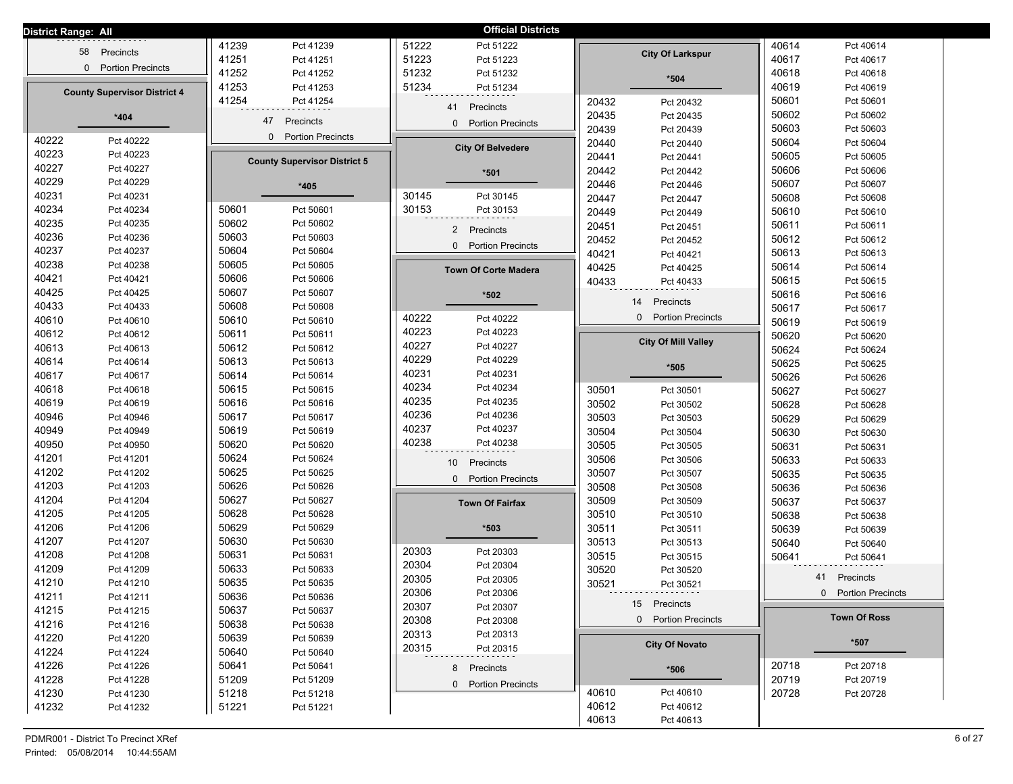| District Range: All |                                     |                |                                      |                | <b>Official Districts</b>    |       |                            |       |                     |
|---------------------|-------------------------------------|----------------|--------------------------------------|----------------|------------------------------|-------|----------------------------|-------|---------------------|
|                     | Precincts<br>58                     | 41239          | Pct 41239                            | 51222          | Pct 51222                    |       |                            | 40614 | Pct 40614           |
|                     |                                     | 41251          | Pct 41251                            | 51223          | Pct 51223                    |       | <b>City Of Larkspur</b>    | 40617 | Pct 40617           |
|                     | 0 Portion Precincts                 | 41252          | Pct 41252                            | 51232          | Pct 51232                    |       | $*504$                     | 40618 | Pct 40618           |
|                     | <b>County Supervisor District 4</b> | 41253          | Pct 41253                            | 51234          | Pct 51234                    |       |                            | 40619 | Pct 40619           |
|                     |                                     | 41254          | Pct 41254                            |                | 41<br>Precincts              | 20432 | Pct 20432                  | 50601 | Pct 50601           |
|                     | $*404$                              |                | 47<br>Precincts                      |                |                              | 20435 | Pct 20435                  | 50602 | Pct 50602           |
|                     |                                     |                |                                      |                | 0 Portion Precincts          | 20439 | Pct 20439                  | 50603 | Pct 50603           |
| 40222               | Pct 40222                           |                | <b>Portion Precincts</b><br>$\Omega$ |                | <b>City Of Belvedere</b>     | 20440 | Pct 20440                  | 50604 | Pct 50604           |
| 40223               | Pct 40223                           |                | <b>County Supervisor District 5</b>  |                |                              | 20441 | Pct 20441                  | 50605 | Pct 50605           |
| 40227               | Pct 40227                           |                |                                      |                | *501                         | 20442 | Pct 20442                  | 50606 | Pct 50606           |
| 40229               | Pct 40229                           |                | $*405$                               |                |                              | 20446 | Pct 20446                  | 50607 | Pct 50607           |
| 40231               | Pct 40231                           |                |                                      | 30145          | Pct 30145                    | 20447 | Pct 20447                  | 50608 | Pct 50608           |
| 40234               | Pct 40234                           | 50601          | Pct 50601                            | 30153          | Pct 30153                    | 20449 | Pct 20449                  | 50610 | Pct 50610           |
| 40235               | Pct 40235                           | 50602          | Pct 50602                            |                | 2 Precincts                  | 20451 | Pct 20451                  | 50611 | Pct 50611           |
| 40236               | Pct 40236                           | 50603          | Pct 50603                            |                | 0 Portion Precincts          | 20452 | Pct 20452                  | 50612 | Pct 50612           |
| 40237               | Pct 40237                           | 50604          | Pct 50604                            |                |                              | 40421 | Pct 40421                  | 50613 | Pct 50613           |
| 40238               | Pct 40238                           | 50605          | Pct 50605                            |                | <b>Town Of Corte Madera</b>  | 40425 | Pct 40425                  | 50614 | Pct 50614           |
| 40421               | Pct 40421                           | 50606          | Pct 50606                            |                |                              | 40433 | Pct 40433                  | 50615 | Pct 50615           |
| 40425               | Pct 40425                           | 50607          | Pct 50607                            |                | *502                         |       | Precincts<br>14            | 50616 | Pct 50616           |
| 40433               | Pct 40433                           | 50608          | Pct 50608                            |                |                              |       |                            | 50617 | Pct 50617           |
| 40610               | Pct 40610                           | 50610          | Pct 50610                            | 40222          | Pct 40222                    |       | 0 Portion Precincts        | 50619 | Pct 50619           |
| 40612               | Pct 40612                           | 50611          | Pct 50611                            | 40223          | Pct 40223                    |       | <b>City Of Mill Valley</b> | 50620 | Pct 50620           |
| 40613               | Pct 40613                           | 50612          | Pct 50612                            | 40227          | Pct 40227                    |       |                            | 50624 | Pct 50624           |
| 40614               | Pct 40614                           | 50613          | Pct 50613                            | 40229          | Pct 40229                    |       | *505                       | 50625 | Pct 50625           |
| 40617               | Pct 40617                           | 50614          | Pct 50614                            | 40231          | Pct 40231                    |       |                            | 50626 | Pct 50626           |
| 40618               | Pct 40618                           | 50615          | Pct 50615                            | 40234          | Pct 40234                    | 30501 | Pct 30501                  | 50627 | Pct 50627           |
| 40619               | Pct 40619                           | 50616          | Pct 50616                            | 40235          | Pct 40235                    | 30502 | Pct 30502                  | 50628 | Pct 50628           |
| 40946               | Pct 40946                           | 50617          | Pct 50617                            | 40236<br>40237 | Pct 40236                    | 30503 | Pct 30503                  | 50629 | Pct 50629           |
| 40949               | Pct 40949                           | 50619          | Pct 50619                            | 40238          | Pct 40237                    | 30504 | Pct 30504                  | 50630 | Pct 50630           |
| 40950               | Pct 40950                           | 50620          | Pct 50620                            |                | Pct 40238                    | 30505 | Pct 30505                  | 50631 | Pct 50631           |
| 41201               | Pct 41201                           | 50624          | Pct 50624                            |                | 10 <sup>°</sup><br>Precincts | 30506 | Pct 30506                  | 50633 | Pct 50633           |
| 41202               | Pct 41202                           | 50625          | Pct 50625                            |                | 0 Portion Precincts          | 30507 | Pct 30507                  | 50635 | Pct 50635           |
| 41203               | Pct 41203                           | 50626          | Pct 50626                            |                |                              | 30508 | Pct 30508                  | 50636 | Pct 50636           |
| 41204               | Pct 41204                           | 50627          | Pct 50627                            |                | <b>Town Of Fairfax</b>       | 30509 | Pct 30509                  | 50637 | Pct 50637           |
| 41205               | Pct 41205                           | 50628          | Pct 50628                            |                |                              | 30510 | Pct 30510                  | 50638 | Pct 50638           |
| 41206               | Pct 41206                           | 50629          | Pct 50629                            |                | *503                         | 30511 | Pct 30511                  | 50639 | Pct 50639           |
| 41207               | Pct 41207                           | 50630          | Pct 50630                            | 20303          | Pct 20303                    | 30513 | Pct 30513                  | 50640 | Pct 50640           |
| 41208               | Pct 41208                           | 50631          | Pct 50631                            | 20304          | Pct 20304                    | 30515 | Pct 30515                  | 50641 | Pct 50641           |
| 41209               | Pct 41209                           | 50633          | Pct 50633                            | 20305          | Pct 20305                    | 30520 | Pct 30520                  |       | 41 Precincts        |
| 41210               | Pct 41210                           | 50635<br>50636 | Pct 50635                            | 20306          | Pct 20306                    | 30521 | Pct 30521                  |       | 0 Portion Precincts |
| 41211               | Pct 41211                           |                | Pct 50636                            | 20307          | Pct 20307                    |       | 15 Precincts               |       |                     |
| 41215               | Pct 41215                           | 50637          | Pct 50637                            | 20308          | Pct 20308                    |       | 0 Portion Precincts        |       | <b>Town Of Ross</b> |
| 41216               | Pct 41216                           | 50638          | Pct 50638                            | 20313          | Pct 20313                    |       |                            |       |                     |
| 41220               | Pct 41220                           | 50639          | Pct 50639                            | 20315          | Pct 20315                    |       | <b>City Of Novato</b>      |       | *507                |
| 41224               | Pct 41224                           | 50640          | Pct 50640                            |                |                              |       |                            |       |                     |
| 41226               | Pct 41226                           | 50641          | Pct 50641                            |                | 8 Precincts                  |       | $*506$                     | 20718 | Pct 20718           |
| 41228               | Pct 41228                           | 51209          | Pct 51209                            |                | 0 Portion Precincts          | 40610 | Pct 40610                  | 20719 | Pct 20719           |
| 41230               | Pct 41230                           | 51218          | Pct 51218                            |                |                              | 40612 |                            | 20728 | Pct 20728           |
| 41232               | Pct 41232                           | 51221          | Pct 51221                            |                |                              | 40613 | Pct 40612<br>Pct 40613     |       |                     |
|                     |                                     |                |                                      |                |                              |       |                            |       |                     |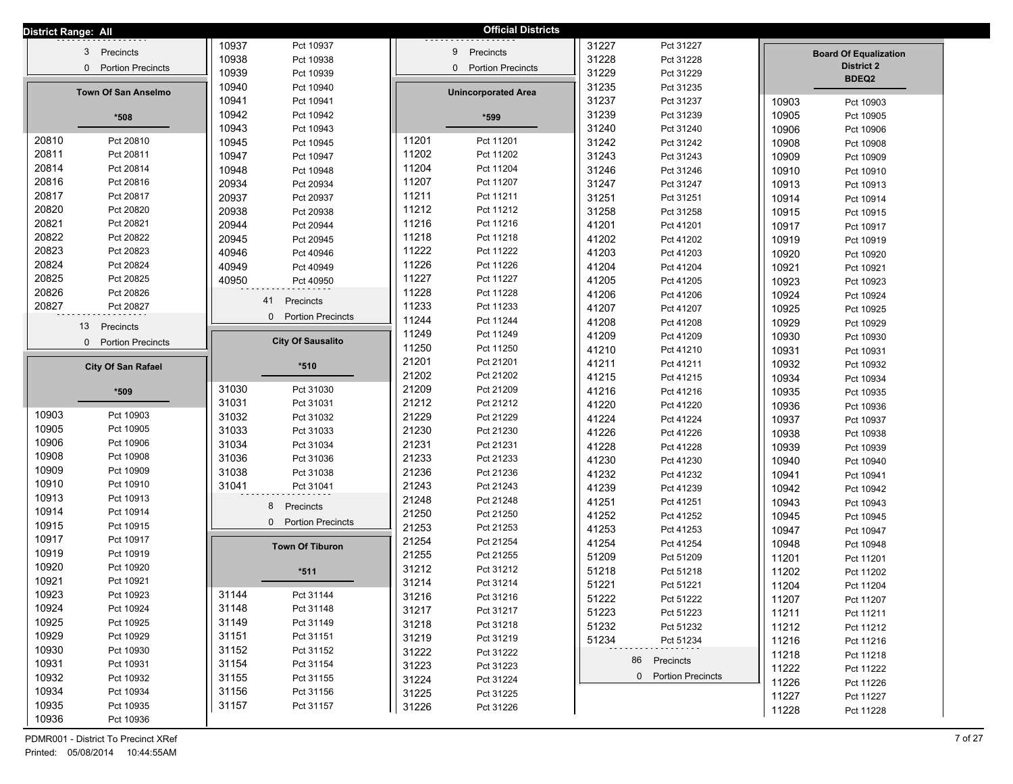| District Range: All |                             |       |                                      |       | <b>Official Districts</b>                |                |                        |       |                              |  |
|---------------------|-----------------------------|-------|--------------------------------------|-------|------------------------------------------|----------------|------------------------|-------|------------------------------|--|
|                     |                             | 10937 | Pct 10937                            |       |                                          | 31227          | Pct 31227              |       |                              |  |
|                     | 3 <sup>1</sup><br>Precincts | 10938 | Pct 10938                            |       | Precincts<br>9                           | 31228          | Pct 31228              |       | <b>Board Of Equalization</b> |  |
|                     | 0 Portion Precincts         | 10939 | Pct 10939                            |       | <b>Portion Precincts</b><br>$\mathbf{0}$ | 31229          | Pct 31229              |       | <b>District 2</b>            |  |
|                     |                             | 10940 | Pct 10940                            |       |                                          | 31235          | Pct 31235              |       | BDEQ2                        |  |
|                     | <b>Town Of San Anselmo</b>  | 10941 | Pct 10941                            |       | <b>Unincorporated Area</b>               | 31237          | Pct 31237              | 10903 | Pct 10903                    |  |
|                     | $*508$                      | 10942 | Pct 10942                            |       | *599                                     | 31239          | Pct 31239              | 10905 | Pct 10905                    |  |
|                     |                             | 10943 | Pct 10943                            |       |                                          | 31240          | Pct 31240              | 10906 | Pct 10906                    |  |
| 20810               | Pct 20810                   | 10945 | Pct 10945                            | 11201 | Pct 11201                                | 31242          | Pct 31242              | 10908 | Pct 10908                    |  |
| 20811               | Pct 20811                   | 10947 | Pct 10947                            | 11202 | Pct 11202                                | 31243          | Pct 31243              | 10909 | Pct 10909                    |  |
| 20814               | Pct 20814                   | 10948 | Pct 10948                            | 11204 | Pct 11204                                | 31246          | Pct 31246              | 10910 | Pct 10910                    |  |
| 20816               | Pct 20816                   | 20934 | Pct 20934                            | 11207 | Pct 11207                                | 31247          | Pct 31247              | 10913 | Pct 10913                    |  |
| 20817               | Pct 20817                   | 20937 | Pct 20937                            | 11211 | Pct 11211                                | 31251          | Pct 31251              | 10914 | Pct 10914                    |  |
| 20820               | Pct 20820                   | 20938 | Pct 20938                            | 11212 | Pct 11212                                | 31258          | Pct 31258              | 10915 | Pct 10915                    |  |
| 20821               | Pct 20821                   | 20944 | Pct 20944                            | 11216 | Pct 11216                                | 41201          | Pct 41201              | 10917 | Pct 10917                    |  |
| 20822               | Pct 20822                   | 20945 | Pct 20945                            | 11218 | Pct 11218                                | 41202          | Pct 41202              | 10919 | Pct 10919                    |  |
| 20823               | Pct 20823                   | 40946 | Pct 40946                            | 11222 | Pct 11222                                | 41203          | Pct 41203              | 10920 | Pct 10920                    |  |
| 20824               | Pct 20824                   | 40949 | Pct 40949                            | 11226 | Pct 11226                                | 41204          | Pct 41204              | 10921 | Pct 10921                    |  |
| 20825               | Pct 20825                   | 40950 | Pct 40950                            | 11227 | Pct 11227                                | 41205          | Pct 41205              | 10923 | Pct 10923                    |  |
| 20826               | Pct 20826                   |       |                                      | 11228 | Pct 11228                                | 41206          | Pct 41206              | 10924 | Pct 10924                    |  |
| 20827               | Pct 20827                   |       | Precincts<br>41                      | 11233 | Pct 11233                                | 41207          | Pct 41207              | 10925 | Pct 10925                    |  |
|                     |                             |       | <b>Portion Precincts</b><br>$\Omega$ | 11244 | Pct 11244                                | 41208          | Pct 41208              | 10929 | Pct 10929                    |  |
|                     | Precincts<br>13             |       |                                      | 11249 | Pct 11249                                | 41209          | Pct 41209              | 10930 | Pct 10930                    |  |
|                     | 0 Portion Precincts         |       | <b>City Of Sausalito</b>             | 11250 | Pct 11250                                | 41210          | Pct 41210              | 10931 |                              |  |
|                     |                             |       |                                      | 21201 | Pct 21201                                | 41211          | Pct 41211              | 10932 | Pct 10931                    |  |
|                     | <b>City Of San Rafael</b>   |       | $*510$                               | 21202 | Pct 21202                                | 41215          | Pct 41215              |       | Pct 10932                    |  |
|                     |                             | 31030 | Pct 31030                            | 21209 | Pct 21209                                | 41216          | Pct 41216              | 10934 | Pct 10934                    |  |
|                     | *509                        | 31031 | Pct 31031                            | 21212 | Pct 21212                                | 41220          | Pct 41220              | 10935 | Pct 10935                    |  |
| 10903               | Pct 10903                   | 31032 | Pct 31032                            | 21229 | Pct 21229                                | 41224          |                        | 10936 | Pct 10936                    |  |
| 10905               | Pct 10905                   | 31033 | Pct 31033                            | 21230 | Pct 21230                                | 41226          | Pct 41224<br>Pct 41226 | 10937 | Pct 10937                    |  |
| 10906               | Pct 10906                   | 31034 | Pct 31034                            | 21231 | Pct 21231                                | 41228          | Pct 41228              | 10938 | Pct 10938                    |  |
| 10908               | Pct 10908                   | 31036 | Pct 31036                            | 21233 | Pct 21233                                |                |                        | 10939 | Pct 10939                    |  |
| 10909               | Pct 10909                   | 31038 | Pct 31038                            | 21236 | Pct 21236                                | 41230<br>41232 | Pct 41230<br>Pct 41232 | 10940 | Pct 10940                    |  |
| 10910               | Pct 10910                   | 31041 | Pct 31041                            | 21243 | Pct 21243                                | 41239          | Pct 41239              | 10941 | Pct 10941                    |  |
| 10913               | Pct 10913                   |       |                                      | 21248 | Pct 21248                                | 41251          |                        | 10942 | Pct 10942                    |  |
| 10914               | Pct 10914                   |       | 8<br>Precincts                       | 21250 | Pct 21250                                |                | Pct 41251              | 10943 | Pct 10943                    |  |
| 10915               | Pct 10915                   |       | 0 Portion Precincts                  | 21253 | Pct 21253                                | 41252          | Pct 41252              | 10945 | Pct 10945                    |  |
| 10917               | Pct 10917                   |       |                                      | 21254 | Pct 21254                                | 41253          | Pct 41253              | 10947 | Pct 10947                    |  |
| 10919               | Pct 10919                   |       | <b>Town Of Tiburon</b>               | 21255 | Pct 21255                                | 41254          | Pct 41254              | 10948 | Pct 10948                    |  |
| 10920               | Pct 10920                   |       |                                      | 31212 | Pct 31212                                | 51209          | Pct 51209              | 11201 | Pct 11201                    |  |
| 10921               | Pct 10921                   |       | $*511$                               | 31214 | Pct 31214                                | 51218          | Pct 51218              | 11202 | Pct 11202                    |  |
| 10923               | Pct 10923                   | 31144 | Pct 31144                            | 31216 | Pct 31216                                | 51221          | Pct 51221              | 11204 | Pct 11204                    |  |
| 10924               | Pct 10924                   | 31148 | Pct 31148                            | 31217 | Pct 31217                                | 51222          | Pct 51222              | 11207 | Pct 11207                    |  |
| 10925               | Pct 10925                   | 31149 | Pct 31149                            | 31218 | Pct 31218                                | 51223          | Pct 51223              | 11211 | Pct 11211                    |  |
| 10929               | Pct 10929                   | 31151 | Pct 31151                            | 31219 | Pct 31219                                | 51232          | Pct 51232              | 11212 | Pct 11212                    |  |
| 10930               | Pct 10930                   | 31152 | Pct 31152                            | 31222 | Pct 31222                                | 51234          | Pct 51234              | 11216 | Pct 11216                    |  |
| 10931               | Pct 10931                   | 31154 | Pct 31154                            | 31223 | Pct 31223                                |                | 86 Precincts           | 11218 | Pct 11218                    |  |
| 10932               | Pct 10932                   | 31155 | Pct 31155                            | 31224 | Pct 31224                                |                | 0 Portion Precincts    | 11222 | Pct 11222                    |  |
| 10934               | Pct 10934                   | 31156 | Pct 31156                            | 31225 | Pct 31225                                |                |                        | 11226 | Pct 11226                    |  |
| 10935               | Pct 10935                   | 31157 | Pct 31157                            | 31226 |                                          |                |                        | 11227 | Pct 11227                    |  |
| 10936               | Pct 10936                   |       |                                      |       | Pct 31226                                |                |                        | 11228 | Pct 11228                    |  |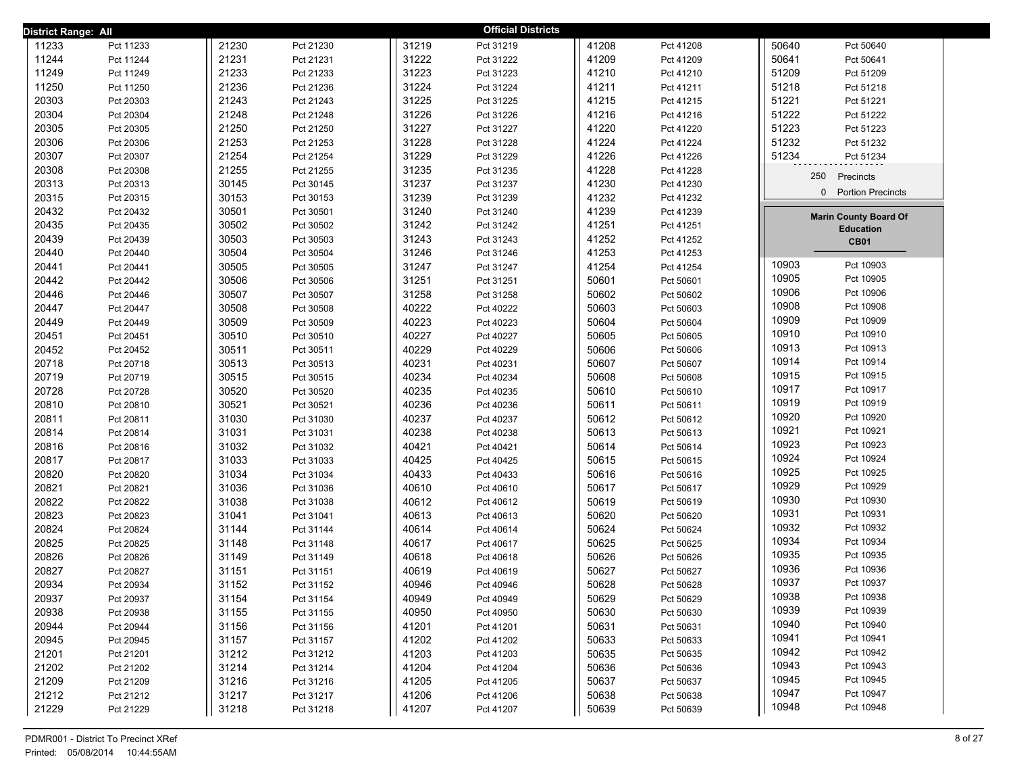| District Range: All |           |       |           |       | <b>Official Districts</b> |       |           |                |                                      |  |
|---------------------|-----------|-------|-----------|-------|---------------------------|-------|-----------|----------------|--------------------------------------|--|
| 11233               | Pct 11233 | 21230 | Pct 21230 | 31219 | Pct 31219                 | 41208 | Pct 41208 | 50640          | Pct 50640                            |  |
| 11244               | Pct 11244 | 21231 | Pct 21231 | 31222 | Pct 31222                 | 41209 | Pct 41209 | 50641          | Pct 50641                            |  |
| 11249               | Pct 11249 | 21233 | Pct 21233 | 31223 | Pct 31223                 | 41210 | Pct 41210 | 51209          | Pct 51209                            |  |
| 11250               | Pct 11250 | 21236 | Pct 21236 | 31224 | Pct 31224                 | 41211 | Pct 41211 | 51218          | Pct 51218                            |  |
| 20303               | Pct 20303 | 21243 | Pct 21243 | 31225 | Pct 31225                 | 41215 | Pct 41215 | 51221          | Pct 51221                            |  |
| 20304               | Pct 20304 | 21248 | Pct 21248 | 31226 | Pct 31226                 | 41216 | Pct 41216 | 51222          | Pct 51222                            |  |
| 20305               | Pct 20305 | 21250 | Pct 21250 | 31227 | Pct 31227                 | 41220 | Pct 41220 | 51223          | Pct 51223                            |  |
| 20306               | Pct 20306 | 21253 | Pct 21253 | 31228 | Pct 31228                 | 41224 | Pct 41224 | 51232          | Pct 51232                            |  |
| 20307               | Pct 20307 | 21254 | Pct 21254 | 31229 | Pct 31229                 | 41226 | Pct 41226 | 51234          | Pct 51234                            |  |
| 20308               | Pct 20308 | 21255 | Pct 21255 | 31235 | Pct 31235                 | 41228 | Pct 41228 |                | 250<br>Precincts                     |  |
| 20313               | Pct 20313 | 30145 | Pct 30145 | 31237 | Pct 31237                 | 41230 | Pct 41230 |                |                                      |  |
| 20315               | Pct 20315 | 30153 | Pct 30153 | 31239 | Pct 31239                 | 41232 | Pct 41232 |                | <b>Portion Precincts</b><br>$\Omega$ |  |
| 20432               | Pct 20432 | 30501 | Pct 30501 | 31240 | Pct 31240                 | 41239 | Pct 41239 |                | <b>Marin County Board Of</b>         |  |
| 20435               | Pct 20435 | 30502 | Pct 30502 | 31242 | Pct 31242                 | 41251 | Pct 41251 |                | <b>Education</b>                     |  |
| 20439               | Pct 20439 | 30503 | Pct 30503 | 31243 | Pct 31243                 | 41252 | Pct 41252 |                | <b>CB01</b>                          |  |
| 20440               | Pct 20440 | 30504 | Pct 30504 | 31246 | Pct 31246                 | 41253 | Pct 41253 |                |                                      |  |
| 20441               | Pct 20441 | 30505 | Pct 30505 | 31247 | Pct 31247                 | 41254 | Pct 41254 | 10903          | Pct 10903                            |  |
| 20442               | Pct 20442 | 30506 | Pct 30506 | 31251 | Pct 31251                 | 50601 | Pct 50601 | 10905          | Pct 10905                            |  |
| 20446               | Pct 20446 | 30507 | Pct 30507 | 31258 | Pct 31258                 | 50602 | Pct 50602 | 10906          | Pct 10906                            |  |
| 20447               | Pct 20447 | 30508 | Pct 30508 | 40222 | Pct 40222                 | 50603 | Pct 50603 | 10908          | Pct 10908                            |  |
| 20449               | Pct 20449 | 30509 | Pct 30509 | 40223 | Pct 40223                 | 50604 | Pct 50604 | 10909          | Pct 10909                            |  |
| 20451               | Pct 20451 | 30510 | Pct 30510 | 40227 | Pct 40227                 | 50605 | Pct 50605 | 10910          | Pct 10910                            |  |
| 20452               | Pct 20452 | 30511 | Pct 30511 | 40229 | Pct 40229                 | 50606 | Pct 50606 | 10913          | Pct 10913                            |  |
| 20718               | Pct 20718 | 30513 | Pct 30513 | 40231 | Pct 40231                 | 50607 | Pct 50607 | 10914          | Pct 10914                            |  |
| 20719               | Pct 20719 | 30515 | Pct 30515 | 40234 | Pct 40234                 | 50608 | Pct 50608 | 10915          | Pct 10915                            |  |
| 20728               | Pct 20728 | 30520 | Pct 30520 | 40235 | Pct 40235                 | 50610 | Pct 50610 | 10917          | Pct 10917                            |  |
| 20810               | Pct 20810 | 30521 | Pct 30521 | 40236 | Pct 40236                 | 50611 | Pct 50611 | 10919          | Pct 10919                            |  |
| 20811               | Pct 20811 | 31030 | Pct 31030 | 40237 | Pct 40237                 | 50612 | Pct 50612 | 10920          | Pct 10920                            |  |
| 20814               | Pct 20814 | 31031 | Pct 31031 | 40238 | Pct 40238                 | 50613 | Pct 50613 | 10921          | Pct 10921                            |  |
| 20816               | Pct 20816 | 31032 | Pct 31032 | 40421 | Pct 40421                 | 50614 | Pct 50614 | 10923          | Pct 10923                            |  |
| 20817               | Pct 20817 | 31033 | Pct 31033 | 40425 | Pct 40425                 | 50615 | Pct 50615 | 10924          | Pct 10924                            |  |
| 20820               | Pct 20820 | 31034 | Pct 31034 | 40433 | Pct 40433                 | 50616 | Pct 50616 | 10925          | Pct 10925                            |  |
| 20821               | Pct 20821 | 31036 | Pct 31036 | 40610 | Pct 40610                 | 50617 | Pct 50617 | 10929          | Pct 10929                            |  |
| 20822               | Pct 20822 | 31038 | Pct 31038 | 40612 | Pct 40612                 | 50619 | Pct 50619 | 10930          | Pct 10930                            |  |
| 20823               | Pct 20823 | 31041 | Pct 31041 | 40613 | Pct 40613                 | 50620 | Pct 50620 | 10931          | Pct 10931                            |  |
| 20824               | Pct 20824 | 31144 | Pct 31144 | 40614 | Pct 40614                 | 50624 | Pct 50624 | 10932          | Pct 10932                            |  |
| 20825               | Pct 20825 | 31148 | Pct 31148 | 40617 | Pct 40617                 | 50625 | Pct 50625 | 10934          | Pct 10934                            |  |
| 20826               | Pct 20826 | 31149 | Pct 31149 | 40618 | Pct 40618                 | 50626 | Pct 50626 | 10935          | Pct 10935                            |  |
| 20827               | Pct 20827 | 31151 | Pct 31151 | 40619 | Pct 40619                 | 50627 | Pct 50627 | 10936          | Pct 10936                            |  |
| 20934               | Pct 20934 | 31152 | Pct 31152 | 40946 | Pct 40946                 | 50628 | Pct 50628 | 10937          | Pct 10937                            |  |
| 20937               | Pct 20937 | 31154 | Pct 31154 | 40949 | Pct 40949                 | 50629 | Pct 50629 | 10938          | Pct 10938                            |  |
| 20938               | Pct 20938 | 31155 | Pct 31155 | 40950 | Pct 40950                 | 50630 | Pct 50630 | 10939<br>10940 | Pct 10939                            |  |
| 20944               | Pct 20944 | 31156 | Pct 31156 | 41201 | Pct 41201                 | 50631 | Pct 50631 |                | Pct 10940                            |  |
| 20945               | Pct 20945 | 31157 | Pct 31157 | 41202 | Pct 41202                 | 50633 | Pct 50633 | 10941          | Pct 10941                            |  |
| 21201               | Pct 21201 | 31212 | Pct 31212 | 41203 | Pct 41203                 | 50635 | Pct 50635 | 10942          | Pct 10942                            |  |
| 21202               | Pct 21202 | 31214 | Pct 31214 | 41204 | Pct 41204                 | 50636 | Pct 50636 | 10943<br>10945 | Pct 10943                            |  |
| 21209               | Pct 21209 | 31216 | Pct 31216 | 41205 | Pct 41205                 | 50637 | Pct 50637 | 10947          | Pct 10945                            |  |
| 21212               | Pct 21212 | 31217 | Pct 31217 | 41206 | Pct 41206                 | 50638 | Pct 50638 |                | Pct 10947                            |  |
| 21229               | Pct 21229 | 31218 | Pct 31218 | 41207 | Pct 41207                 | 50639 | Pct 50639 | 10948          | Pct 10948                            |  |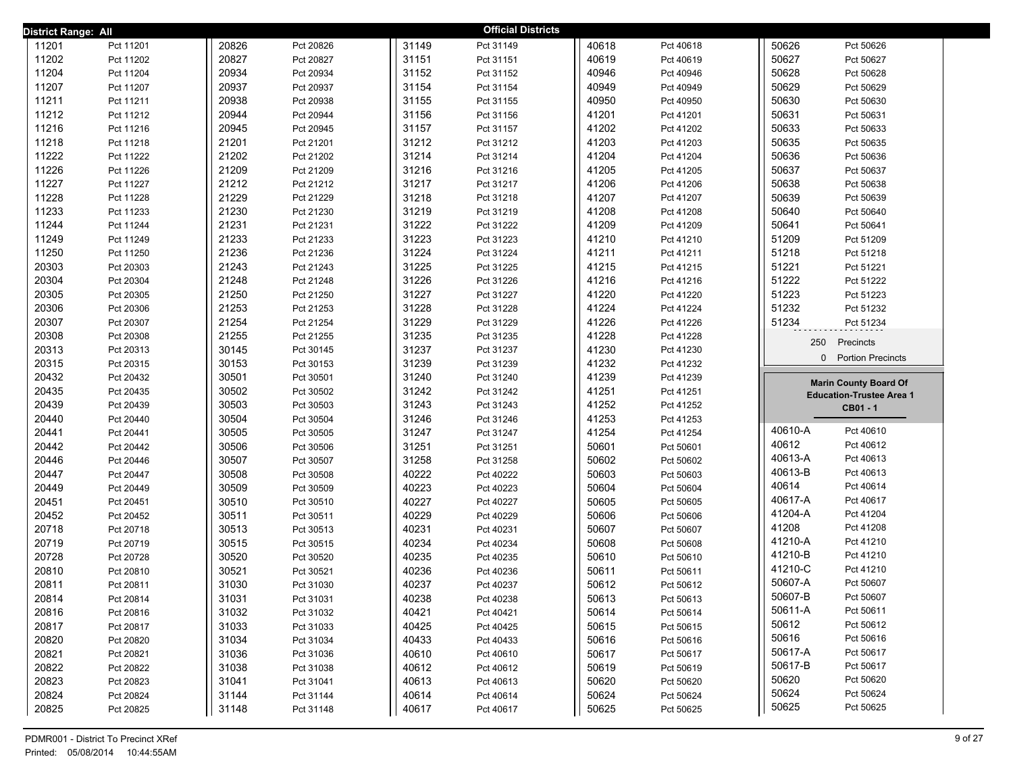| District Range: All |           |       |           |       | <b>Official Districts</b> |       |           |                    |                                 |
|---------------------|-----------|-------|-----------|-------|---------------------------|-------|-----------|--------------------|---------------------------------|
| 11201               | Pct 11201 | 20826 | Pct 20826 | 31149 | Pct 31149                 | 40618 | Pct 40618 | 50626              | Pct 50626                       |
| 11202               | Pct 11202 | 20827 | Pct 20827 | 31151 | Pct 31151                 | 40619 | Pct 40619 | 50627              | Pct 50627                       |
| 11204               | Pct 11204 | 20934 | Pct 20934 | 31152 | Pct 31152                 | 40946 | Pct 40946 | 50628              | Pct 50628                       |
| 11207               | Pct 11207 | 20937 | Pct 20937 | 31154 | Pct 31154                 | 40949 | Pct 40949 | 50629              | Pct 50629                       |
| 11211               | Pct 11211 | 20938 | Pct 20938 | 31155 | Pct 31155                 | 40950 | Pct 40950 | 50630              | Pct 50630                       |
| 11212               | Pct 11212 | 20944 | Pct 20944 | 31156 | Pct 31156                 | 41201 | Pct 41201 | 50631              | Pct 50631                       |
| 11216               | Pct 11216 | 20945 | Pct 20945 | 31157 | Pct 31157                 | 41202 | Pct 41202 | 50633              | Pct 50633                       |
| 11218               | Pct 11218 | 21201 | Pct 21201 | 31212 | Pct 31212                 | 41203 | Pct 41203 | 50635              | Pct 50635                       |
| 11222               | Pct 11222 | 21202 | Pct 21202 | 31214 | Pct 31214                 | 41204 | Pct 41204 | 50636              | Pct 50636                       |
| 11226               | Pct 11226 | 21209 | Pct 21209 | 31216 | Pct 31216                 | 41205 | Pct 41205 | 50637              | Pct 50637                       |
| 11227               | Pct 11227 | 21212 | Pct 21212 | 31217 | Pct 31217                 | 41206 | Pct 41206 | 50638              | Pct 50638                       |
| 11228               | Pct 11228 | 21229 | Pct 21229 | 31218 | Pct 31218                 | 41207 | Pct 41207 | 50639              | Pct 50639                       |
| 11233               | Pct 11233 | 21230 | Pct 21230 | 31219 | Pct 31219                 | 41208 | Pct 41208 | 50640              | Pct 50640                       |
| 11244               | Pct 11244 | 21231 | Pct 21231 | 31222 | Pct 31222                 | 41209 | Pct 41209 | 50641              | Pct 50641                       |
| 11249               | Pct 11249 | 21233 | Pct 21233 | 31223 | Pct 31223                 | 41210 | Pct 41210 | 51209              | Pct 51209                       |
| 11250               | Pct 11250 | 21236 | Pct 21236 | 31224 | Pct 31224                 | 41211 | Pct 41211 | 51218              | Pct 51218                       |
| 20303               | Pct 20303 | 21243 | Pct 21243 | 31225 | Pct 31225                 | 41215 | Pct 41215 | 51221              | Pct 51221                       |
| 20304               | Pct 20304 | 21248 | Pct 21248 | 31226 | Pct 31226                 | 41216 | Pct 41216 | 51222              | Pct 51222                       |
| 20305               | Pct 20305 | 21250 | Pct 21250 | 31227 | Pct 31227                 | 41220 | Pct 41220 | 51223              | Pct 51223                       |
| 20306               | Pct 20306 | 21253 | Pct 21253 | 31228 | Pct 31228                 | 41224 | Pct 41224 | 51232              | Pct 51232                       |
| 20307               | Pct 20307 | 21254 | Pct 21254 | 31229 | Pct 31229                 | 41226 | Pct 41226 | 51234              | Pct 51234                       |
| 20308               | Pct 20308 | 21255 | Pct 21255 | 31235 | Pct 31235                 | 41228 | Pct 41228 | 250                | Precincts                       |
| 20313               | Pct 20313 | 30145 | Pct 30145 | 31237 | Pct 31237                 | 41230 | Pct 41230 | $\mathbf{0}$       | <b>Portion Precincts</b>        |
| 20315               | Pct 20315 | 30153 | Pct 30153 | 31239 | Pct 31239                 | 41232 | Pct 41232 |                    |                                 |
| 20432               | Pct 20432 | 30501 | Pct 30501 | 31240 | Pct 31240                 | 41239 | Pct 41239 |                    | <b>Marin County Board Of</b>    |
| 20435               | Pct 20435 | 30502 | Pct 30502 | 31242 | Pct 31242                 | 41251 | Pct 41251 |                    | <b>Education-Trustee Area 1</b> |
| 20439               | Pct 20439 | 30503 | Pct 30503 | 31243 | Pct 31243                 | 41252 | Pct 41252 |                    | CB01 - 1                        |
| 20440               | Pct 20440 | 30504 | Pct 30504 | 31246 | Pct 31246                 | 41253 | Pct 41253 |                    |                                 |
| 20441               | Pct 20441 | 30505 | Pct 30505 | 31247 | Pct 31247                 | 41254 | Pct 41254 | 40610-A            | Pct 40610                       |
| 20442               | Pct 20442 | 30506 | Pct 30506 | 31251 | Pct 31251                 | 50601 | Pct 50601 | 40612              | Pct 40612                       |
| 20446               | Pct 20446 | 30507 | Pct 30507 | 31258 | Pct 31258                 | 50602 | Pct 50602 | 40613-A            | Pct 40613                       |
| 20447               | Pct 20447 | 30508 | Pct 30508 | 40222 | Pct 40222                 | 50603 | Pct 50603 | 40613-B            | Pct 40613                       |
| 20449               | Pct 20449 | 30509 | Pct 30509 | 40223 | Pct 40223                 | 50604 | Pct 50604 | 40614              | Pct 40614                       |
| 20451               | Pct 20451 | 30510 | Pct 30510 | 40227 | Pct 40227                 | 50605 | Pct 50605 | 40617-A            | Pct 40617                       |
| 20452               | Pct 20452 | 30511 | Pct 30511 | 40229 | Pct 40229                 | 50606 | Pct 50606 | 41204-A            | Pct 41204                       |
| 20718               | Pct 20718 | 30513 | Pct 30513 | 40231 | Pct 40231                 | 50607 | Pct 50607 | 41208              | Pct 41208                       |
| 20719               | Pct 20719 | 30515 | Pct 30515 | 40234 | Pct 40234                 | 50608 | Pct 50608 | 41210-A<br>41210-B | Pct 41210                       |
| 20728               | Pct 20728 | 30520 | Pct 30520 | 40235 | Pct 40235                 | 50610 | Pct 50610 | 41210-C            | Pct 41210                       |
| 20810               | Pct 20810 | 30521 | Pct 30521 | 40236 | Pct 40236                 | 50611 | Pct 50611 | 50607-A            | Pct 41210                       |
| 20811               | Pct 20811 | 31030 | Pct 31030 | 40237 | Pct 40237                 | 50612 | Pct 50612 | 50607-B            | Pct 50607                       |
| 20814               | Pct 20814 | 31031 | Pct 31031 | 40238 | Pct 40238                 | 50613 | Pct 50613 |                    | Pct 50607                       |
| 20816               | Pct 20816 | 31032 | Pct 31032 | 40421 | Pct 40421                 | 50614 | Pct 50614 | 50611-A<br>50612   | Pct 50611<br>Pct 50612          |
| 20817               | Pct 20817 | 31033 | Pct 31033 | 40425 | Pct 40425                 | 50615 | Pct 50615 | 50616              | Pct 50616                       |
| 20820               | Pct 20820 | 31034 | Pct 31034 | 40433 | Pct 40433                 | 50616 | Pct 50616 | 50617-A            | Pct 50617                       |
| 20821               | Pct 20821 | 31036 | Pct 31036 | 40610 | Pct 40610                 | 50617 | Pct 50617 | 50617-B            | Pct 50617                       |
| 20822               | Pct 20822 | 31038 | Pct 31038 | 40612 | Pct 40612                 | 50619 | Pct 50619 | 50620              | Pct 50620                       |
| 20823               | Pct 20823 | 31041 | Pct 31041 | 40613 | Pct 40613                 | 50620 | Pct 50620 | 50624              | Pct 50624                       |
| 20824               | Pct 20824 | 31144 | Pct 31144 | 40614 | Pct 40614                 | 50624 | Pct 50624 | 50625              | Pct 50625                       |
| 20825               | Pct 20825 | 31148 | Pct 31148 | 40617 | Pct 40617                 | 50625 | Pct 50625 |                    |                                 |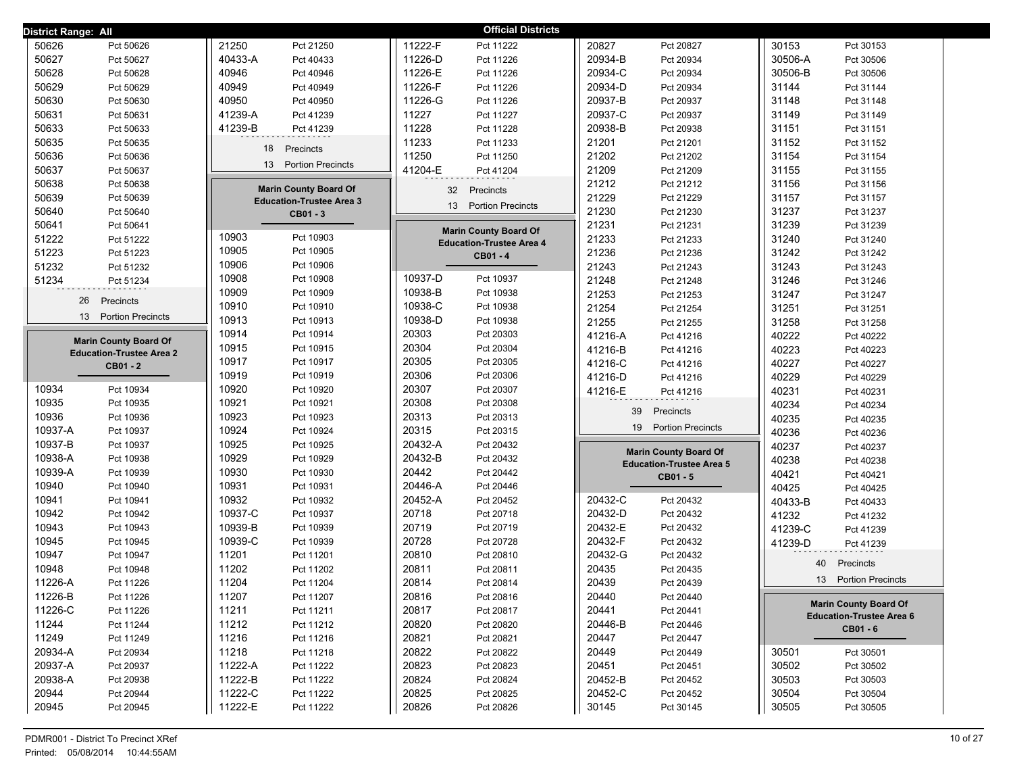| District Range: All               |                                 | <b>Official Districts</b>                |                                              |                                 |
|-----------------------------------|---------------------------------|------------------------------------------|----------------------------------------------|---------------------------------|
| 50626                             | 21250                           | 11222-F                                  | 20827                                        | 30153                           |
| Pct 50626                         | Pct 21250                       | Pct 11222                                | Pct 20827                                    | Pct 30153                       |
| 50627                             | 40433-A                         | 11226-D                                  | 20934-B                                      | 30506-A                         |
| Pct 50627                         | Pct 40433                       | Pct 11226                                | Pct 20934                                    | Pct 30506                       |
| 50628                             | 40946                           | 11226-E                                  | 20934-C                                      | 30506-B                         |
| Pct 50628                         | Pct 40946                       | Pct 11226                                | Pct 20934                                    | Pct 30506                       |
| 50629                             | 40949                           | 11226-F                                  | 20934-D                                      | 31144                           |
| Pct 50629                         | Pct 40949                       | Pct 11226                                | Pct 20934                                    | Pct 31144                       |
| 50630                             | 40950                           | 11226-G                                  | 20937-B                                      | 31148                           |
| Pct 50630                         | Pct 40950                       | Pct 11226                                | Pct 20937                                    | Pct 31148                       |
| 50631                             | 41239-A                         | 11227                                    | 20937-C                                      | 31149                           |
| Pct 50631                         | Pct 41239                       | Pct 11227                                | Pct 20937                                    | Pct 31149                       |
| 50633                             | 41239-B                         | 11228                                    | 20938-B                                      | 31151                           |
| Pct 50633                         | Pct 41239                       | Pct 11228                                | Pct 20938                                    | Pct 31151                       |
| 50635                             | 18                              | 11233                                    | 21201                                        | 31152                           |
| Pct 50635                         | Precincts                       | Pct 11233                                | Pct 21201                                    | Pct 31152                       |
| 50636                             |                                 | 11250                                    | 21202                                        | 31154                           |
| Pct 50636                         |                                 | Pct 11250                                | Pct 21202                                    | Pct 31154                       |
| 50637                             | 13                              | 41204-E                                  | 21209                                        | 31155                           |
| Pct 50637                         | <b>Portion Precincts</b>        | Pct 41204                                | Pct 21209                                    | Pct 31155                       |
| 50638                             | <b>Marin County Board Of</b>    | 32                                       | 21212                                        | 31156                           |
| Pct 50638                         |                                 | Precincts                                | Pct 21212                                    | Pct 31156                       |
| 50639<br>Pct 50639                | <b>Education-Trustee Area 3</b> |                                          | 21229<br>Pct 21229                           | 31157<br>Pct 31157              |
| 50640                             | CB01 - 3                        | 13                                       | 21230                                        | 31237                           |
| Pct 50640                         |                                 | <b>Portion Precincts</b>                 | Pct 21230                                    | Pct 31237                       |
| 50641<br>Pct 50641                |                                 | <b>Marin County Board Of</b>             | 21231<br>Pct 21231                           | 31239<br>Pct 31239              |
| 51222                             | 10903                           | <b>Education-Trustee Area 4</b>          | 21233                                        | 31240                           |
| Pct 51222                         | Pct 10903                       |                                          | Pct 21233                                    | Pct 31240                       |
| 51223                             | 10905                           | CB01 - 4                                 | 21236                                        | 31242                           |
| Pct 51223                         | Pct 10905                       |                                          | Pct 21236                                    | Pct 31242                       |
| 51232                             | 10906                           |                                          | 21243                                        | 31243                           |
| Pct 51232                         | Pct 10906                       |                                          | Pct 21243                                    | Pct 31243                       |
| 51234                             | 10908                           | 10937-D                                  | 21248                                        | 31246                           |
| Pct 51234                         | Pct 10908                       | Pct 10937                                | Pct 21248                                    | Pct 31246                       |
| Precincts                         | 10909                           | 10938-B                                  | 21253                                        | 31247                           |
| 26                                | Pct 10909                       | Pct 10938                                | Pct 21253                                    | Pct 31247                       |
|                                   | 10910                           | 10938-C                                  | 21254                                        | 31251                           |
|                                   | Pct 10910                       | Pct 10938                                | Pct 21254                                    | Pct 31251                       |
| 13                                | 10913                           | 10938-D                                  | 21255                                        | 31258                           |
| <b>Portion Precincts</b>          | Pct 10913                       | Pct 10938                                | Pct 21255                                    | Pct 31258                       |
| <b>Marin County Board Of</b>      | 10914                           | 20303                                    | 41216-A                                      | 40222                           |
|                                   | Pct 10914                       | Pct 20303                                | Pct 41216                                    | Pct 40222                       |
| <b>Education-Trustee Area 2</b>   | 10915                           | 20304                                    | 41216-B                                      | 40223                           |
|                                   | Pct 10915                       | Pct 20304                                | Pct 41216                                    | Pct 40223                       |
| CB01 - 2                          | 10917                           | 20305                                    | 41216-C                                      | 40227                           |
|                                   | Pct 10917                       | Pct 20305                                | Pct 41216                                    | Pct 40227                       |
|                                   | 10919                           | 20306                                    | 41216-D                                      | 40229                           |
|                                   | Pct 10919                       | Pct 20306                                | Pct 41216                                    | Pct 40229                       |
| 10934                             | 10920                           | 20307                                    | 41216-E                                      | 40231                           |
| Pct 10934                         | Pct 10920                       | Pct 20307                                | Pct 41216                                    | Pct 40231                       |
| 10935                             | 10921                           | 20308                                    | 39                                           | 40234                           |
| Pct 10935                         | Pct 10921                       | Pct 20308                                | Precincts                                    | Pct 40234                       |
| 10936                             | 10923                           | 20313                                    | 19 Portion Precincts                         | 40235                           |
| Pct 10936                         | Pct 10923                       | Pct 20313                                |                                              | Pct 40235                       |
| 10937-A                           | 10924                           | 20315                                    |                                              | 40236                           |
| Pct 10937                         | Pct 10924                       | Pct 20315                                |                                              | Pct 40236                       |
| 10937-B                           | 10925                           | 20432-A                                  | <b>Marin County Board Of</b>                 | 40237                           |
| Pct 10937                         | Pct 10925                       | Pct 20432                                |                                              | Pct 40237                       |
| 10938-A                           | 10929                           | 20432-B                                  | <b>Education-Trustee Area 5</b>              | 40238                           |
| Pct 10938                         | Pct 10929                       | Pct 20432                                |                                              | Pct 40238                       |
| 10939-A                           | 10930                           | 20442                                    | CB01 - 5                                     | 40421                           |
| Pct 10939                         | Pct 10930                       | Pct 20442                                |                                              | Pct 40421                       |
| 10940                             | 10931                           | 20446-A                                  |                                              | 40425                           |
| Pct 10940                         | Pct 10931                       | Pct 20446                                |                                              | Pct 40425                       |
| 10941                             | 10932                           | 20452-A                                  | 20432-C                                      | 40433-B                         |
| Pct 10941                         | Pct 10932                       | Pct 20452                                | Pct 20432                                    | Pct 40433                       |
| 10942                             | 10937-C                         | 20718                                    | 20432-D                                      | 41232                           |
| Pct 10942                         | Pct 10937                       | Pct 20718                                | Pct 20432                                    | Pct 41232                       |
| 10943<br>Pct 10943<br>10945       | 10939-B<br>Pct 10939<br>10939-C | 20719<br>Pct 20719<br>20728<br>Pct 20728 | 20432-E<br>Pct 20432<br>20432-F<br>Pct 20432 | 41239-C<br>Pct 41239            |
| Pct 10945<br>10947                | Pct 10939<br>11201              | 20810                                    | 20432-G                                      | 41239-D<br>Pct 41239            |
| Pct 10947                         | Pct 11201                       | Pct 20810                                | Pct 20432                                    | 40                              |
| 10948                             | 11202                           | 20811                                    | 20435                                        | Precincts                       |
| Pct 10948<br>11226-A<br>Pct 11226 | Pct 11202<br>11204              | Pct 20811<br>20814<br>Pct 20814          | Pct 20435<br>20439<br>Pct 20439              | 13 Portion Precincts            |
|                                   | Pct 11204                       |                                          |                                              |                                 |
| 11226-B                           | 11207                           | 20816                                    | 20440                                        | <b>Marin County Board Of</b>    |
| Pct 11226                         | Pct 11207                       | Pct 20816                                | Pct 20440                                    |                                 |
| 11226-C                           | 11211                           | 20817                                    | 20441                                        |                                 |
| Pct 11226                         | Pct 11211                       | Pct 20817                                | Pct 20441                                    |                                 |
| 11244                             | 11212                           | 20820                                    | 20446-B                                      | <b>Education-Trustee Area 6</b> |
| Pct 11244                         | Pct 11212                       | Pct 20820                                | Pct 20446                                    |                                 |
| 11249                             | 11216                           | 20821                                    | 20447                                        | CB01 - 6                        |
| Pct 11249                         | Pct 11216                       | Pct 20821                                | Pct 20447                                    |                                 |
| 20934-A                           | 11218                           | 20822                                    | 20449                                        | 30501                           |
| Pct 20934                         | Pct 11218                       | Pct 20822                                | Pct 20449                                    | Pct 30501                       |
| 20937-A                           | 11222-A                         | 20823                                    | 20451                                        | 30502                           |
| Pct 20937                         | Pct 11222                       | Pct 20823                                | Pct 20451                                    | Pct 30502                       |
| 20938-A                           | 11222-B                         | 20824                                    | 20452-B                                      | 30503                           |
| Pct 20938                         | Pct 11222                       | Pct 20824                                | Pct 20452                                    | Pct 30503                       |
| 20944                             | 11222-C                         | 20825                                    | 20452-C                                      | 30504                           |
| Pct 20944                         | Pct 11222                       | Pct 20825                                | Pct 20452                                    | Pct 30504                       |
| 20945                             | 11222-E                         | 20826                                    | 30145                                        | 30505                           |
| Pct 20945                         | Pct 11222                       | Pct 20826                                | Pct 30145                                    | Pct 30505                       |
|                                   |                                 |                                          |                                              |                                 |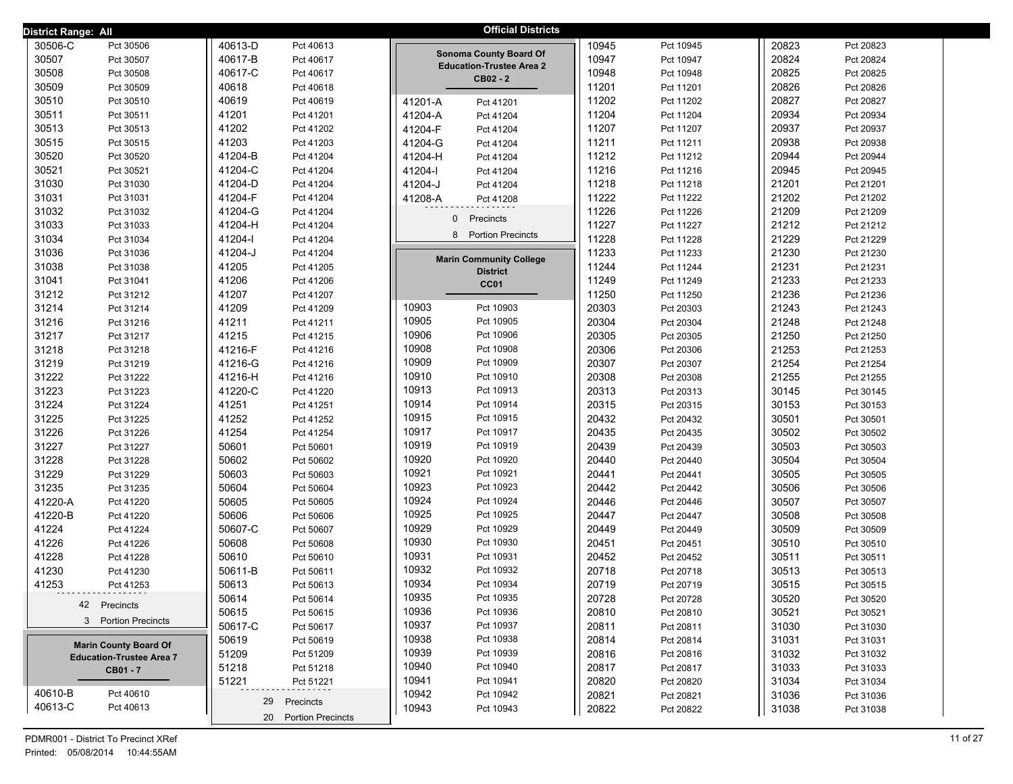| <b>District Range: All</b> |                                 |         |                      |              | <b>Official Districts</b>                   |       |           |       |           |
|----------------------------|---------------------------------|---------|----------------------|--------------|---------------------------------------------|-------|-----------|-------|-----------|
| 30506-C                    | Pct 30506                       | 40613-D | Pct 40613            |              |                                             | 10945 | Pct 10945 | 20823 | Pct 20823 |
| 30507                      | Pct 30507                       | 40617-B | Pct 40617            |              | <b>Sonoma County Board Of</b>               | 10947 | Pct 10947 | 20824 | Pct 20824 |
| 30508                      | Pct 30508                       | 40617-C | Pct 40617            |              | <b>Education-Trustee Area 2</b><br>CB02 - 2 | 10948 | Pct 10948 | 20825 | Pct 20825 |
| 30509                      | Pct 30509                       | 40618   | Pct 40618            |              |                                             | 11201 | Pct 11201 | 20826 | Pct 20826 |
| 30510                      | Pct 30510                       | 40619   | Pct 40619            | 41201-A      | Pct 41201                                   | 11202 | Pct 11202 | 20827 | Pct 20827 |
| 30511                      | Pct 30511                       | 41201   | Pct 41201            | 41204-A      | Pct 41204                                   | 11204 | Pct 11204 | 20934 | Pct 20934 |
| 30513                      | Pct 30513                       | 41202   | Pct 41202            | 41204-F      | Pct 41204                                   | 11207 | Pct 11207 | 20937 | Pct 20937 |
| 30515                      | Pct 30515                       | 41203   | Pct 41203            | 41204-G      | Pct 41204                                   | 11211 | Pct 11211 | 20938 | Pct 20938 |
| 30520                      | Pct 30520                       | 41204-B | Pct 41204            | 41204-H      | Pct 41204                                   | 11212 | Pct 11212 | 20944 | Pct 20944 |
| 30521                      | Pct 30521                       | 41204-C | Pct 41204            | 41204-l      | Pct 41204                                   | 11216 | Pct 11216 | 20945 | Pct 20945 |
| 31030                      | Pct 31030                       | 41204-D | Pct 41204            | 41204-J      | Pct 41204                                   | 11218 | Pct 11218 | 21201 | Pct 21201 |
| 31031                      | Pct 31031                       | 41204-F | Pct 41204            | 41208-A      | Pct 41208                                   | 11222 | Pct 11222 | 21202 | Pct 21202 |
| 31032                      | Pct 31032                       | 41204-G | Pct 41204            | $\mathbf{0}$ |                                             | 11226 | Pct 11226 | 21209 | Pct 21209 |
| 31033                      | Pct 31033                       | 41204-H | Pct 41204            |              | Precincts                                   | 11227 | Pct 11227 | 21212 | Pct 21212 |
| 31034                      | Pct 31034                       | 41204-l | Pct 41204            | 8            | <b>Portion Precincts</b>                    | 11228 | Pct 11228 | 21229 | Pct 21229 |
| 31036                      | Pct 31036                       | 41204-J | Pct 41204            |              | <b>Marin Community College</b>              | 11233 | Pct 11233 | 21230 | Pct 21230 |
| 31038                      | Pct 31038                       | 41205   | Pct 41205            |              | <b>District</b>                             | 11244 | Pct 11244 | 21231 | Pct 21231 |
| 31041                      | Pct 31041                       | 41206   | Pct 41206            |              | CC01                                        | 11249 | Pct 11249 | 21233 | Pct 21233 |
| 31212                      | Pct 31212                       | 41207   | Pct 41207            |              |                                             | 11250 | Pct 11250 | 21236 | Pct 21236 |
| 31214                      | Pct 31214                       | 41209   | Pct 41209            | 10903        | Pct 10903                                   | 20303 | Pct 20303 | 21243 | Pct 21243 |
| 31216                      | Pct 31216                       | 41211   | Pct 41211            | 10905        | Pct 10905                                   | 20304 | Pct 20304 | 21248 | Pct 21248 |
| 31217                      | Pct 31217                       | 41215   | Pct 41215            | 10906        | Pct 10906                                   | 20305 | Pct 20305 | 21250 | Pct 21250 |
| 31218                      | Pct 31218                       | 41216-F | Pct 41216            | 10908        | Pct 10908                                   | 20306 | Pct 20306 | 21253 | Pct 21253 |
| 31219                      | Pct 31219                       | 41216-G | Pct 41216            | 10909        | Pct 10909                                   | 20307 | Pct 20307 | 21254 | Pct 21254 |
| 31222                      | Pct 31222                       | 41216-H | Pct 41216            | 10910        | Pct 10910                                   | 20308 | Pct 20308 | 21255 | Pct 21255 |
| 31223                      | Pct 31223                       | 41220-C | Pct 41220            | 10913        | Pct 10913                                   | 20313 | Pct 20313 | 30145 | Pct 30145 |
| 31224                      | Pct 31224                       | 41251   | Pct 41251            | 10914        | Pct 10914                                   | 20315 | Pct 20315 | 30153 | Pct 30153 |
| 31225                      | Pct 31225                       | 41252   | Pct 41252            | 10915        | Pct 10915                                   | 20432 | Pct 20432 | 30501 | Pct 30501 |
| 31226                      | Pct 31226                       | 41254   | Pct 41254            | 10917        | Pct 10917                                   | 20435 | Pct 20435 | 30502 | Pct 30502 |
| 31227                      | Pct 31227                       | 50601   | Pct 50601            | 10919        | Pct 10919                                   | 20439 | Pct 20439 | 30503 | Pct 30503 |
| 31228                      | Pct 31228                       | 50602   | Pct 50602            | 10920        | Pct 10920                                   | 20440 | Pct 20440 | 30504 | Pct 30504 |
| 31229                      | Pct 31229                       | 50603   | Pct 50603            | 10921        | Pct 10921                                   | 20441 | Pct 20441 | 30505 | Pct 30505 |
| 31235                      | Pct 31235                       | 50604   | Pct 50604            | 10923        | Pct 10923                                   | 20442 | Pct 20442 | 30506 | Pct 30506 |
| 41220-A                    | Pct 41220                       | 50605   | Pct 50605            | 10924        | Pct 10924                                   | 20446 | Pct 20446 | 30507 | Pct 30507 |
| 41220-B                    | Pct 41220                       | 50606   | Pct 50606            | 10925        | Pct 10925                                   | 20447 | Pct 20447 | 30508 | Pct 30508 |
| 41224                      | Pct 41224                       | 50607-C | Pct 50607            | 10929        | Pct 10929                                   | 20449 | Pct 20449 | 30509 | Pct 30509 |
| 41226                      | Pct 41226                       | 50608   | Pct 50608            | 10930        | Pct 10930                                   | 20451 | Pct 20451 | 30510 | Pct 30510 |
| 41228                      | Pct 41228                       | 50610   | Pct 50610            | 10931        | Pct 10931                                   | 20452 | Pct 20452 | 30511 | Pct 30511 |
| 41230                      | Pct 41230                       | 50611-B | Pct 50611            | 10932        | Pct 10932                                   | 20718 | Pct 20718 | 30513 | Pct 30513 |
| 41253                      | Pct 41253                       | 50613   | Pct 50613            | 10934        | Pct 10934                                   | 20719 | Pct 20719 | 30515 | Pct 30515 |
|                            | 42 Precincts                    | 50614   | Pct 50614            | 10935        | Pct 10935                                   | 20728 | Pct 20728 | 30520 | Pct 30520 |
|                            | 3 Portion Precincts             | 50615   | Pct 50615            | 10936        | Pct 10936                                   | 20810 | Pct 20810 | 30521 | Pct 30521 |
|                            |                                 | 50617-C | Pct 50617            | 10937        | Pct 10937                                   | 20811 | Pct 20811 | 31030 | Pct 31030 |
|                            | <b>Marin County Board Of</b>    | 50619   | Pct 50619            | 10938        | Pct 10938                                   | 20814 | Pct 20814 | 31031 | Pct 31031 |
|                            | <b>Education-Trustee Area 7</b> | 51209   | Pct 51209            | 10939        | Pct 10939                                   | 20816 | Pct 20816 | 31032 | Pct 31032 |
|                            | CB01 - 7                        | 51218   | Pct 51218            | 10940        | Pct 10940                                   | 20817 | Pct 20817 | 31033 | Pct 31033 |
| 40610-B                    | Pct 40610                       | 51221   | Pct 51221            | 10941        | Pct 10941                                   | 20820 | Pct 20820 | 31034 | Pct 31034 |
| 40613-C                    | Pct 40613                       | 29      | Precincts            | 10942        | Pct 10942                                   | 20821 | Pct 20821 | 31036 | Pct 31036 |
|                            |                                 |         | 20 Portion Precincts | 10943        | Pct 10943                                   | 20822 | Pct 20822 | 31038 | Pct 31038 |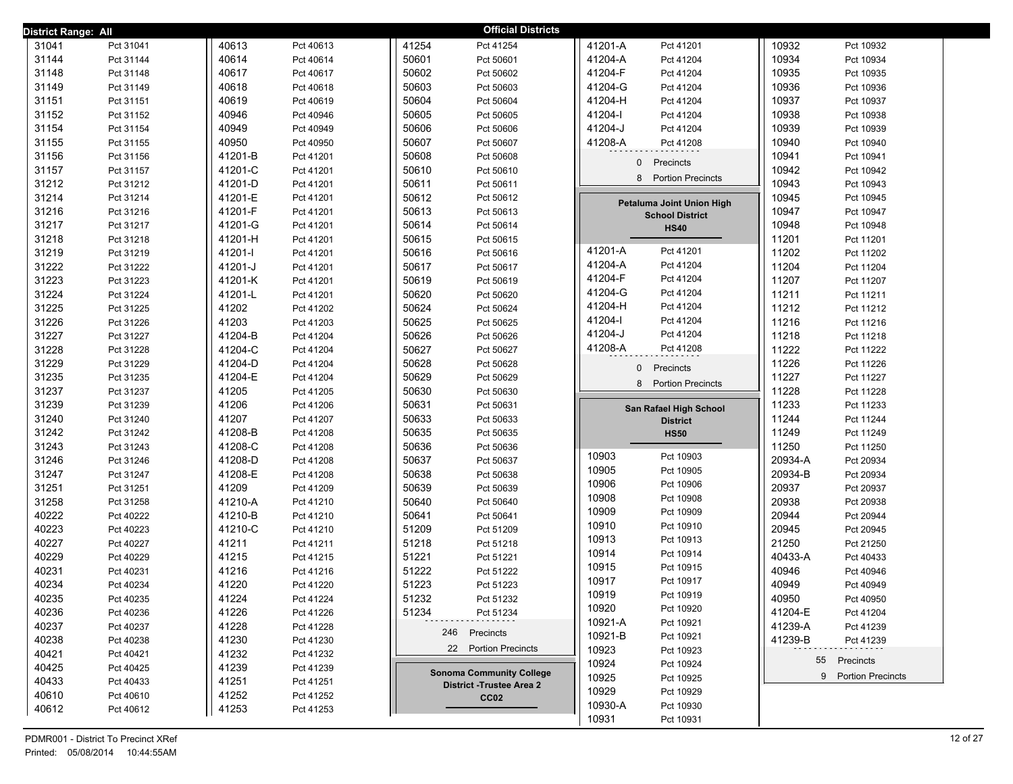| District Range: All |           |         |           | <b>Official Districts</b>       |                                            |                      |
|---------------------|-----------|---------|-----------|---------------------------------|--------------------------------------------|----------------------|
| 31041               | Pct 31041 | 40613   | Pct 40613 | 41254<br>Pct 41254              | 41201-A<br>Pct 41201                       | 10932<br>Pct 10932   |
| 31144               | Pct 31144 | 40614   | Pct 40614 | 50601<br>Pct 50601              | 41204-A<br>Pct 41204                       | 10934<br>Pct 10934   |
| 31148               | Pct 31148 | 40617   | Pct 40617 | 50602<br>Pct 50602              | 41204-F<br>Pct 41204                       | 10935<br>Pct 10935   |
| 31149               | Pct 31149 | 40618   | Pct 40618 | 50603<br>Pct 50603              | 41204-G<br>Pct 41204                       | 10936<br>Pct 10936   |
| 31151               | Pct 31151 | 40619   | Pct 40619 | 50604<br>Pct 50604              | 41204-H<br>Pct 41204                       | 10937<br>Pct 10937   |
| 31152               | Pct 31152 | 40946   | Pct 40946 | 50605<br>Pct 50605              | 41204-l<br>Pct 41204                       | 10938<br>Pct 10938   |
| 31154               | Pct 31154 | 40949   | Pct 40949 | 50606<br>Pct 50606              | 41204-J<br>Pct 41204                       | 10939<br>Pct 10939   |
| 31155               | Pct 31155 | 40950   | Pct 40950 | 50607<br>Pct 50607              | 41208-A<br>Pct 41208                       | 10940<br>Pct 10940   |
| 31156               | Pct 31156 | 41201-B | Pct 41201 | 50608<br>Pct 50608              | Precincts<br>0                             | 10941<br>Pct 10941   |
| 31157               | Pct 31157 | 41201-C | Pct 41201 | 50610<br>Pct 50610              |                                            | 10942<br>Pct 10942   |
| 31212               | Pct 31212 | 41201-D | Pct 41201 | 50611<br>Pct 50611              | 8<br><b>Portion Precincts</b>              | 10943<br>Pct 10943   |
| 31214               | Pct 31214 | 41201-E | Pct 41201 | 50612<br>Pct 50612              | Petaluma Joint Union High                  | 10945<br>Pct 10945   |
| 31216               | Pct 31216 | 41201-F | Pct 41201 | 50613<br>Pct 50613              | <b>School District</b>                     | 10947<br>Pct 10947   |
| 31217               | Pct 31217 | 41201-G | Pct 41201 | 50614<br>Pct 50614              | <b>HS40</b>                                | 10948<br>Pct 10948   |
| 31218               | Pct 31218 | 41201-H | Pct 41201 | 50615<br>Pct 50615              |                                            | 11201<br>Pct 11201   |
| 31219               | Pct 31219 | 41201-l | Pct 41201 | 50616<br>Pct 50616              | 41201-A<br>Pct 41201                       | 11202<br>Pct 11202   |
| 31222               | Pct 31222 | 41201-J | Pct 41201 | 50617<br>Pct 50617              | 41204-A<br>Pct 41204                       | 11204<br>Pct 11204   |
| 31223               | Pct 31223 | 41201-K | Pct 41201 | 50619<br>Pct 50619              | 41204-F<br>Pct 41204                       | 11207<br>Pct 11207   |
| 31224               | Pct 31224 | 41201-L | Pct 41201 | 50620<br>Pct 50620              | 41204-G<br>Pct 41204                       | 11211<br>Pct 11211   |
| 31225               | Pct 31225 | 41202   | Pct 41202 | 50624<br>Pct 50624              | 41204-H<br>Pct 41204                       | 11212<br>Pct 11212   |
| 31226               | Pct 31226 | 41203   | Pct 41203 | 50625<br>Pct 50625              | 41204-l<br>Pct 41204                       | 11216<br>Pct 11216   |
| 31227               | Pct 31227 | 41204-B | Pct 41204 | 50626<br>Pct 50626              | 41204-J<br>Pct 41204                       | 11218<br>Pct 11218   |
| 31228               | Pct 31228 | 41204-C | Pct 41204 | 50627<br>Pct 50627              | 41208-A<br>Pct 41208                       | 11222<br>Pct 11222   |
| 31229               | Pct 31229 | 41204-D | Pct 41204 | 50628<br>Pct 50628              | 0<br>Precincts                             | 11226<br>Pct 11226   |
| 31235               | Pct 31235 | 41204-E | Pct 41204 | 50629<br>Pct 50629              | 8 Portion Precincts                        | 11227<br>Pct 11227   |
| 31237               | Pct 31237 | 41205   | Pct 41205 | 50630<br>Pct 50630              |                                            | 11228<br>Pct 11228   |
| 31239               | Pct 31239 | 41206   | Pct 41206 | 50631<br>Pct 50631              | San Rafael High School                     | 11233<br>Pct 11233   |
| 31240               | Pct 31240 | 41207   | Pct 41207 | 50633<br>Pct 50633              | <b>District</b>                            | 11244<br>Pct 11244   |
| 31242               | Pct 31242 | 41208-B | Pct 41208 | 50635<br>Pct 50635              | <b>HS50</b>                                | 11249<br>Pct 11249   |
| 31243               | Pct 31243 | 41208-C | Pct 41208 | 50636<br>Pct 50636              |                                            | 11250<br>Pct 11250   |
| 31246               | Pct 31246 | 41208-D | Pct 41208 | 50637<br>Pct 50637              | 10903<br>Pct 10903                         | 20934-A<br>Pct 20934 |
| 31247               | Pct 31247 | 41208-E | Pct 41208 | 50638<br>Pct 50638              | 10905<br>Pct 10905<br>10906                | 20934-B<br>Pct 20934 |
| 31251               | Pct 31251 | 41209   | Pct 41209 | 50639<br>Pct 50639              | Pct 10906                                  | 20937<br>Pct 20937   |
| 31258               | Pct 31258 | 41210-A | Pct 41210 | 50640<br>Pct 50640              | 10908<br>Pct 10908                         | 20938<br>Pct 20938   |
| 40222               | Pct 40222 | 41210-B | Pct 41210 | 50641<br>Pct 50641              | 10909<br>Pct 10909<br>10910                | 20944<br>Pct 20944   |
| 40223               | Pct 40223 | 41210-C | Pct 41210 | 51209<br>Pct 51209              | Pct 10910<br>10913<br>Pct 10913            | 20945<br>Pct 20945   |
| 40227               | Pct 40227 | 41211   | Pct 41211 | 51218<br>Pct 51218              | 10914<br>Pct 10914                         | 21250<br>Pct 21250   |
| 40229               | Pct 40229 | 41215   | Pct 41215 | 51221<br>Pct 51221              | 10915<br>Pct 10915                         | 40433-A<br>Pct 40433 |
| 40231               | Pct 40231 | 41216   | Pct 41216 | 51222<br>Pct 51222              | 10917                                      | 40946<br>Pct 40946   |
| 40234               | Pct 40234 | 41220   | Pct 41220 | 51223<br>Pct 51223              | Pct 10917<br>10919<br>Pct 10919            | 40949<br>Pct 40949   |
| 40235               | Pct 40235 | 41224   | Pct 41224 | 51232<br>Pct 51232              |                                            | 40950<br>Pct 40950   |
| 40236               | Pct 40236 | 41226   | Pct 41226 | 51234<br>Pct 51234              | 10920<br>Pct 10920<br>10921-A<br>Pct 10921 | 41204-E<br>Pct 41204 |
| 40237               | Pct 40237 | 41228   | Pct 41228 | 246 Precincts                   | 10921-B<br>Pct 10921                       | 41239-A<br>Pct 41239 |
| 40238               | Pct 40238 | 41230   | Pct 41230 | 22 Portion Precincts            | 10923                                      | 41239-B<br>Pct 41239 |
| 40421               | Pct 40421 | 41232   | Pct 41232 |                                 | Pct 10923<br>10924                         | 55 Precincts         |
| 40425               | Pct 40425 | 41239   | Pct 41239 | <b>Sonoma Community College</b> | Pct 10924<br>10925<br>Pct 10925            | 9 Portion Precincts  |
| 40433               | Pct 40433 | 41251   | Pct 41251 | <b>District -Trustee Area 2</b> | 10929<br>Pct 10929                         |                      |
| 40610               | Pct 40610 | 41252   | Pct 41252 | CC <sub>02</sub>                | 10930-A<br>Pct 10930                       |                      |
| 40612               | Pct 40612 | 41253   | Pct 41253 |                                 | 10931<br>Pct 10931                         |                      |
|                     |           |         |           |                                 |                                            |                      |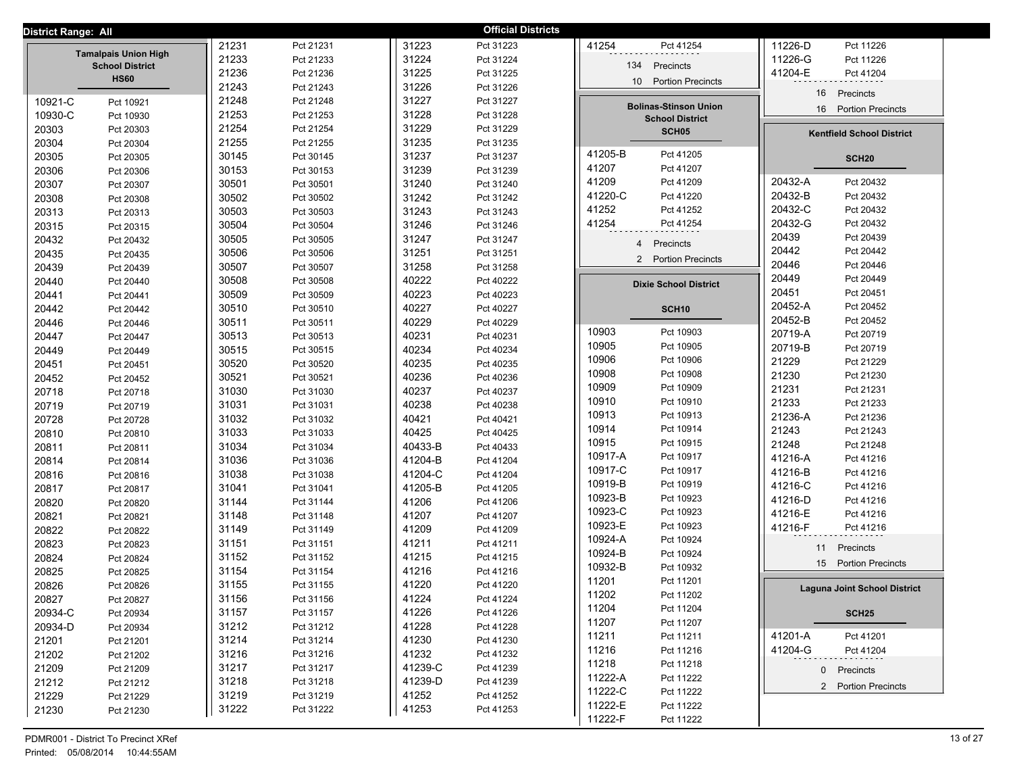| District Range: All |                                       |                |                        |                    | <b>Official Districts</b> |                                             |                                     |
|---------------------|---------------------------------------|----------------|------------------------|--------------------|---------------------------|---------------------------------------------|-------------------------------------|
|                     |                                       | 21231          | Pct 21231              | 31223              | Pct 31223                 | 41254<br>Pct 41254                          | 11226-D<br>Pct 11226                |
|                     | <b>Tamalpais Union High</b>           | 21233          | Pct 21233              | 31224              | Pct 31224                 |                                             | 11226-G<br>Pct 11226                |
|                     | <b>School District</b><br><b>HS60</b> | 21236          | Pct 21236              | 31225              | Pct 31225                 | Precincts<br>134                            | 41204-E<br>Pct 41204                |
|                     |                                       | 21243          | Pct 21243              | 31226              | Pct 31226                 | 10 <sup>1</sup><br><b>Portion Precincts</b> | 16<br>Precincts                     |
| 10921-C             | Pct 10921                             | 21248          | Pct 21248              | 31227              | Pct 31227                 | <b>Bolinas-Stinson Union</b>                |                                     |
| 10930-C             | Pct 10930                             | 21253          | Pct 21253              | 31228              | Pct 31228                 | <b>School District</b>                      | <b>Portion Precincts</b><br>16      |
| 20303               | Pct 20303                             | 21254          | Pct 21254              | 31229              | Pct 31229                 | SCH <sub>05</sub>                           | <b>Kentfield School District</b>    |
| 20304               | Pct 20304                             | 21255          | Pct 21255              | 31235              | Pct 31235                 |                                             |                                     |
| 20305               | Pct 20305                             | 30145          | Pct 30145              | 31237              | Pct 31237                 | 41205-B<br>Pct 41205                        | <b>SCH20</b>                        |
| 20306               | Pct 20306                             | 30153          | Pct 30153              | 31239              | Pct 31239                 | 41207<br>Pct 41207                          |                                     |
| 20307               | Pct 20307                             | 30501          | Pct 30501              | 31240              | Pct 31240                 | 41209<br>Pct 41209                          | 20432-A<br>Pct 20432                |
| 20308               | Pct 20308                             | 30502          | Pct 30502              | 31242              | Pct 31242                 | 41220-C<br>Pct 41220                        | 20432-B<br>Pct 20432                |
| 20313               | Pct 20313                             | 30503          | Pct 30503              | 31243              | Pct 31243                 | 41252<br>Pct 41252                          | 20432-C<br>Pct 20432                |
| 20315               | Pct 20315                             | 30504          | Pct 30504              | 31246              | Pct 31246                 | 41254<br>Pct 41254                          | 20432-G<br>Pct 20432                |
| 20432               | Pct 20432                             | 30505          | Pct 30505              | 31247              | Pct 31247                 | Precincts<br>$\overline{4}$                 | 20439<br>Pct 20439                  |
| 20435               | Pct 20435                             | 30506          | Pct 30506              | 31251              | Pct 31251                 | 2 Portion Precincts                         | 20442<br>Pct 20442                  |
| 20439               | Pct 20439                             | 30507          | Pct 30507              | 31258              | Pct 31258                 |                                             | 20446<br>Pct 20446                  |
| 20440               | Pct 20440                             | 30508          | Pct 30508              | 40222              | Pct 40222                 | <b>Dixie School District</b>                | 20449<br>Pct 20449                  |
| 20441               | Pct 20441                             | 30509          | Pct 30509              | 40223              | Pct 40223                 |                                             | 20451<br>Pct 20451                  |
| 20442               | Pct 20442                             | 30510          | Pct 30510              | 40227              | Pct 40227                 | SCH <sub>10</sub>                           | 20452-A<br>Pct 20452                |
| 20446               | Pct 20446                             | 30511          | Pct 30511              | 40229              | Pct 40229                 | 10903<br>Pct 10903                          | 20452-B<br>Pct 20452                |
| 20447               | Pct 20447                             | 30513          | Pct 30513              | 40231              | Pct 40231                 | 10905<br>Pct 10905                          | 20719-A<br>Pct 20719                |
| 20449               | Pct 20449                             | 30515          | Pct 30515              | 40234              | Pct 40234                 | 10906<br>Pct 10906                          | 20719-B<br>Pct 20719                |
| 20451               | Pct 20451                             | 30520          | Pct 30520              | 40235              | Pct 40235                 | 10908<br>Pct 10908                          | 21229<br>Pct 21229                  |
| 20452               | Pct 20452                             | 30521          | Pct 30521              | 40236              | Pct 40236                 | 10909<br>Pct 10909                          | 21230<br>Pct 21230                  |
| 20718               | Pct 20718                             | 31030          | Pct 31030              | 40237              | Pct 40237                 | 10910<br>Pct 10910                          | 21231<br>Pct 21231                  |
| 20719               | Pct 20719                             | 31031          | Pct 31031              | 40238              | Pct 40238                 | 10913<br>Pct 10913                          | 21233<br>Pct 21233<br>21236-A       |
| 20728               | Pct 20728                             | 31032          | Pct 31032              | 40421              | Pct 40421                 | 10914<br>Pct 10914                          | Pct 21236<br>21243<br>Pct 21243     |
| 20810               | Pct 20810                             | 31033          | Pct 31033              | 40425              | Pct 40425                 | 10915<br>Pct 10915                          | 21248<br>Pct 21248                  |
| 20811               | Pct 20811                             | 31034          | Pct 31034              | 40433-B            | Pct 40433                 | 10917-A<br>Pct 10917                        | 41216-A<br>Pct 41216                |
| 20814               | Pct 20814                             | 31036          | Pct 31036              | 41204-B            | Pct 41204                 | 10917-C<br>Pct 10917                        | 41216-B<br>Pct 41216                |
| 20816               | Pct 20816                             | 31038          | Pct 31038              | 41204-C<br>41205-B | Pct 41204                 | 10919-B<br>Pct 10919                        | 41216-C<br>Pct 41216                |
| 20817               | Pct 20817                             | 31041          | Pct 31041              |                    | Pct 41205                 | 10923-B<br>Pct 10923                        | 41216-D<br>Pct 41216                |
| 20820               | Pct 20820                             | 31144<br>31148 | Pct 31144              | 41206<br>41207     | Pct 41206<br>Pct 41207    | 10923-C<br>Pct 10923                        | 41216-E<br>Pct 41216                |
| 20821               | Pct 20821                             | 31149          | Pct 31148              | 41209              | Pct 41209                 | 10923-E<br>Pct 10923                        | 41216-F<br>Pct 41216                |
| 20822<br>20823      | Pct 20822                             | 31151          | Pct 31149<br>Pct 31151 | 41211              | Pct 41211                 | 10924-A<br>Pct 10924                        |                                     |
| 20824               | Pct 20823                             | 31152          | Pct 31152              | 41215              | Pct 41215                 | 10924-B<br>Pct 10924                        | Precincts<br>11                     |
| 20825               | Pct 20824                             | 31154          | Pct 31154              | 41216              | Pct 41216                 | 10932-B<br>Pct 10932                        | 15 Portion Precincts                |
| 20826               | Pct 20825<br>Pct 20826                | 31155          | Pct 31155              | 41220              | Pct 41220                 | 11201<br>Pct 11201                          |                                     |
| 20827               | Pct 20827                             | 31156          | Pct 31156              | 41224              | Pct 41224                 | 11202<br>Pct 11202                          | <b>Laguna Joint School District</b> |
| 20934-C             | Pct 20934                             | 31157          | Pct 31157              | 41226              | Pct 41226                 | 11204<br>Pct 11204                          | <b>SCH25</b>                        |
| 20934-D             | Pct 20934                             | 31212          | Pct 31212              | 41228              | Pct 41228                 | 11207<br>Pct 11207                          |                                     |
| 21201               | Pct 21201                             | 31214          | Pct 31214              | 41230              | Pct 41230                 | 11211<br>Pct 11211                          | 41201-A<br>Pct 41201                |
| 21202               | Pct 21202                             | 31216          | Pct 31216              | 41232              | Pct 41232                 | 11216<br>Pct 11216                          | 41204-G<br>Pct 41204                |
| 21209               | Pct 21209                             | 31217          | Pct 31217              | 41239-C            | Pct 41239                 | 11218<br>Pct 11218                          | 0 Precincts                         |
| 21212               | Pct 21212                             | 31218          | Pct 31218              | 41239-D            | Pct 41239                 | 11222-A<br>Pct 11222                        |                                     |
| 21229               | Pct 21229                             | 31219          | Pct 31219              | 41252              | Pct 41252                 | 11222-C<br>Pct 11222                        | 2 Portion Precincts                 |
| 21230               | Pct 21230                             | 31222          | Pct 31222              | 41253              | Pct 41253                 | 11222-E<br>Pct 11222                        |                                     |
|                     |                                       |                |                        |                    |                           | 11222-F<br>Pct 11222                        |                                     |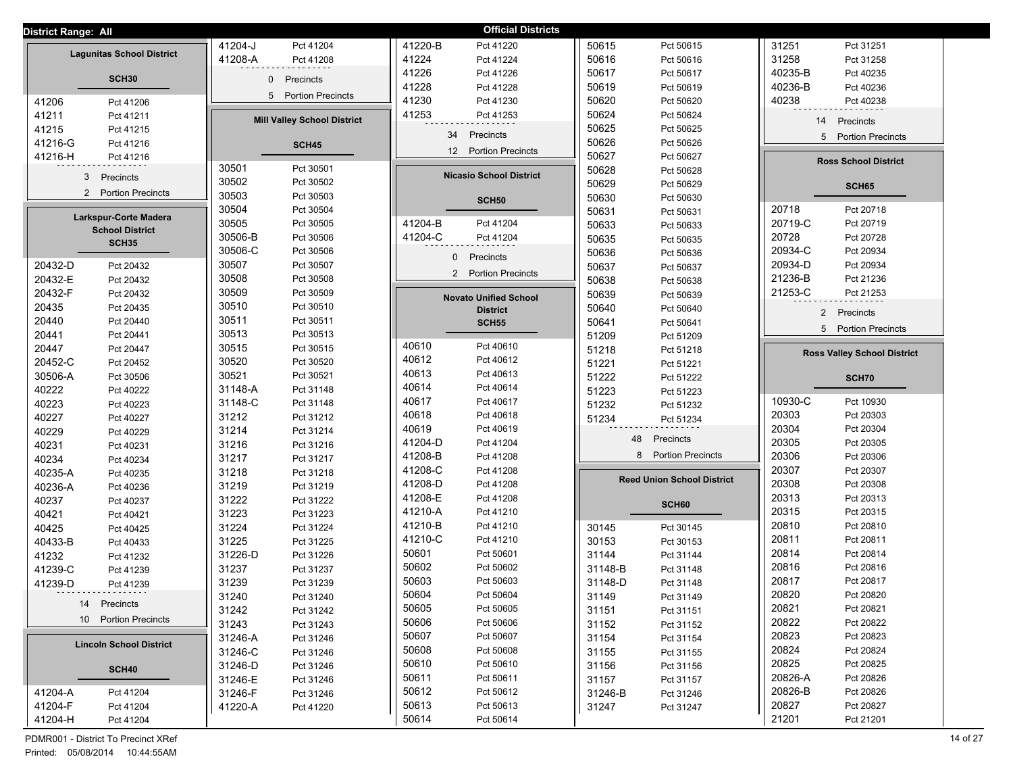| District Range: All              |                                          | <b>Official Districts</b>       |                                          |                                    |
|----------------------------------|------------------------------------------|---------------------------------|------------------------------------------|------------------------------------|
|                                  | 41204-J                                  | 41220-B                         | 50615                                    | 31251                              |
|                                  | Pct 41204                                | Pct 41220                       | Pct 50615                                | Pct 31251                          |
| <b>Lagunitas School District</b> | 41208-A                                  | 41224                           | 50616                                    | 31258                              |
|                                  | Pct 41208                                | Pct 41224                       | Pct 50616                                | Pct 31258                          |
| SCH <sub>30</sub>                | $\mathbf 0$                              | 41226                           | 50617                                    | 40235-B                            |
|                                  | Precincts                                | Pct 41226                       | Pct 50617                                | Pct 40235                          |
|                                  |                                          | 41228<br>Pct 41228              | 50619<br>Pct 50619                       | 40236-B<br>Pct 40236               |
| 41206                            | 5                                        | 41230                           | 50620                                    | 40238                              |
| Pct 41206                        | <b>Portion Precincts</b>                 | Pct 41230                       | Pct 50620                                | Pct 40238                          |
| 41211                            | <b>Mill Valley School District</b>       | 41253                           | 50624                                    | Precincts                          |
| Pct 41211                        |                                          | Pct 41253                       | Pct 50624                                | 14                                 |
| 41215<br>Pct 41215               |                                          | 34<br>Precincts                 | 50625<br>Pct 50625                       | 5 Portion Precincts                |
| 41216-G<br>Pct 41216             | <b>SCH45</b>                             | 12 Portion Precincts            | 50626<br>Pct 50626                       |                                    |
| 41216-H<br>Pct 41216             |                                          |                                 | 50627<br>Pct 50627                       | <b>Ross School District</b>        |
| 3<br>Precincts                   | 30501<br>Pct 30501                       | <b>Nicasio School District</b>  | 50628<br>Pct 50628                       |                                    |
| 2 Portion Precincts              | 30502<br>Pct 30502                       |                                 | 50629<br>Pct 50629                       | SCH65                              |
|                                  | 30503<br>Pct 30503                       | <b>SCH50</b>                    | 50630<br>Pct 50630                       |                                    |
| Larkspur-Corte Madera            | 30504<br>Pct 30504                       |                                 | 50631<br>Pct 50631                       | 20718<br>Pct 20718                 |
| <b>School District</b>           | 30505                                    | 41204-B                         | 50633                                    | 20719-C                            |
|                                  | Pct 30505                                | Pct 41204                       | Pct 50633                                | Pct 20719                          |
| <b>SCH35</b>                     | 30506-B                                  | 41204-C                         | 50635                                    | 20728                              |
|                                  | Pct 30506                                | Pct 41204                       | Pct 50635                                | Pct 20728                          |
|                                  | 30506-C                                  | Precincts                       | 50636                                    | 20934-C                            |
|                                  | Pct 30506                                | $\mathbf{0}$                    | Pct 50636                                | Pct 20934                          |
| 20432-D                          | 30507                                    | 2 Portion Precincts             | 50637                                    | 20934-D                            |
| Pct 20432                        | Pct 30507                                |                                 | Pct 50637                                | Pct 20934                          |
| 20432-E                          | 30508                                    |                                 | 50638                                    | 21236-B                            |
| Pct 20432                        | Pct 30508                                |                                 | Pct 50638                                | Pct 21236                          |
| 20432-F                          | 30509                                    | <b>Novato Unified School</b>    | 50639                                    | 21253-C                            |
| Pct 20432                        | Pct 30509                                |                                 | Pct 50639                                | Pct 21253                          |
| 20435                            | 30510                                    | <b>District</b>                 | 50640                                    | $2^{\circ}$                        |
| Pct 20435                        | Pct 30510                                |                                 | Pct 50640                                | Precincts                          |
| 20440<br>Pct 20440               | 30511<br>Pct 30511                       | <b>SCH55</b>                    | 50641<br>Pct 50641                       | 5 Portion Precincts                |
| 20441                            | 30513                                    | 40610                           | 51209                                    |                                    |
| Pct 20441                        | Pct 30513                                | Pct 40610                       | Pct 51209                                |                                    |
| 20447                            | 30515                                    | 40612                           | 51218                                    | <b>Ross Valley School District</b> |
| Pct 20447                        | Pct 30515                                | Pct 40612                       | Pct 51218                                |                                    |
| 20452-C<br>Pct 20452             | 30520<br>Pct 30520                       | 40613                           | 51221<br>Pct 51221                       |                                    |
| 30506-A<br>Pct 30506             | 30521<br>Pct 30521                       | Pct 40613<br>40614<br>Pct 40614 | 51222<br>Pct 51222                       | SCH70                              |
| 40222                            | 31148-A                                  | 40617                           | 51223                                    | 10930-C                            |
| Pct 40222                        | Pct 31148                                | Pct 40617                       | Pct 51223                                | Pct 10930                          |
| 40223                            | 31148-C                                  | 40618                           | 51232                                    | 20303                              |
| Pct 40223                        | Pct 31148                                | Pct 40618                       | Pct 51232                                | Pct 20303                          |
| 40227                            | 31212                                    | 40619                           | 51234                                    | 20304                              |
| Pct 40227                        | Pct 31212                                | Pct 40619                       | Pct 51234                                | Pct 20304                          |
| 40229                            | 31214                                    | 41204-D                         | 48                                       | 20305                              |
| Pct 40229                        | Pct 31214                                | Pct 41204                       | Precincts                                | Pct 20305                          |
| 40231                            | 31216                                    | 41208-B                         | 8 Portion Precincts                      | 20306                              |
| Pct 40231                        | Pct 31216                                | Pct 41208                       |                                          | Pct 20306                          |
| 40234                            | 31217                                    | 41208-C                         |                                          | 20307                              |
| Pct 40234                        | Pct 31217                                | Pct 41208                       |                                          | Pct 20307                          |
| 40235-A                          | 31218                                    | 41208-D                         | <b>Reed Union School District</b>        | 20308                              |
| Pct 40235                        | Pct 31218                                | Pct 41208                       |                                          | Pct 20308                          |
| 40236-A<br>Pct 40236             | 31219<br>Pct 31219<br>31222              | 41208-E<br>Pct 41208            |                                          | 20313<br>Pct 20313                 |
| 40237                            | Pct 31222                                | 41210-A                         | SCH60                                    | 20315                              |
| Pct 40237                        | 31223                                    | Pct 41210                       |                                          | Pct 20315                          |
| 40421<br>Pct 40421               | Pct 31223                                | 41210-B<br>Pct 41210            | 30145                                    | 20810<br>Pct 20810                 |
| 40425<br>Pct 40425               | 31224<br>Pct 31224<br>31225<br>Pct 31225 | 41210-C<br>Pct 41210            | Pct 30145<br>30153<br>Pct 30153          | 20811<br>Pct 20811                 |
| 40433-B<br>Pct 40433<br>41232    | 31226-D<br>Pct 31226                     | 50601<br>Pct 50601              | 31144<br>Pct 31144                       | 20814<br>Pct 20814                 |
| Pct 41232                        | 31237                                    | 50602                           | 31148-B                                  | 20816                              |
|                                  | Pct 31237                                | Pct 50602                       | Pct 31148                                | Pct 20816                          |
| 41239-C<br>Pct 41239<br>41239-D  | 31239<br>Pct 31239                       | 50603<br>Pct 50603              | 31148-D<br>Pct 31148                     | 20817<br>Pct 20817                 |
| Pct 41239                        |                                          | 50604<br>Pct 50604              |                                          | 20820<br>Pct 20820                 |
| 14 Precincts                     | 31240<br>Pct 31240<br>31242<br>Pct 31242 | 50605<br>Pct 50605              | 31149<br>Pct 31149<br>31151<br>Pct 31151 | 20821<br>Pct 20821                 |
| 10 Portion Precincts             | 31243                                    | 50606                           | 31152                                    | 20822                              |
|                                  | Pct 31243                                | Pct 50606                       | Pct 31152                                | Pct 20822                          |
|                                  | 31246-A                                  | 50607                           | 31154                                    | 20823                              |
|                                  | Pct 31246                                | Pct 50607                       | Pct 31154                                | Pct 20823                          |
| <b>Lincoln School District</b>   | 31246-C                                  | 50608                           | 31155                                    | 20824                              |
|                                  | Pct 31246                                | Pct 50608                       | Pct 31155                                | Pct 20824                          |
|                                  | 31246-D                                  | 50610<br>Pct 50610              | 31156                                    | 20825<br>Pct 20825                 |
| SCH40                            | Pct 31246<br>31246-E<br>Pct 31246        | 50611<br>Pct 50611              | Pct 31156<br>31157<br>Pct 31157          | 20826-A<br>Pct 20826               |
| 41204-A                          | 31246-F                                  | 50612                           | 31246-B                                  | 20826-B                            |
| Pct 41204                        | Pct 31246                                | Pct 50612                       | Pct 31246                                | Pct 20826                          |
| 41204-F<br>Pct 41204             | 41220-A                                  | 50613<br>Pct 50613              | 31247                                    | 20827<br>Pct 20827                 |
| 41204-H<br>Pct 41204             | Pct 41220                                | 50614<br>Pct 50614              | Pct 31247                                | 21201<br>Pct 21201                 |
|                                  |                                          |                                 |                                          |                                    |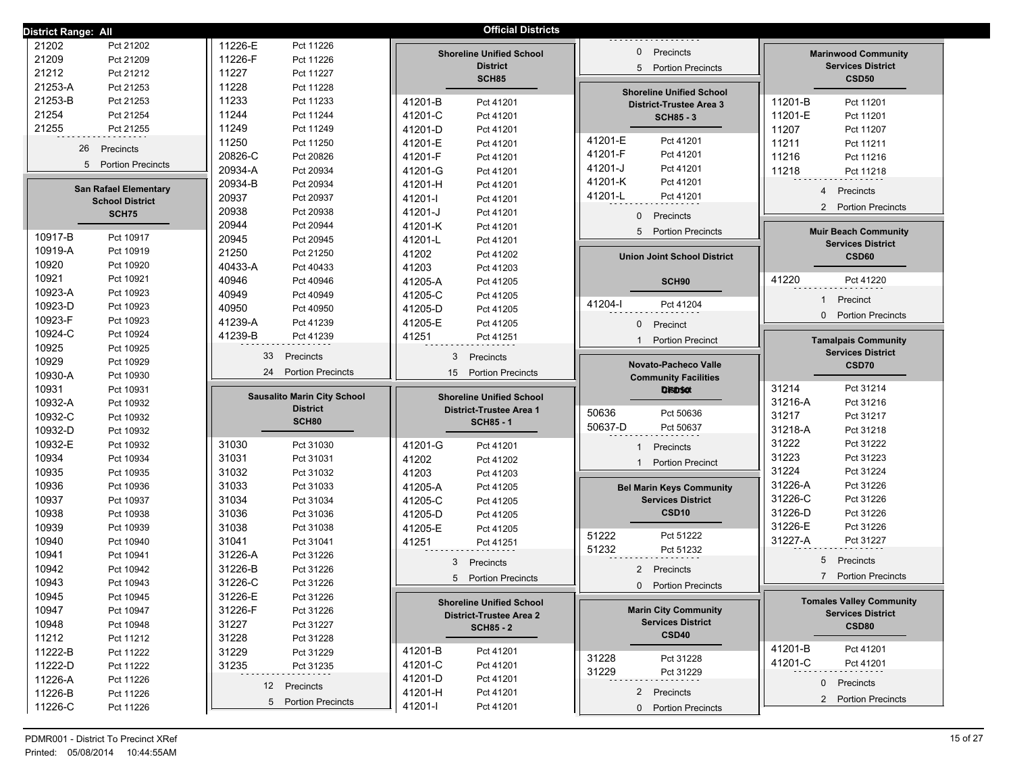| District Range: All                          |                                    | <b>Official Districts</b>                    |                                                         |                                                        |
|----------------------------------------------|------------------------------------|----------------------------------------------|---------------------------------------------------------|--------------------------------------------------------|
| 21202<br>Pct 21202                           | 11226-E<br>Pct 11226               |                                              |                                                         |                                                        |
| 21209<br>Pct 21209                           | 11226-F<br>Pct 11226               | <b>Shoreline Unified School</b>              | Precincts<br>$\mathbf{0}$                               | <b>Marinwood Community</b>                             |
| 21212<br>Pct 21212                           | 11227<br>Pct 11227                 | <b>District</b><br><b>SCH85</b>              | <b>Portion Precincts</b><br>5                           | <b>Services District</b><br><b>CSD50</b>               |
| 21253-A<br>Pct 21253                         | 11228<br>Pct 11228                 |                                              | <b>Shoreline Unified School</b>                         |                                                        |
| 21253-B<br>Pct 21253                         | 11233<br>Pct 11233                 | 41201-B<br>Pct 41201                         | <b>District-Trustee Area 3</b>                          | 11201-B<br>Pct 11201                                   |
| 21254<br>Pct 21254                           | 11244<br>Pct 11244                 | 41201-C<br>Pct 41201                         | <b>SCH85 - 3</b>                                        | 11201-E<br>Pct 11201                                   |
| 21255<br>Pct 21255                           | 11249<br>Pct 11249                 | 41201-D<br>Pct 41201                         |                                                         | 11207<br>Pct 11207                                     |
|                                              | 11250<br>Pct 11250                 | 41201-E<br>Pct 41201                         | 41201-E<br>Pct 41201                                    | 11211<br>Pct 11211                                     |
| 26<br>Precincts                              | 20826-C<br>Pct 20826               | 41201-F<br>Pct 41201                         | 41201-F<br>Pct 41201                                    | 11216<br>Pct 11216                                     |
| 5 Portion Precincts                          | 20934-A<br>Pct 20934               | 41201-G<br>Pct 41201                         | 41201-J<br>Pct 41201                                    | 11218<br>Pct 11218                                     |
| <b>San Rafael Elementary</b>                 | 20934-B<br>Pct 20934               | 41201-H<br>Pct 41201                         | 41201-K<br>Pct 41201                                    |                                                        |
| <b>School District</b>                       | 20937<br>Pct 20937                 | 41201-l<br>Pct 41201                         | 41201-L<br>Pct 41201                                    | Precincts<br>4                                         |
| SCH75                                        | 20938<br>Pct 20938                 | 41201-J<br>Pct 41201                         | $\mathbf{0}$<br>Precincts                               | 2<br><b>Portion Precincts</b>                          |
|                                              | 20944<br>Pct 20944                 | 41201-K<br>Pct 41201                         |                                                         |                                                        |
| 10917-B<br>Pct 10917                         | 20945<br>Pct 20945                 | 41201-L<br>Pct 41201                         | 5 Portion Precincts                                     | <b>Muir Beach Community</b>                            |
| 10919-A<br>Pct 10919                         | 21250<br>Pct 21250                 | 41202<br>Pct 41202                           | <b>Union Joint School District</b>                      | <b>Services District</b><br>CSD60                      |
| 10920<br>Pct 10920                           | 40433-A<br>Pct 40433               | 41203<br>Pct 41203                           |                                                         |                                                        |
| 10921<br>Pct 10921                           | 40946<br>Pct 40946                 | 41205-A<br>Pct 41205                         | SCH90                                                   | 41220<br>Pct 41220                                     |
| 10923-A<br>Pct 10923                         | 40949<br>Pct 40949                 | 41205-C<br>Pct 41205                         |                                                         |                                                        |
| 10923-D<br>Pct 10923                         | 40950<br>Pct 40950                 | 41205-D<br>Pct 41205                         | 41204-l<br>Pct 41204                                    | $\mathbf{1}$<br>Precinct                               |
| 10923-F<br>Pct 10923                         | 41239-A<br>Pct 41239               | 41205-E<br>Pct 41205                         | $\mathbf{0}$<br>Precinct                                | <b>Portion Precincts</b><br>$\Omega$                   |
| 10924-C<br>Pct 10924                         | 41239-B<br>Pct 41239               | 41251<br>Pct 41251                           |                                                         |                                                        |
| 10925<br>Pct 10925                           |                                    |                                              | <b>Portion Precinct</b>                                 | <b>Tamalpais Community</b><br><b>Services District</b> |
| 10929<br>Pct 10929                           | 33<br>Precincts                    | 3<br>Precincts                               | Novato-Pacheco Valle                                    | CSD70                                                  |
| 10930-A<br>Pct 10930                         | 24<br><b>Portion Precincts</b>     | 15<br><b>Portion Precincts</b>               | <b>Community Facilities</b>                             |                                                        |
| 10931<br>Pct 10931                           |                                    |                                              | DisiD <sub>50t</sub>                                    | 31214<br>Pct 31214                                     |
| 10932-A<br>Pct 10932                         | <b>Sausalito Marin City School</b> | <b>Shoreline Unified School</b>              |                                                         | 31216-A<br>Pct 31216                                   |
| 10932-C<br>Pct 10932                         | <b>District</b>                    | <b>District-Trustee Area 1</b>               | 50636<br>Pct 50636                                      | 31217<br>Pct 31217                                     |
| 10932-D<br>Pct 10932                         | SCH80                              | <b>SCH85 - 1</b>                             | 50637-D<br>Pct 50637                                    | 31218-A<br>Pct 31218                                   |
| 10932-E<br>Pct 10932                         | 31030<br>Pct 31030                 | 41201-G<br>Pct 41201                         | Precincts                                               | 31222<br>Pct 31222                                     |
| 10934<br>Pct 10934                           | 31031<br>Pct 31031                 | 41202<br>Pct 41202                           |                                                         | 31223<br>Pct 31223                                     |
| 10935<br>Pct 10935                           | 31032<br>Pct 31032                 | 41203<br>Pct 41203                           | <b>Portion Precinct</b><br>1                            | 31224<br>Pct 31224                                     |
| 10936<br>Pct 10936                           | 31033<br>Pct 31033                 |                                              |                                                         |                                                        |
|                                              |                                    |                                              |                                                         | 31226-A<br>Pct 31226                                   |
|                                              |                                    | 41205-A<br>Pct 41205                         | <b>Bel Marin Keys Community</b>                         | 31226-C<br>Pct 31226                                   |
| 10937<br>Pct 10937                           | 31034<br>Pct 31034                 | 41205-C<br>Pct 41205                         | <b>Services District</b><br>CSD <sub>10</sub>           | Pct 31226                                              |
| 10938<br>Pct 10938<br>Pct 10939              | 31036<br>Pct 31036                 | 41205-D<br>Pct 41205                         |                                                         | 31226-D<br>Pct 31226                                   |
| 10939                                        | 31038<br>Pct 31038                 | 41205-E<br>Pct 41205                         | 51222<br>Pct 51222                                      | 31226-E<br>31227-A<br>Pct 31227                        |
| 10940<br>Pct 10940                           | 31041<br>Pct 31041<br>31226-A      | 41251<br>Pct 41251                           | 51232<br>Pct 51232                                      |                                                        |
| 10941<br>Pct 10941                           | Pct 31226                          | 3<br>Precincts                               |                                                         | 5<br>Precincts                                         |
| 10942<br>Pct 10942                           | 31226-B<br>Pct 31226               | 5 Portion Precincts                          | 2 Precincts                                             | $\overline{7}$<br><b>Portion Precincts</b>             |
| 10943<br>Pct 10943                           | 31226-C<br>Pct 31226               |                                              | 0 Portion Precincts                                     |                                                        |
| 10945<br>Pct 10945                           | 31226-E<br>Pct 31226               | <b>Shoreline Unified School</b>              |                                                         | <b>Tomales Valley Community</b>                        |
| 10947<br>Pct 10947                           | 31226-F<br>Pct 31226               | <b>District-Trustee Area 2</b>               | <b>Marin City Community</b><br><b>Services District</b> | <b>Services District</b>                               |
| 10948<br>Pct 10948                           | 31227<br>Pct 31227                 | <b>SCH85 - 2</b>                             | CSD40                                                   | CSD80                                                  |
| 11212<br>Pct 11212                           | 31228<br>Pct 31228                 |                                              |                                                         | 41201-B<br>Pct 41201                                   |
| 11222-B<br>Pct 11222                         | 31229<br>Pct 31229                 | 41201-B<br>Pct 41201                         | 31228<br>Pct 31228                                      | 41201-C<br>Pct 41201                                   |
| 11222-D<br>Pct 11222                         | 31235<br>Pct 31235                 | 41201-C<br>Pct 41201                         | 31229<br>Pct 31229                                      |                                                        |
| 11226-A<br>Pct 11226                         | 12 Precincts                       | 41201-D<br>Pct 41201                         |                                                         | 0<br>Precincts                                         |
| 11226-B<br>Pct 11226<br>11226-C<br>Pct 11226 | 5 Portion Precincts                | 41201-H<br>Pct 41201<br>41201-l<br>Pct 41201 | 2 Precincts<br>0 Portion Precincts                      | 2 Portion Precincts                                    |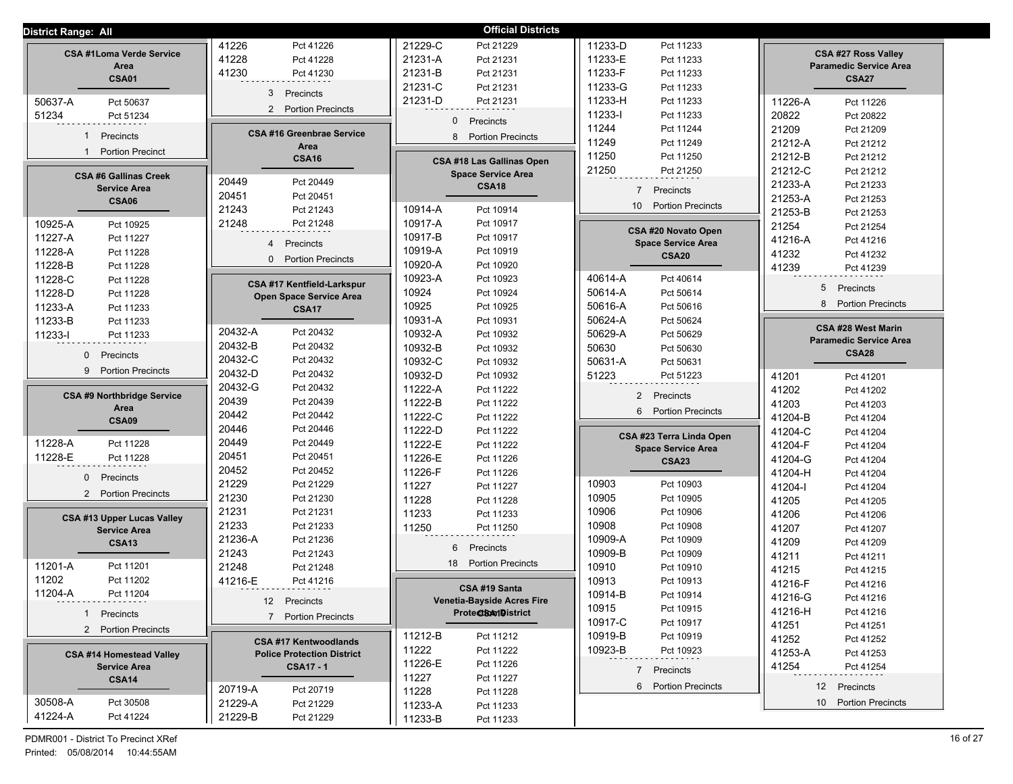| <b>District Range: All</b>              |                                          | <b>Official Districts</b>         |                               |                                                             |
|-----------------------------------------|------------------------------------------|-----------------------------------|-------------------------------|-------------------------------------------------------------|
|                                         | 41226<br>Pct 41226                       | 21229-C<br>Pct 21229              | 11233-D<br>Pct 11233          |                                                             |
| <b>CSA #1Loma Verde Service</b><br>Area | 41228<br>Pct 41228                       | 21231-A<br>Pct 21231              | 11233-E<br>Pct 11233          | <b>CSA #27 Ross Valley</b><br><b>Paramedic Service Area</b> |
| <b>CSA01</b>                            | 41230<br>Pct 41230                       | 21231-B<br>Pct 21231              | 11233-F<br>Pct 11233          | <b>CSA27</b>                                                |
|                                         | 3<br>Precincts                           | 21231-C<br>Pct 21231              | 11233-G<br>Pct 11233          |                                                             |
| 50637-A<br>Pct 50637                    |                                          | 21231-D<br>Pct 21231              | 11233-H<br>Pct 11233          | 11226-A<br>Pct 11226                                        |
| 51234<br>Pct 51234                      | 2 Portion Precincts                      | Precincts<br>$\Omega$             | 11233-l<br>Pct 11233          | 20822<br>Pct 20822                                          |
| $\mathbf{1}$                            | <b>CSA #16 Greenbrae Service</b>         |                                   | 11244<br>Pct 11244            | 21209<br>Pct 21209                                          |
| Precincts                               | Area                                     | <b>Portion Precincts</b><br>8     | 11249<br>Pct 11249            | 21212-A<br>Pct 21212                                        |
| <b>Portion Precinct</b><br>$\mathbf{1}$ | <b>CSA16</b>                             | CSA #18 Las Gallinas Open         | 11250<br>Pct 11250            | 21212-B<br>Pct 21212                                        |
| <b>CSA #6 Gallinas Creek</b>            |                                          | <b>Space Service Area</b>         | 21250<br>Pct 21250            | 21212-C<br>Pct 21212                                        |
| <b>Service Area</b>                     | 20449<br>Pct 20449                       | <b>CSA18</b>                      | $\overline{7}$<br>Precincts   | 21233-A<br>Pct 21233                                        |
| <b>CSA06</b>                            | 20451<br>Pct 20451                       |                                   | <b>Portion Precincts</b>      | 21253-A<br>Pct 21253                                        |
|                                         | 21243<br>Pct 21243                       | 10914-A<br>Pct 10914              | 10                            | 21253-B<br>Pct 21253                                        |
| 10925-A<br>Pct 10925                    | 21248<br>Pct 21248                       | 10917-A<br>Pct 10917              | CSA #20 Novato Open           | 21254<br>Pct 21254                                          |
| 11227-A<br>Pct 11227                    | Precincts<br>$\overline{4}$              | 10917-B<br>Pct 10917              | <b>Space Service Area</b>     | 41216-A<br>Pct 41216                                        |
| 11228-A<br>Pct 11228                    | <b>Portion Precincts</b><br>$\mathbf{0}$ | 10919-A<br>Pct 10919              | <b>CSA20</b>                  | 41232<br>Pct 41232                                          |
| 11228-B<br>Pct 11228                    |                                          | 10920-A<br>Pct 10920              |                               | 41239<br>Pct 41239                                          |
| 11228-C<br>Pct 11228                    | CSA #17 Kentfield-Larkspur               | 10923-A<br>Pct 10923              | 40614-A<br>Pct 40614          | 5<br>Precincts                                              |
| 11228-D<br>Pct 11228                    | Open Space Service Area                  | 10924<br>Pct 10924                | 50614-A<br>Pct 50614          |                                                             |
| 11233-A<br>Pct 11233                    | <b>CSA17</b>                             | 10925<br>Pct 10925                | 50616-A<br>Pct 50616          | 8<br><b>Portion Precincts</b>                               |
| 11233-B<br>Pct 11233                    |                                          | 10931-A<br>Pct 10931              | 50624-A<br>Pct 50624          | CSA #28 West Marin                                          |
| 11233-l<br>Pct 11233                    | 20432-A<br>Pct 20432                     | 10932-A<br>Pct 10932              | 50629-A<br>Pct 50629          | <b>Paramedic Service Area</b>                               |
| $\mathbf{0}$<br>Precincts               | 20432-B<br>Pct 20432                     | 10932-B<br>Pct 10932              | 50630<br>Pct 50630            | <b>CSA28</b>                                                |
| 9<br><b>Portion Precincts</b>           | 20432-C<br>Pct 20432                     | 10932-C<br>Pct 10932              | 50631-A<br>Pct 50631          |                                                             |
|                                         | 20432-D<br>Pct 20432                     | 10932-D<br>Pct 10932              | 51223<br>Pct 51223            | 41201<br>Pct 41201                                          |
| <b>CSA #9 Northbridge Service</b>       | 20432-G<br>Pct 20432                     | 11222-A<br>Pct 11222              | $\overline{2}$<br>Precincts   | 41202<br>Pct 41202                                          |
| Area                                    | 20439<br>Pct 20439                       | 11222-B<br>Pct 11222              | 6<br><b>Portion Precincts</b> | 41203<br>Pct 41203                                          |
| <b>CSA09</b>                            | 20442<br>Pct 20442                       | 11222-C<br>Pct 11222              |                               | 41204-B<br>Pct 41204                                        |
|                                         | 20446<br>Pct 20446                       | 11222-D<br>Pct 11222              | CSA #23 Terra Linda Open      | 41204-C<br>Pct 41204                                        |
| 11228-A<br>Pct 11228                    | 20449<br>Pct 20449                       | 11222-E<br>Pct 11222              | <b>Space Service Area</b>     | 41204-F<br>Pct 41204                                        |
| 11228-E<br>Pct 11228                    | 20451<br>Pct 20451                       | 11226-E<br>Pct 11226              | <b>CSA23</b>                  | 41204-G<br>Pct 41204                                        |
| $\mathbf{0}$<br>Precincts               | 20452<br>Pct 20452                       | 11226-F<br>Pct 11226              |                               | 41204-H<br>Pct 41204                                        |
| 2 Portion Precincts                     | 21229<br>Pct 21229                       | 11227<br>Pct 11227                | 10903<br>Pct 10903            | 41204-l<br>Pct 41204                                        |
|                                         | 21230<br>Pct 21230                       | 11228<br>Pct 11228                | 10905<br>Pct 10905            | 41205<br>Pct 41205                                          |
| <b>CSA #13 Upper Lucas Valley</b>       | 21231<br>Pct 21231                       | 11233<br>Pct 11233                | 10906<br>Pct 10906            | 41206<br>Pct 41206                                          |
| <b>Service Area</b>                     | 21233<br>Pct 21233                       | 11250<br>Pct 11250                | 10908<br>Pct 10908            | 41207<br>Pct 41207                                          |
| <b>CSA13</b>                            | 21236-A<br>Pct 21236                     | Precincts<br>6                    | 10909-A<br>Pct 10909          | 41209<br>Pct 41209                                          |
| 11201-A<br>Pct 11201                    | 21243<br>Pct 21243<br>21248              | <b>Portion Precincts</b><br>18    | 10909-B<br>Pct 10909          | 41211<br>Pct 41211                                          |
| 11202<br>Pct 11202                      | Pct 21248<br>41216-E                     |                                   | 10910<br>Pct 10910            | 41215<br>Pct 41215                                          |
| 11204-A                                 | Pct 41216                                | CSA #19 Santa                     | 10913<br>Pct 10913            | 41216-F<br>Pct 41216                                        |
| 4-A Pct 11204                           | 12 Precincts                             | <b>Venetia-Bayside Acres Fire</b> | 10914-B<br>Pct 10914          | 41216-G<br>Pct 41216                                        |
| 1 Precincts                             | 7 Portion Precincts                      | ProteCtBAMDistrict                | 10915<br>Pct 10915<br>10917-C | 41216-H<br>Pct 41216                                        |
| 2 Portion Precincts                     |                                          | 11212-B                           | Pct 10917<br>10919-B          | 41251<br>Pct 41251                                          |
|                                         | <b>CSA #17 Kentwoodlands</b>             | Pct 11212<br>11222                | Pct 10919<br>10923-B          | 41252<br>Pct 41252                                          |
| <b>CSA #14 Homestead Valley</b>         | <b>Police Protection District</b>        | Pct 11222<br>11226-E              | Pct 10923                     | 41253-A<br>Pct 41253                                        |
| <b>Service Area</b>                     | <b>CSA17 - 1</b>                         | Pct 11226<br>11227<br>Pct 11227   | 7 Precincts                   | 41254<br>Pct 41254                                          |
| <b>CSA14</b>                            | 20719-A<br>Pct 20719                     | 11228<br>Pct 11228                | 6 Portion Precincts           | 12 Precincts                                                |
| 30508-A<br>Pct 30508                    | 21229-A<br>Pct 21229                     | 11233-A<br>Pct 11233              |                               | 10 Portion Precincts                                        |
| 41224-A<br>Pct 41224                    | 21229-B<br>Pct 21229                     | 11233-B<br>Pct 11233              |                               |                                                             |
|                                         |                                          |                                   |                               |                                                             |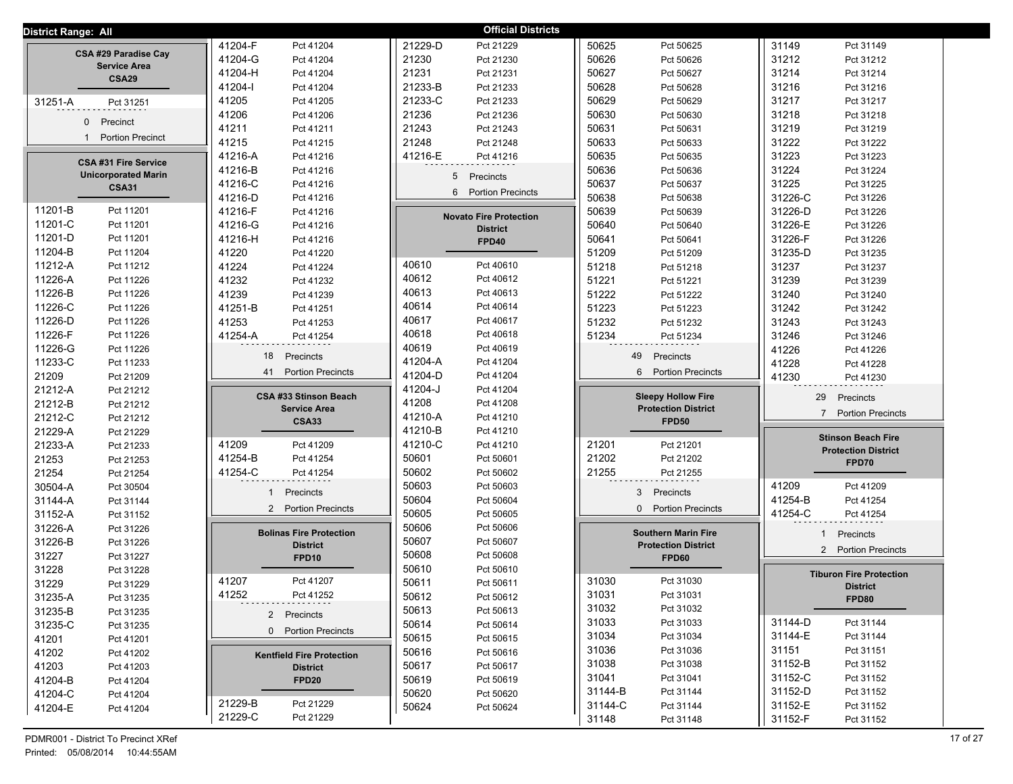| District Range: All             |                                  | <b>Official Districts</b>       |                               |                                 |
|---------------------------------|----------------------------------|---------------------------------|-------------------------------|---------------------------------|
|                                 | 41204-F                          | 21229-D                         | 50625                         | 31149                           |
|                                 | Pct 41204                        | Pct 21229                       | Pct 50625                     | Pct 31149                       |
| CSA #29 Paradise Cay            | 41204-G                          | 21230                           | 50626                         | 31212                           |
|                                 | Pct 41204                        | Pct 21230                       | Pct 50626                     | Pct 31212                       |
| <b>Service Area</b>             | 41204-H                          | 21231                           | 50627                         | 31214                           |
| <b>CSA29</b>                    | Pct 41204                        | Pct 21231                       | Pct 50627                     | Pct 31214                       |
|                                 | 41204-l                          | 21233-B                         | 50628                         | 31216                           |
|                                 | Pct 41204                        | Pct 21233                       | Pct 50628                     | Pct 31216                       |
| 31251-A                         | 41205                            | 21233-C                         | 50629                         | 31217                           |
| Pct 31251                       | Pct 41205                        | Pct 21233                       | Pct 50629                     | Pct 31217                       |
|                                 | 41206                            | 21236                           | 50630                         | 31218                           |
|                                 | Pct 41206                        | Pct 21236                       | Pct 50630                     | Pct 31218                       |
| Precinct                        | 41211                            | 21243                           | 50631                         | 31219                           |
| $\mathbf 0$                     | Pct 41211                        | Pct 21243                       | Pct 50631                     | Pct 31219                       |
| <b>Portion Precinct</b>         | 41215                            | 21248                           | 50633                         | 31222                           |
|                                 | Pct 41215                        | Pct 21248                       | Pct 50633                     | Pct 31222                       |
| <b>CSA #31 Fire Service</b>     | 41216-A                          | 41216-E                         | 50635                         | 31223                           |
|                                 | Pct 41216                        | Pct 41216                       | Pct 50635                     | Pct 31223                       |
| <b>Unicorporated Marin</b>      | 41216-B                          | 5                               | 50636                         | 31224                           |
|                                 | Pct 41216                        | Precincts                       | Pct 50636                     | Pct 31224                       |
| <b>CSA31</b>                    | 41216-C                          | <b>Portion Precincts</b>        | 50637                         | 31225                           |
|                                 | Pct 41216                        | 6                               | Pct 50637                     | Pct 31225                       |
|                                 | 41216-D<br>Pct 41216             |                                 | 50638<br>Pct 50638            | 31226-C<br>Pct 31226            |
| 11201-B                         | 41216-F                          | <b>Novato Fire Protection</b>   | 50639                         | 31226-D                         |
| Pct 11201                       | Pct 41216                        |                                 | Pct 50639                     | Pct 31226                       |
| 11201-C                         | 41216-G                          | <b>District</b>                 | 50640                         | 31226-E                         |
| Pct 11201                       | Pct 41216                        |                                 | Pct 50640                     | Pct 31226                       |
| 11201-D                         | 41216-H                          | FPD40                           | 50641                         | 31226-F                         |
| Pct 11201                       | Pct 41216                        |                                 | Pct 50641                     | Pct 31226                       |
| 11204-B                         | 41220                            |                                 | 51209                         | 31235-D                         |
| Pct 11204                       | Pct 41220                        |                                 | Pct 51209                     | Pct 31235                       |
| 11212-A                         | 41224                            | 40610                           | 51218                         | 31237                           |
| Pct 11212                       | Pct 41224                        | Pct 40610                       | Pct 51218                     | Pct 31237                       |
| 11226-A<br>Pct 11226            | 41232<br>Pct 41232               | 40612<br>Pct 40612<br>40613     | 51221<br>Pct 51221            | 31239<br>Pct 31239              |
| 11226-B                         | 41239                            | Pct 40613                       | 51222                         | 31240                           |
| Pct 11226                       | Pct 41239                        | 40614                           | Pct 51222                     | Pct 31240                       |
| 11226-C                         | 41251-B                          | Pct 40614                       | 51223                         | 31242                           |
| Pct 11226                       | Pct 41251                        | 40617                           | Pct 51223                     | Pct 31242                       |
| 11226-D<br>Pct 11226<br>11226-F | 41253<br>Pct 41253               | Pct 40617<br>40618<br>Pct 40618 | 51232<br>Pct 51232            | 31243<br>Pct 31243              |
| Pct 11226                       | 41254-A                          | 40619                           | 51234                         | 31246                           |
| 11226-G                         | Pct 41254                        | Pct 40619                       | Pct 51234                     | Pct 31246                       |
| Pct 11226                       | 18                               | 41204-A                         | 49                            | 41226                           |
| 11233-C                         | Precincts                        | Pct 41204                       | Precincts                     | Pct 41226                       |
| Pct 11233<br>21209<br>Pct 21209 | <b>Portion Precincts</b><br>41   | 41204-D<br>Pct 41204            | 6<br><b>Portion Precincts</b> | 41228<br>Pct 41228              |
| 21212-A<br>Pct 21212            |                                  | 41204-J<br>Pct 41204            |                               | 41230<br>Pct 41230              |
| 21212-B<br>Pct 21212            | CSA #33 Stinson Beach            | 41208<br>Pct 41208              | <b>Sleepy Hollow Fire</b>     | 29<br>Precincts                 |
| 21212-C<br>Pct 21212            | <b>Service Area</b>              | 41210-A<br>Pct 41210            | <b>Protection District</b>    | 7 Portion Precincts             |
| 21229-A<br>Pct 21229            | <b>CSA33</b>                     | 41210-B<br>Pct 41210            | <b>FPD50</b>                  |                                 |
| 21233-A                         | 41209                            | 41210-C                         | 21201                         | <b>Stinson Beach Fire</b>       |
| Pct 21233                       | Pct 41209                        | Pct 41210                       | Pct 21201                     |                                 |
| 21253                           | 41254-B                          | 50601                           | 21202                         | <b>Protection District</b>      |
| Pct 21253                       | Pct 41254                        | Pct 50601                       | Pct 21202                     |                                 |
| 21254                           | 41254-C                          | 50602                           | 21255                         | FPD70                           |
| Pct 21254                       | Pct 41254                        | Pct 50602                       | Pct 21255                     |                                 |
| 30504-A<br>Pct 30504            |                                  | 50603<br>Pct 50603              |                               | 41209<br>Pct 41209              |
| 31144-A                         | Precincts                        | 50604                           | 3                             | 41254-B                         |
| Pct 31144                       |                                  | Pct 50604                       | Precincts                     | Pct 41254                       |
| 31152-A                         | <b>Portion Precincts</b>         | 50605                           | <b>Portion Precincts</b>      | 41254-C                         |
| Pct 31152                       | $\overline{2}$                   | Pct 50605                       | $\mathbf{0}$                  | Pct 41254                       |
| 31226-A<br>Pct 31226            | <b>Bolinas Fire Protection</b>   | 50606<br>Pct 50606              | <b>Southern Marin Fire</b>    | Precincts<br>1                  |
| 31226-B<br>Pct 31226            | <b>District</b>                  | 50607<br>Pct 50607              | <b>Protection District</b>    |                                 |
| 31227<br>Pct 31227              | FPD <sub>10</sub>                | 50608<br>Pct 50608              | FPD60                         | 2 Portion Precincts             |
| 31228<br>Pct 31228              |                                  | 50610<br>Pct 50610              |                               | <b>Tiburon Fire Protection</b>  |
| 31229                           | 41207                            | 50611                           | 31030                         | <b>District</b>                 |
| Pct 31229                       | Pct 41207                        | Pct 50611                       | Pct 31030                     |                                 |
| 31235-A                         | 41252                            | 50612                           | 31031                         | FPD80                           |
| Pct 31235                       | Pct 41252                        | Pct 50612                       | Pct 31031                     |                                 |
| 31235-B<br>Pct 31235            | 2 Precincts                      | 50613<br>Pct 50613              | 31032<br>Pct 31032            |                                 |
| 31235-C                         | 0 Portion Precincts              | 50614                           | 31033                         | 31144-D                         |
| Pct 31235                       |                                  | Pct 50614                       | Pct 31033                     | Pct 31144                       |
| 41201                           |                                  | 50615                           | 31034                         | 31144-E                         |
| Pct 41201                       |                                  | Pct 50615                       | Pct 31034                     | Pct 31144                       |
| 41202                           | <b>Kentfield Fire Protection</b> | 50616                           | 31036                         | 31151                           |
| Pct 41202                       |                                  | Pct 50616                       | Pct 31036                     | Pct 31151                       |
| 41203                           | <b>District</b>                  | 50617                           | 31038                         | 31152-B                         |
| Pct 41203                       |                                  | Pct 50617                       | Pct 31038                     | Pct 31152                       |
| 41204-B                         | FPD <sub>20</sub>                | 50619                           | 31041                         | 31152-C                         |
| Pct 41204                       |                                  | Pct 50619                       | Pct 31041                     | Pct 31152                       |
| 41204-C                         | 21229-B                          | 50620                           | 31144-B                       | 31152-D                         |
| Pct 41204                       | Pct 21229                        | Pct 50620                       | Pct 31144                     | Pct 31152                       |
| 41204-E<br>Pct 41204            | 21229-C<br>Pct 21229             | 50624<br>Pct 50624              | 31144-C<br>Pct 31144          | 31152-E<br>Pct 31152<br>31152-F |
|                                 |                                  |                                 | 31148<br>Pct 31148            | Pct 31152                       |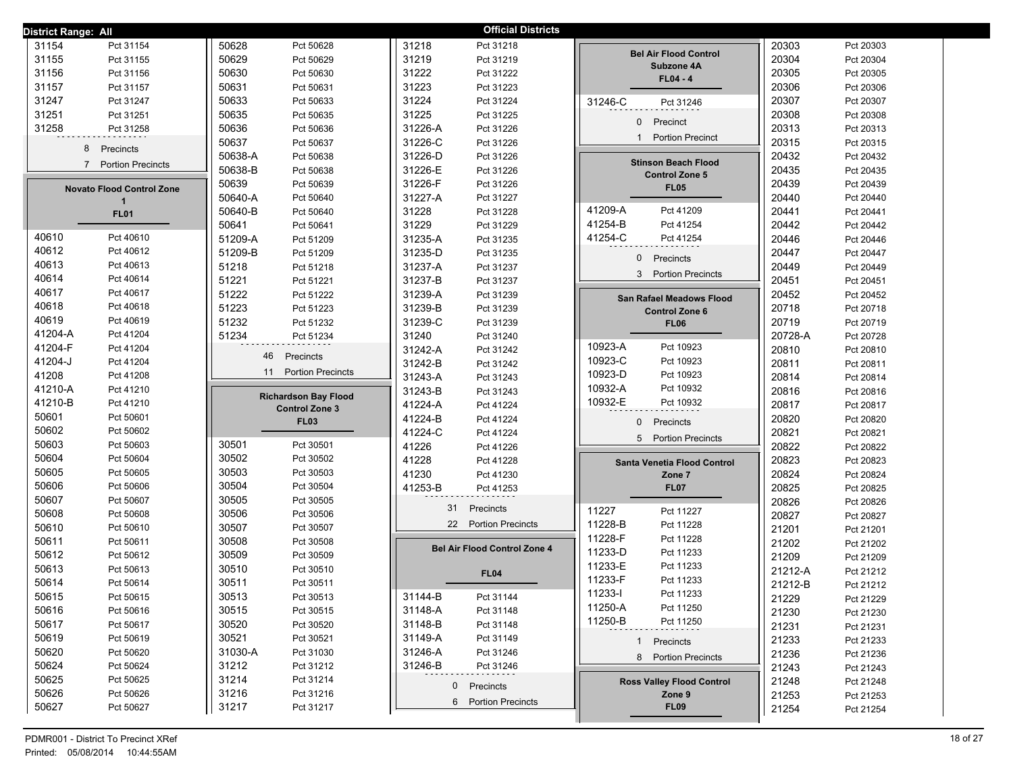| <b>District Range: All</b>       |                             | <b>Official Districts</b>           |                                  |                      |
|----------------------------------|-----------------------------|-------------------------------------|----------------------------------|----------------------|
| 31154                            | 50628                       | 31218                               |                                  | 20303                |
| Pct 31154                        | Pct 50628                   | Pct 31218                           |                                  | Pct 20303            |
| 31155                            | 50629                       | 31219                               | <b>Bel Air Flood Control</b>     | 20304                |
| Pct 31155                        | Pct 50629                   | Pct 31219                           |                                  | Pct 20304            |
| 31156                            | 50630                       | 31222                               | Subzone 4A                       | 20305                |
| Pct 31156                        | Pct 50630                   | Pct 31222                           | $FL04 - 4$                       | Pct 20305            |
| 31157                            | 50631                       | 31223                               |                                  | 20306                |
| Pct 31157                        | Pct 50631                   | Pct 31223                           |                                  | Pct 20306            |
| 31247                            | 50633                       | 31224                               | 31246-C                          | 20307                |
| Pct 31247                        | Pct 50633                   | Pct 31224                           | Pct 31246                        | Pct 20307            |
| 31251                            | 50635                       | 31225                               |                                  | 20308                |
| Pct 31251                        | Pct 50635                   | Pct 31225                           |                                  | Pct 20308            |
| 31258                            | 50636                       | 31226-A                             | $\overline{0}$                   | 20313                |
| Pct 31258                        | Pct 50636                   | Pct 31226                           | Precinct                         | Pct 20313            |
| 8                                | 50637                       | 31226-C                             | <b>Portion Precinct</b>          | 20315                |
|                                  | Pct 50637                   | Pct 31226                           | $\mathbf{1}$                     | Pct 20315            |
| Precincts                        | 50638-A<br>Pct 50638        | 31226-D<br>Pct 31226                |                                  | 20432<br>Pct 20432   |
| $\overline{7}$                   | 50638-B                     | 31226-E                             | <b>Stinson Beach Flood</b>       | 20435                |
| <b>Portion Precincts</b>         | Pct 50638                   | Pct 31226                           | <b>Control Zone 5</b>            | Pct 20435            |
| <b>Novato Flood Control Zone</b> | 50639<br>Pct 50639          | 31226-F<br>Pct 31226                | <b>FL05</b>                      | 20439<br>Pct 20439   |
| $\mathbf 1$                      | 50640-A<br>Pct 50640        | 31227-A<br>Pct 31227                |                                  | 20440<br>Pct 20440   |
| <b>FL01</b>                      | 50640-B                     | 31228                               | 41209-A                          | 20441                |
|                                  | Pct 50640                   | Pct 31228                           | Pct 41209                        | Pct 20441            |
|                                  | 50641                       | 31229                               | 41254-B                          | 20442                |
|                                  | Pct 50641                   | Pct 31229                           | Pct 41254                        | Pct 20442            |
| 40610                            | 51209-A                     | 31235-A                             | 41254-C                          | 20446                |
| Pct 40610                        | Pct 51209                   | Pct 31235                           | Pct 41254                        | Pct 20446            |
| 40612                            | 51209-B                     | 31235-D                             | $\mathbf{0}$                     | 20447                |
| Pct 40612                        | Pct 51209                   | Pct 31235                           | Precincts                        | Pct 20447            |
| 40613                            | 51218                       | 31237-A                             |                                  | 20449                |
| Pct 40613                        | Pct 51218                   | Pct 31237                           |                                  | Pct 20449            |
| 40614                            | 51221                       | 31237-B                             | 3 Portion Precincts              | 20451                |
| Pct 40614                        | Pct 51221                   | Pct 31237                           |                                  | Pct 20451            |
| 40617                            | 51222                       | 31239-A                             | San Rafael Meadows Flood         | 20452                |
| Pct 40617                        | Pct 51222                   | Pct 31239                           |                                  | Pct 20452            |
| 40618                            | 51223                       | 31239-B                             | <b>Control Zone 6</b>            | 20718                |
| Pct 40618                        | Pct 51223                   | Pct 31239                           |                                  | Pct 20718            |
| 40619                            | 51232                       | 31239-C                             | <b>FL06</b>                      | 20719                |
| Pct 40619                        | Pct 51232                   | Pct 31239                           |                                  | Pct 20719            |
| 41204-A                          | 51234                       | 31240                               |                                  | 20728-A              |
| Pct 41204                        | Pct 51234                   | Pct 31240                           |                                  | Pct 20728            |
| 41204-F                          | 46                          | 31242-A                             | 10923-A                          | 20810                |
| Pct 41204                        |                             | Pct 31242                           | Pct 10923                        | Pct 20810            |
| 41204-J                          | Precincts                   | 31242-B                             | 10923-C                          | 20811                |
| Pct 41204                        |                             | Pct 31242                           | Pct 10923                        | Pct 20811            |
| 41208                            | 11                          | 31243-A                             | 10923-D                          | 20814                |
| Pct 41208                        | <b>Portion Precincts</b>    | Pct 31243                           | Pct 10923                        | Pct 20814            |
| 41210-A                          | <b>Richardson Bay Flood</b> | 31243-B                             | 10932-A                          | 20816                |
| Pct 41210                        |                             | Pct 31243                           | Pct 10932                        | Pct 20816            |
| 41210-B                          | <b>Control Zone 3</b>       | 41224-A                             | 10932-E                          | 20817                |
| Pct 41210                        |                             | Pct 41224                           | Pct 10932                        | Pct 20817            |
| 50601                            | <b>FL03</b>                 | 41224-B                             | 0                                | 20820                |
| Pct 50601                        |                             | Pct 41224                           | Precincts                        | Pct 20820            |
| 50602<br>Pct 50602               |                             | 41224-C<br>Pct 41224                | 5 Portion Precincts              | 20821<br>Pct 20821   |
| 50603                            | 30501                       | 41226                               |                                  | 20822                |
| Pct 50603                        | Pct 30501                   | Pct 41226                           |                                  | Pct 20822            |
| 50604                            | 30502                       | 41228                               | Santa Venetia Flood Control      | 20823                |
| Pct 50604                        | Pct 30502                   | Pct 41228                           |                                  | Pct 20823            |
| 50605                            | 30503                       | 41230                               | Zone 7                           | 20824                |
| Pct 50605                        | Pct 30503                   | Pct 41230                           |                                  | Pct 20824            |
| 50606                            | 30504                       | 41253-B                             | <b>FL07</b>                      | 20825                |
| Pct 50606                        | Pct 30504                   | Pct 41253                           |                                  | Pct 20825            |
| 50607                            | 30505                       | 31                                  |                                  | 20826                |
| Pct 50607                        | Pct 30505                   | Precincts                           |                                  | Pct 20826            |
| 50608                            | 30506                       | 22 Portion Precincts                | 11227                            | 20827                |
| Pct 50608                        | Pct 30506                   |                                     | Pct 11227                        | Pct 20827            |
| 50610                            | 30507                       |                                     | 11228-B                          | 21201                |
| Pct 50610                        | Pct 30507                   |                                     | Pct 11228                        | Pct 21201            |
| 50611                            | 30508                       | <b>Bel Air Flood Control Zone 4</b> | 11228-F                          | 21202                |
| Pct 50611                        | Pct 30508                   |                                     | Pct 11228                        | Pct 21202            |
| 50612<br>Pct 50612               | 30509<br>Pct 30509          |                                     | 11233-D<br>Pct 11233<br>11233-E  | 21209<br>Pct 21209   |
| 50613<br>Pct 50613               | 30510<br>Pct 30510          | <b>FL04</b>                         | Pct 11233                        | 21212-A<br>Pct 21212 |
| 50614<br>Pct 50614               | 30511<br>Pct 30511          |                                     | 11233-F<br>Pct 11233<br>11233-l  | 21212-B<br>Pct 21212 |
| 50615                            | 30513                       | 31144-B                             | Pct 11233                        | 21229                |
| Pct 50615                        | Pct 30513                   | Pct 31144                           | 11250-A                          | Pct 21229            |
| 50616                            | 30515                       | 31148-A                             | Pct 11250                        | 21230                |
| Pct 50616                        | Pct 30515                   | Pct 31148                           | 11250-B                          | Pct 21230            |
| 50617                            | 30520                       | 31148-B                             | Pct 11250                        | 21231                |
| Pct 50617                        | Pct 30520                   | Pct 31148                           |                                  | Pct 21231            |
| 50619                            | 30521                       | 31149-A                             | 1 Precincts                      | 21233                |
| Pct 50619                        | Pct 30521                   | Pct 31149                           |                                  | Pct 21233            |
| 50620                            | 31030-A                     | 31246-A                             | 8 Portion Precincts              | 21236                |
| Pct 50620                        | Pct 31030                   | Pct 31246                           |                                  | Pct 21236            |
| 50624                            | 31212                       | 31246-B                             |                                  | 21243                |
| Pct 50624                        | Pct 31212                   | Pct 31246                           |                                  | Pct 21243            |
| 50625                            | 31214                       | Precincts                           | <b>Ross Valley Flood Control</b> | 21248                |
| Pct 50625                        | Pct 31214                   | $\mathbf{0}$                        |                                  | Pct 21248            |
| 50626<br>Pct 50626               | 31216<br>Pct 31216          | 6 Portion Precincts                 | Zone 9                           | 21253<br>Pct 21253   |
| 50627<br>Pct 50627               | 31217<br>Pct 31217          |                                     | <b>FL09</b>                      | 21254<br>Pct 21254   |
|                                  |                             |                                     |                                  |                      |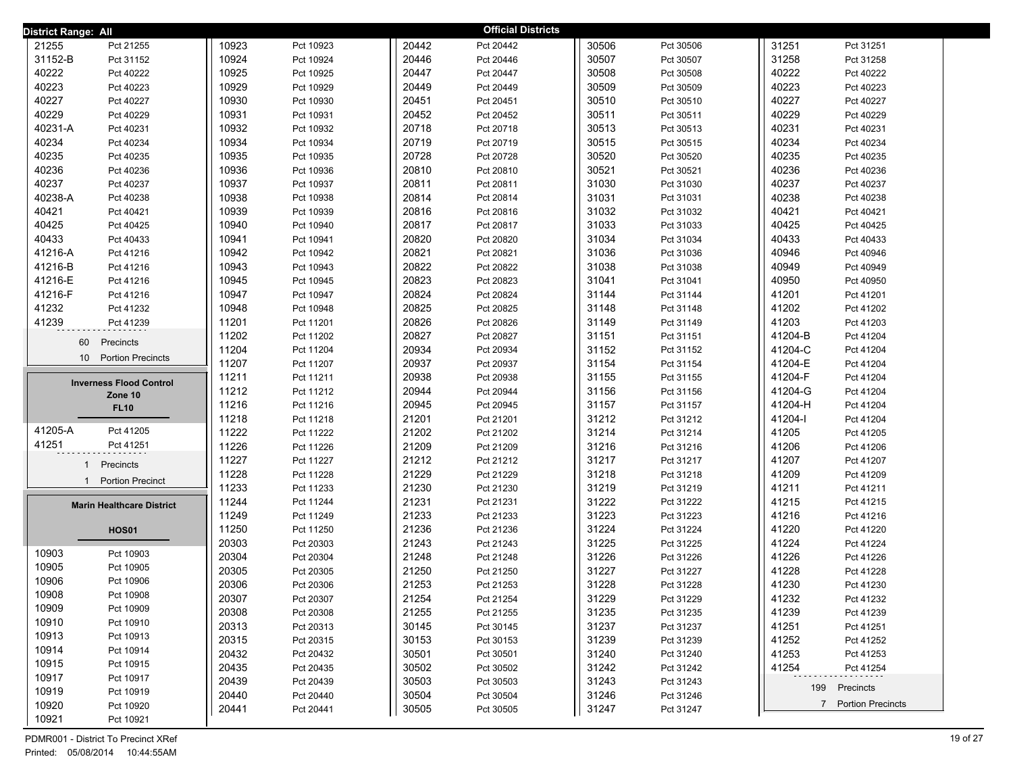| <b>District Range: All</b>                  |       |           |       | <b>Official Districts</b> |       |           |         |                     |
|---------------------------------------------|-------|-----------|-------|---------------------------|-------|-----------|---------|---------------------|
| 21255<br>Pct 21255                          | 10923 | Pct 10923 | 20442 | Pct 20442                 | 30506 | Pct 30506 | 31251   | Pct 31251           |
| 31152-B<br>Pct 31152                        | 10924 | Pct 10924 | 20446 | Pct 20446                 | 30507 | Pct 30507 | 31258   | Pct 31258           |
| 40222<br>Pct 40222                          | 10925 | Pct 10925 | 20447 | Pct 20447                 | 30508 | Pct 30508 | 40222   | Pct 40222           |
| 40223<br>Pct 40223                          | 10929 | Pct 10929 | 20449 | Pct 20449                 | 30509 | Pct 30509 | 40223   | Pct 40223           |
| 40227<br>Pct 40227                          | 10930 | Pct 10930 | 20451 | Pct 20451                 | 30510 | Pct 30510 | 40227   | Pct 40227           |
| 40229<br>Pct 40229                          | 10931 | Pct 10931 | 20452 | Pct 20452                 | 30511 | Pct 30511 | 40229   | Pct 40229           |
| 40231-A<br>Pct 40231                        | 10932 | Pct 10932 | 20718 | Pct 20718                 | 30513 | Pct 30513 | 40231   | Pct 40231           |
| 40234<br>Pct 40234                          | 10934 | Pct 10934 | 20719 | Pct 20719                 | 30515 | Pct 30515 | 40234   | Pct 40234           |
| 40235<br>Pct 40235                          | 10935 | Pct 10935 | 20728 | Pct 20728                 | 30520 | Pct 30520 | 40235   | Pct 40235           |
| 40236<br>Pct 40236                          | 10936 | Pct 10936 | 20810 | Pct 20810                 | 30521 | Pct 30521 | 40236   | Pct 40236           |
| 40237<br>Pct 40237                          | 10937 | Pct 10937 | 20811 | Pct 20811                 | 31030 | Pct 31030 | 40237   | Pct 40237           |
| 40238-A<br>Pct 40238                        | 10938 | Pct 10938 | 20814 | Pct 20814                 | 31031 | Pct 31031 | 40238   | Pct 40238           |
| 40421<br>Pct 40421                          | 10939 | Pct 10939 | 20816 | Pct 20816                 | 31032 | Pct 31032 | 40421   | Pct 40421           |
| 40425<br>Pct 40425                          | 10940 | Pct 10940 | 20817 | Pct 20817                 | 31033 | Pct 31033 | 40425   | Pct 40425           |
| 40433<br>Pct 40433                          | 10941 | Pct 10941 | 20820 | Pct 20820                 | 31034 | Pct 31034 | 40433   | Pct 40433           |
| 41216-A<br>Pct 41216                        | 10942 | Pct 10942 | 20821 | Pct 20821                 | 31036 | Pct 31036 | 40946   | Pct 40946           |
| 41216-B<br>Pct 41216                        | 10943 | Pct 10943 | 20822 | Pct 20822                 | 31038 | Pct 31038 | 40949   | Pct 40949           |
| 41216-E<br>Pct 41216                        | 10945 | Pct 10945 | 20823 | Pct 20823                 | 31041 | Pct 31041 | 40950   | Pct 40950           |
| 41216-F<br>Pct 41216                        | 10947 | Pct 10947 | 20824 | Pct 20824                 | 31144 | Pct 31144 | 41201   | Pct 41201           |
| 41232<br>Pct 41232                          | 10948 | Pct 10948 | 20825 | Pct 20825                 | 31148 | Pct 31148 | 41202   | Pct 41202           |
| 41239<br>Pct 41239                          | 11201 | Pct 11201 | 20826 | Pct 20826                 | 31149 | Pct 31149 | 41203   | Pct 41203           |
| 60<br>Precincts                             | 11202 | Pct 11202 | 20827 | Pct 20827                 | 31151 | Pct 31151 | 41204-B | Pct 41204           |
| 10 <sup>1</sup><br><b>Portion Precincts</b> | 11204 | Pct 11204 | 20934 | Pct 20934                 | 31152 | Pct 31152 | 41204-C | Pct 41204           |
|                                             | 11207 | Pct 11207 | 20937 | Pct 20937                 | 31154 | Pct 31154 | 41204-E | Pct 41204           |
| <b>Inverness Flood Control</b>              | 11211 | Pct 11211 | 20938 | Pct 20938                 | 31155 | Pct 31155 | 41204-F | Pct 41204           |
| Zone 10                                     | 11212 | Pct 11212 | 20944 | Pct 20944                 | 31156 | Pct 31156 | 41204-G | Pct 41204           |
| <b>FL10</b>                                 | 11216 | Pct 11216 | 20945 | Pct 20945                 | 31157 | Pct 31157 | 41204-H | Pct 41204           |
|                                             | 11218 | Pct 11218 | 21201 | Pct 21201                 | 31212 | Pct 31212 | 41204-l | Pct 41204           |
| 41205-A<br>Pct 41205                        | 11222 | Pct 11222 | 21202 | Pct 21202                 | 31214 | Pct 31214 | 41205   | Pct 41205           |
| 41251<br>Pct 41251                          | 11226 | Pct 11226 | 21209 | Pct 21209                 | 31216 | Pct 31216 | 41206   | Pct 41206           |
| Precincts<br>$\mathbf{1}$                   | 11227 | Pct 11227 | 21212 | Pct 21212                 | 31217 | Pct 31217 | 41207   | Pct 41207           |
| <b>Portion Precinct</b><br>$\mathbf{1}$     | 11228 | Pct 11228 | 21229 | Pct 21229                 | 31218 | Pct 31218 | 41209   | Pct 41209           |
|                                             | 11233 | Pct 11233 | 21230 | Pct 21230                 | 31219 | Pct 31219 | 41211   | Pct 41211           |
| <b>Marin Healthcare District</b>            | 11244 | Pct 11244 | 21231 | Pct 21231                 | 31222 | Pct 31222 | 41215   | Pct 41215           |
|                                             | 11249 | Pct 11249 | 21233 | Pct 21233                 | 31223 | Pct 31223 | 41216   | Pct 41216           |
| <b>HOS01</b>                                | 11250 | Pct 11250 | 21236 | Pct 21236                 | 31224 | Pct 31224 | 41220   | Pct 41220           |
| 10903<br>Pct 10903                          | 20303 | Pct 20303 | 21243 | Pct 21243                 | 31225 | Pct 31225 | 41224   | Pct 41224           |
| 10905<br>Pct 10905                          | 20304 | Pct 20304 | 21248 | Pct 21248                 | 31226 | Pct 31226 | 41226   | Pct 41226           |
| 10906<br>Pct 10906                          | 20305 | Pct 20305 | 21250 | Pct 21250                 | 31227 | Pct 31227 | 41228   | Pct 41228           |
| 10908<br>Pct 10908                          | 20306 | Pct 20306 | 21253 | Pct 21253                 | 31228 | Pct 31228 | 41230   | Pct 41230           |
| 10909<br>Pct 10909                          | 20307 | Pct 20307 | 21254 | Pct 21254                 | 31229 | Pct 31229 | 41232   | Pct 41232           |
| 10910<br>Pct 10910                          | 20308 | Pct 20308 | 21255 | Pct 21255                 | 31235 | Pct 31235 | 41239   | Pct 41239           |
| 10913<br>Pct 10913                          | 20313 | Pct 20313 | 30145 | Pct 30145                 | 31237 | Pct 31237 | 41251   | Pct 41251           |
| 10914<br>Pct 10914                          | 20315 | Pct 20315 | 30153 | Pct 30153                 | 31239 | Pct 31239 | 41252   | Pct 41252           |
| 10915<br>Pct 10915                          | 20432 | Pct 20432 | 30501 | Pct 30501                 | 31240 | Pct 31240 | 41253   | Pct 41253           |
| 10917<br>Pct 10917                          | 20435 | Pct 20435 | 30502 | Pct 30502                 | 31242 | Pct 31242 | 41254   | Pct 41254           |
| 10919<br>Pct 10919                          | 20439 | Pct 20439 | 30503 | Pct 30503                 | 31243 | Pct 31243 |         | 199 Precincts       |
| 10920<br>Pct 10920                          | 20440 | Pct 20440 | 30504 | Pct 30504                 | 31246 | Pct 31246 |         | 7 Portion Precincts |
| 10921<br>Pct 10921                          | 20441 | Pct 20441 | 30505 | Pct 30505                 | 31247 | Pct 31247 |         |                     |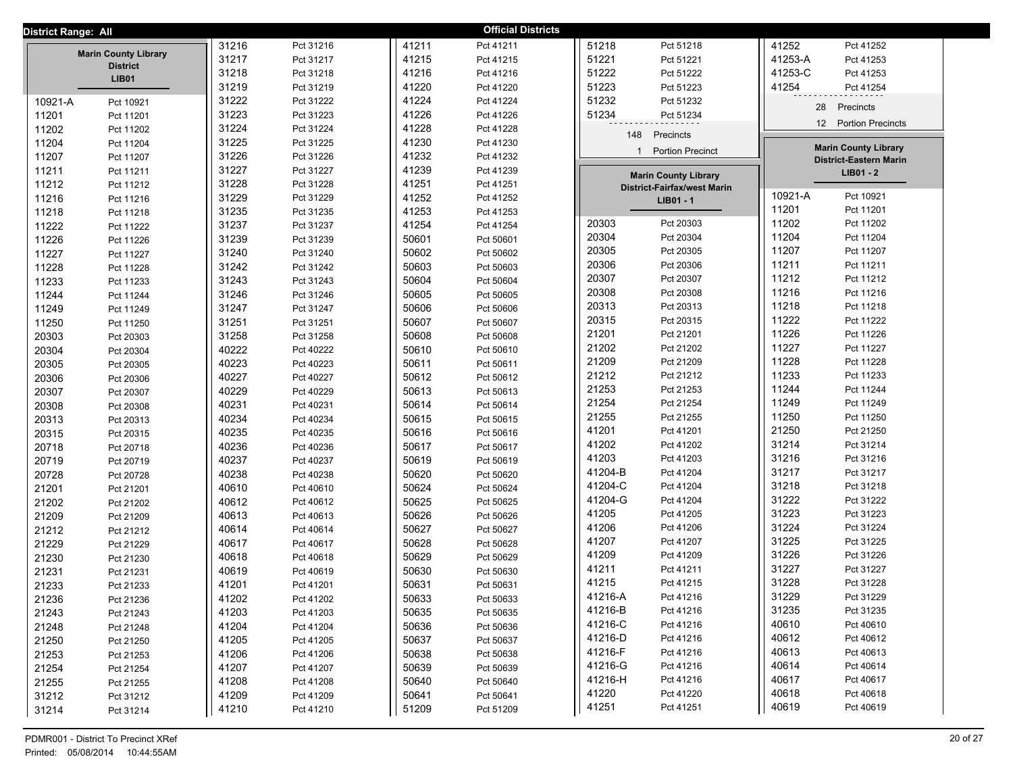| District Range: All |                                 |       |           |       | <b>Official Districts</b> |         |                                    |         |                               |  |
|---------------------|---------------------------------|-------|-----------|-------|---------------------------|---------|------------------------------------|---------|-------------------------------|--|
|                     |                                 | 31216 | Pct 31216 | 41211 | Pct 41211                 | 51218   | Pct 51218                          | 41252   | Pct 41252                     |  |
|                     | <b>Marin County Library</b>     | 31217 | Pct 31217 | 41215 | Pct 41215                 | 51221   | Pct 51221                          | 41253-A | Pct 41253                     |  |
|                     | <b>District</b><br><b>LIB01</b> | 31218 | Pct 31218 | 41216 | Pct 41216                 | 51222   | Pct 51222                          | 41253-C | Pct 41253                     |  |
|                     |                                 | 31219 | Pct 31219 | 41220 | Pct 41220                 | 51223   | Pct 51223                          | 41254   | Pct 41254                     |  |
| 10921-A             | Pct 10921                       | 31222 | Pct 31222 | 41224 | Pct 41224                 | 51232   | Pct 51232                          | 28      | Precincts                     |  |
| 11201               | Pct 11201                       | 31223 | Pct 31223 | 41226 | Pct 41226                 | 51234   | Pct 51234                          |         |                               |  |
| 11202               | Pct 11202                       | 31224 | Pct 31224 | 41228 | Pct 41228                 | 148     | Precincts                          |         | 12 Portion Precincts          |  |
| 11204               | Pct 11204                       | 31225 | Pct 31225 | 41230 | Pct 41230                 |         |                                    |         | <b>Marin County Library</b>   |  |
| 11207               | Pct 11207                       | 31226 | Pct 31226 | 41232 | Pct 41232                 |         | 1 Portion Precinct                 |         | <b>District-Eastern Marin</b> |  |
| 11211               | Pct 11211                       | 31227 | Pct 31227 | 41239 | Pct 41239                 |         | <b>Marin County Library</b>        |         | LIB01 - 2                     |  |
| 11212               | Pct 11212                       | 31228 | Pct 31228 | 41251 | Pct 41251                 |         | <b>District-Fairfax/west Marin</b> |         |                               |  |
| 11216               | Pct 11216                       | 31229 | Pct 31229 | 41252 | Pct 41252                 |         | LIB01 - 1                          | 10921-A | Pct 10921                     |  |
| 11218               | Pct 11218                       | 31235 | Pct 31235 | 41253 | Pct 41253                 |         |                                    | 11201   | Pct 11201                     |  |
| 11222               | Pct 11222                       | 31237 | Pct 31237 | 41254 | Pct 41254                 | 20303   | Pct 20303                          | 11202   | Pct 11202                     |  |
| 11226               | Pct 11226                       | 31239 | Pct 31239 | 50601 | Pct 50601                 | 20304   | Pct 20304                          | 11204   | Pct 11204                     |  |
| 11227               | Pct 11227                       | 31240 | Pct 31240 | 50602 | Pct 50602                 | 20305   | Pct 20305                          | 11207   | Pct 11207                     |  |
| 11228               | Pct 11228                       | 31242 | Pct 31242 | 50603 | Pct 50603                 | 20306   | Pct 20306                          | 11211   | Pct 11211                     |  |
| 11233               | Pct 11233                       | 31243 | Pct 31243 | 50604 | Pct 50604                 | 20307   | Pct 20307                          | 11212   | Pct 11212                     |  |
| 11244               | Pct 11244                       | 31246 | Pct 31246 | 50605 | Pct 50605                 | 20308   | Pct 20308                          | 11216   | Pct 11216                     |  |
| 11249               | Pct 11249                       | 31247 | Pct 31247 | 50606 | Pct 50606                 | 20313   | Pct 20313                          | 11218   | Pct 11218                     |  |
| 11250               | Pct 11250                       | 31251 | Pct 31251 | 50607 | Pct 50607                 | 20315   | Pct 20315                          | 11222   | Pct 11222                     |  |
| 20303               | Pct 20303                       | 31258 | Pct 31258 | 50608 | Pct 50608                 | 21201   | Pct 21201                          | 11226   | Pct 11226                     |  |
| 20304               | Pct 20304                       | 40222 | Pct 40222 | 50610 | Pct 50610                 | 21202   | Pct 21202                          | 11227   | Pct 11227                     |  |
| 20305               | Pct 20305                       | 40223 | Pct 40223 | 50611 | Pct 50611                 | 21209   | Pct 21209                          | 11228   | Pct 11228                     |  |
| 20306               | Pct 20306                       | 40227 | Pct 40227 | 50612 | Pct 50612                 | 21212   | Pct 21212                          | 11233   | Pct 11233                     |  |
| 20307               | Pct 20307                       | 40229 | Pct 40229 | 50613 | Pct 50613                 | 21253   | Pct 21253                          | 11244   | Pct 11244                     |  |
| 20308               | Pct 20308                       | 40231 | Pct 40231 | 50614 | Pct 50614                 | 21254   | Pct 21254                          | 11249   | Pct 11249                     |  |
| 20313               | Pct 20313                       | 40234 | Pct 40234 | 50615 | Pct 50615                 | 21255   | Pct 21255                          | 11250   | Pct 11250                     |  |
| 20315               | Pct 20315                       | 40235 | Pct 40235 | 50616 | Pct 50616                 | 41201   | Pct 41201                          | 21250   | Pct 21250                     |  |
| 20718               | Pct 20718                       | 40236 | Pct 40236 | 50617 | Pct 50617                 | 41202   | Pct 41202                          | 31214   | Pct 31214                     |  |
| 20719               | Pct 20719                       | 40237 | Pct 40237 | 50619 | Pct 50619                 | 41203   | Pct 41203                          | 31216   | Pct 31216                     |  |
| 20728               | Pct 20728                       | 40238 | Pct 40238 | 50620 | Pct 50620                 | 41204-B | Pct 41204                          | 31217   | Pct 31217                     |  |
| 21201               | Pct 21201                       | 40610 | Pct 40610 | 50624 | Pct 50624                 | 41204-C | Pct 41204                          | 31218   | Pct 31218                     |  |
| 21202               | Pct 21202                       | 40612 | Pct 40612 | 50625 | Pct 50625                 | 41204-G | Pct 41204                          | 31222   | Pct 31222                     |  |
| 21209               | Pct 21209                       | 40613 | Pct 40613 | 50626 | Pct 50626                 | 41205   | Pct 41205                          | 31223   | Pct 31223                     |  |
| 21212               | Pct 21212                       | 40614 | Pct 40614 | 50627 | Pct 50627                 | 41206   | Pct 41206                          | 31224   | Pct 31224                     |  |
| 21229               | Pct 21229                       | 40617 | Pct 40617 | 50628 | Pct 50628                 | 41207   | Pct 41207                          | 31225   | Pct 31225                     |  |
| 21230               | Pct 21230                       | 40618 | Pct 40618 | 50629 | Pct 50629                 | 41209   | Pct 41209                          | 31226   | Pct 31226                     |  |
| 21231               | Pct 21231                       | 40619 | Pct 40619 | 50630 | Pct 50630                 | 41211   | Pct 41211                          | 31227   | Pct 31227                     |  |
| 21233               | Pct 21233                       | 41201 | Pct 41201 | 50631 | Pct 50631                 | 41215   | Pct 41215                          | 31228   | Pct 31228                     |  |
| 21236               | Pct 21236                       | 41202 | Pct 41202 | 50633 | Pct 50633                 | 41216-A | Pct 41216                          | 31229   | Pct 31229                     |  |
| 21243               | Pct 21243                       | 41203 | Pct 41203 | 50635 | Pct 50635                 | 41216-B | Pct 41216                          | 31235   | Pct 31235                     |  |
| 21248               | Pct 21248                       | 41204 | Pct 41204 | 50636 | Pct 50636                 | 41216-C | Pct 41216                          | 40610   | Pct 40610                     |  |
| 21250               | Pct 21250                       | 41205 | Pct 41205 | 50637 | Pct 50637                 | 41216-D | Pct 41216                          | 40612   | Pct 40612                     |  |
| 21253               | Pct 21253                       | 41206 | Pct 41206 | 50638 | Pct 50638                 | 41216-F | Pct 41216                          | 40613   | Pct 40613                     |  |
| 21254               | Pct 21254                       | 41207 | Pct 41207 | 50639 | Pct 50639                 | 41216-G | Pct 41216                          | 40614   | Pct 40614                     |  |
| 21255               | Pct 21255                       | 41208 | Pct 41208 | 50640 | Pct 50640                 | 41216-H | Pct 41216                          | 40617   | Pct 40617                     |  |
| 31212               | Pct 31212                       | 41209 | Pct 41209 | 50641 | Pct 50641                 | 41220   | Pct 41220                          | 40618   | Pct 40618                     |  |
| 31214               | Pct 31214                       | 41210 | Pct 41210 | 51209 | Pct 51209                 | 41251   | Pct 41251                          | 40619   | Pct 40619                     |  |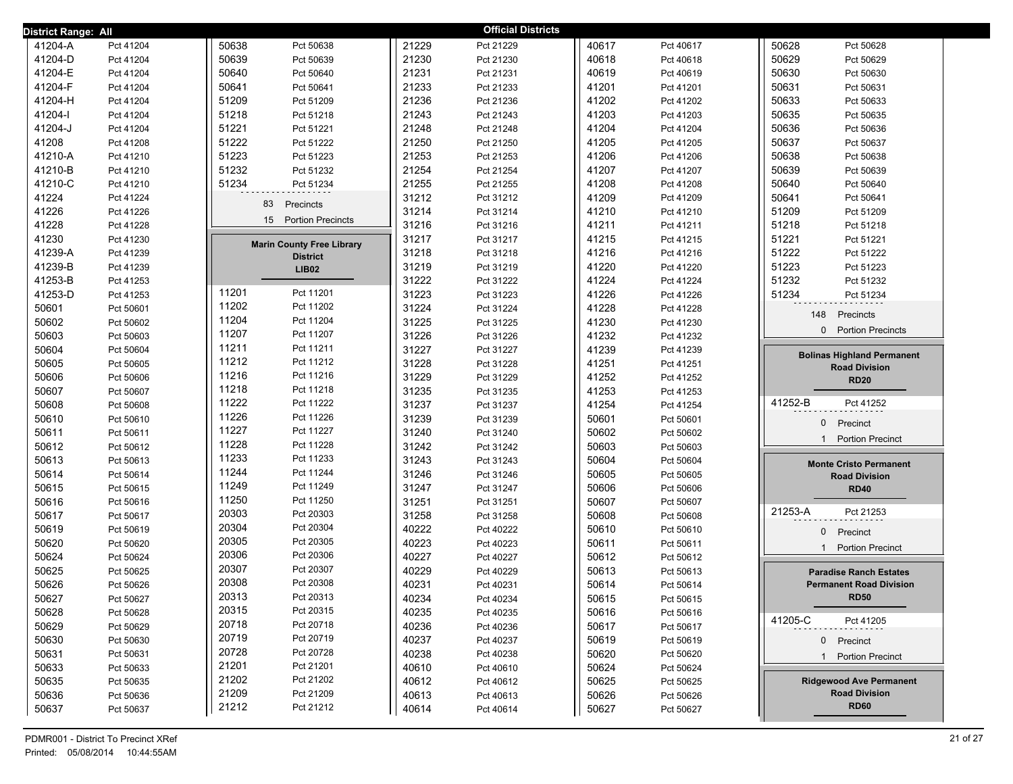| District Range: All |           |                                  |       | <b>Official Districts</b> |       |           |                                         |
|---------------------|-----------|----------------------------------|-------|---------------------------|-------|-----------|-----------------------------------------|
| 41204-A             | Pct 41204 | 50638<br>Pct 50638               | 21229 | Pct 21229                 | 40617 | Pct 40617 | 50628<br>Pct 50628                      |
| 41204-D             | Pct 41204 | 50639<br>Pct 50639               | 21230 | Pct 21230                 | 40618 | Pct 40618 | 50629<br>Pct 50629                      |
| 41204-E             | Pct 41204 | 50640<br>Pct 50640               | 21231 | Pct 21231                 | 40619 | Pct 40619 | 50630<br>Pct 50630                      |
| 41204-F             | Pct 41204 | 50641<br>Pct 50641               | 21233 | Pct 21233                 | 41201 | Pct 41201 | 50631<br>Pct 50631                      |
| 41204-H             | Pct 41204 | 51209<br>Pct 51209               | 21236 | Pct 21236                 | 41202 | Pct 41202 | 50633<br>Pct 50633                      |
| 41204-l             | Pct 41204 | 51218<br>Pct 51218               | 21243 | Pct 21243                 | 41203 | Pct 41203 | 50635<br>Pct 50635                      |
| 41204-J             | Pct 41204 | 51221<br>Pct 51221               | 21248 | Pct 21248                 | 41204 | Pct 41204 | 50636<br>Pct 50636                      |
| 41208               | Pct 41208 | 51222<br>Pct 51222               | 21250 | Pct 21250                 | 41205 | Pct 41205 | 50637<br>Pct 50637                      |
| 41210-A             | Pct 41210 | 51223<br>Pct 51223               | 21253 | Pct 21253                 | 41206 | Pct 41206 | 50638<br>Pct 50638                      |
| 41210-B             | Pct 41210 | 51232<br>Pct 51232               | 21254 | Pct 21254                 | 41207 | Pct 41207 | 50639<br>Pct 50639                      |
| 41210-C             | Pct 41210 | 51234<br>Pct 51234               | 21255 | Pct 21255                 | 41208 | Pct 41208 | 50640<br>Pct 50640                      |
| 41224               | Pct 41224 | 83<br>Precincts                  | 31212 | Pct 31212                 | 41209 | Pct 41209 | 50641<br>Pct 50641                      |
| 41226               | Pct 41226 |                                  | 31214 | Pct 31214                 | 41210 | Pct 41210 | 51209<br>Pct 51209                      |
| 41228               | Pct 41228 | 15<br><b>Portion Precincts</b>   | 31216 | Pct 31216                 | 41211 | Pct 41211 | 51218<br>Pct 51218                      |
| 41230               | Pct 41230 | <b>Marin County Free Library</b> | 31217 | Pct 31217                 | 41215 | Pct 41215 | 51221<br>Pct 51221                      |
| 41239-A             | Pct 41239 | <b>District</b>                  | 31218 | Pct 31218                 | 41216 | Pct 41216 | 51222<br>Pct 51222                      |
| 41239-B             | Pct 41239 | <b>LIB02</b>                     | 31219 | Pct 31219                 | 41220 | Pct 41220 | 51223<br>Pct 51223                      |
| 41253-B             | Pct 41253 |                                  | 31222 | Pct 31222                 | 41224 | Pct 41224 | 51232<br>Pct 51232                      |
| 41253-D             | Pct 41253 | 11201<br>Pct 11201               | 31223 | Pct 31223                 | 41226 | Pct 41226 | 51234<br>Pct 51234                      |
| 50601               | Pct 50601 | 11202<br>Pct 11202               | 31224 | Pct 31224                 | 41228 | Pct 41228 | 148<br>Precincts                        |
| 50602               | Pct 50602 | 11204<br>Pct 11204               | 31225 | Pct 31225                 | 41230 | Pct 41230 |                                         |
| 50603               | Pct 50603 | 11207<br>Pct 11207               | 31226 | Pct 31226                 | 41232 | Pct 41232 | <b>Portion Precincts</b><br>$\mathbf 0$ |
| 50604               | Pct 50604 | 11211<br>Pct 11211               | 31227 | Pct 31227                 | 41239 | Pct 41239 | <b>Bolinas Highland Permanent</b>       |
| 50605               | Pct 50605 | 11212<br>Pct 11212               | 31228 | Pct 31228                 | 41251 | Pct 41251 | <b>Road Division</b>                    |
| 50606               | Pct 50606 | 11216<br>Pct 11216               | 31229 | Pct 31229                 | 41252 | Pct 41252 | <b>RD20</b>                             |
| 50607               | Pct 50607 | 11218<br>Pct 11218               | 31235 | Pct 31235                 | 41253 | Pct 41253 |                                         |
| 50608               | Pct 50608 | 11222<br>Pct 11222               | 31237 | Pct 31237                 | 41254 | Pct 41254 | 41252-B<br>Pct 41252                    |
| 50610               | Pct 50610 | 11226<br>Pct 11226               | 31239 | Pct 31239                 | 50601 | Pct 50601 | $\mathbf{0}$<br>Precinct                |
| 50611               | Pct 50611 | 11227<br>Pct 11227               | 31240 | Pct 31240                 | 50602 | Pct 50602 | <b>Portion Precinct</b><br>$\mathbf{1}$ |
| 50612               | Pct 50612 | 11228<br>Pct 11228               | 31242 | Pct 31242                 | 50603 | Pct 50603 |                                         |
| 50613               | Pct 50613 | 11233<br>Pct 11233               | 31243 | Pct 31243                 | 50604 | Pct 50604 | <b>Monte Cristo Permanent</b>           |
| 50614               | Pct 50614 | 11244<br>Pct 11244               | 31246 | Pct 31246                 | 50605 | Pct 50605 | <b>Road Division</b>                    |
| 50615               | Pct 50615 | 11249<br>Pct 11249               | 31247 | Pct 31247                 | 50606 | Pct 50606 | <b>RD40</b>                             |
| 50616               | Pct 50616 | 11250<br>Pct 11250               | 31251 | Pct 31251                 | 50607 | Pct 50607 |                                         |
| 50617               | Pct 50617 | 20303<br>Pct 20303               | 31258 | Pct 31258                 | 50608 | Pct 50608 | 21253-A<br>Pct 21253                    |
| 50619               | Pct 50619 | 20304<br>Pct 20304               | 40222 | Pct 40222                 | 50610 | Pct 50610 | Precinct<br>$\mathbf 0$                 |
| 50620               | Pct 50620 | 20305<br>Pct 20305               | 40223 | Pct 40223                 | 50611 | Pct 50611 | <b>Portion Precinct</b><br>$\mathbf{1}$ |
| 50624               | Pct 50624 | 20306<br>Pct 20306               | 40227 | Pct 40227                 | 50612 | Pct 50612 |                                         |
| 50625               | Pct 50625 | 20307<br>Pct 20307               | 40229 | Pct 40229                 | 50613 | Pct 50613 | <b>Paradise Ranch Estates</b>           |
| 50626               | Pct 50626 | 20308<br>Pct 20308               | 40231 | Pct 40231                 | 50614 | Pct 50614 | <b>Permanent Road Division</b>          |
| 50627               | Pct 50627 | 20313<br>Pct 20313               | 40234 | Pct 40234                 | 50615 | Pct 50615 | RD <sub>50</sub>                        |
| 50628               | Pct 50628 | 20315<br>Pct 20315               | 40235 | Pct 40235                 | 50616 | Pct 50616 | 41205-C<br>Pct 41205                    |
| 50629               | Pct 50629 | 20718<br>Pct 20718               | 40236 | Pct 40236                 | 50617 | Pct 50617 |                                         |
| 50630               | Pct 50630 | 20719<br>Pct 20719               | 40237 | Pct 40237                 | 50619 | Pct 50619 | 0 Precinct                              |
| 50631               | Pct 50631 | 20728<br>Pct 20728               | 40238 | Pct 40238                 | 50620 | Pct 50620 | 1 Portion Precinct                      |
| 50633               | Pct 50633 | 21201<br>Pct 21201               | 40610 | Pct 40610                 | 50624 | Pct 50624 |                                         |
| 50635               | Pct 50635 | 21202<br>Pct 21202               | 40612 | Pct 40612                 | 50625 | Pct 50625 | <b>Ridgewood Ave Permanent</b>          |
| 50636               | Pct 50636 | 21209<br>Pct 21209               | 40613 | Pct 40613                 | 50626 | Pct 50626 | <b>Road Division</b><br><b>RD60</b>     |
| 50637               | Pct 50637 | 21212<br>Pct 21212               | 40614 | Pct 40614                 | 50627 | Pct 50627 |                                         |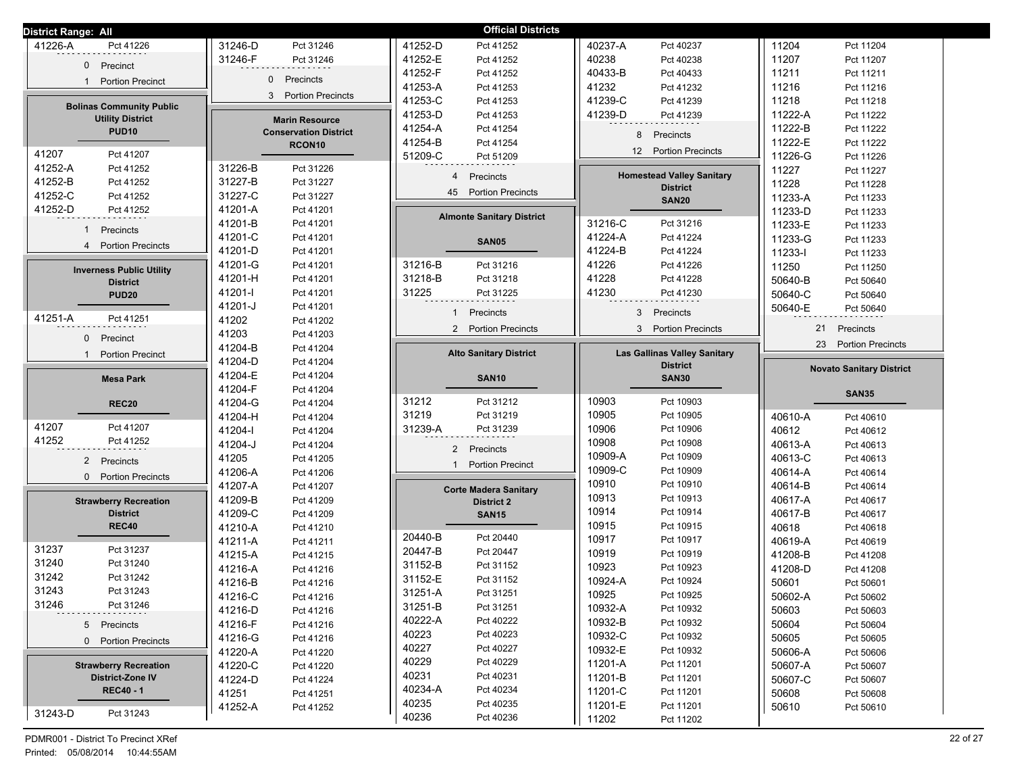| <b>District Range: All</b>      |                               | <b>Official Districts</b>                  |                                              |                                 |
|---------------------------------|-------------------------------|--------------------------------------------|----------------------------------------------|---------------------------------|
| 41226-A                         | 31246-D                       | 41252-D                                    | 40237-A                                      | 11204                           |
| Pct 41226                       | Pct 31246                     | Pct 41252                                  | Pct 40237                                    | Pct 11204                       |
| $\mathbf{0}$                    | 31246-F                       | 41252-E                                    | 40238                                        | 11207                           |
| Precinct                        | Pct 31246                     | Pct 41252                                  | Pct 40238                                    | Pct 11207                       |
|                                 | $\mathbf{0}$                  | 41252-F<br>Pct 41252                       | 40433-B<br>Pct 40433                         | 11211<br>Pct 11211              |
| <b>Portion Precinct</b>         | Precincts                     | 41253-A                                    | 41232                                        | 11216                           |
| $\mathbf{1}$                    |                               | Pct 41253                                  | Pct 41232                                    | Pct 11216                       |
| <b>Bolinas Community Public</b> | <b>Portion Precincts</b>      | 41253-C                                    | 41239-C                                      | 11218                           |
|                                 | 3                             | Pct 41253                                  | Pct 41239                                    | Pct 11218                       |
| <b>Utility District</b>         | <b>Marin Resource</b>         | 41253-D<br>Pct 41253                       | 41239-D<br>Pct 41239                         | 11222-A<br>Pct 11222            |
| <b>PUD10</b>                    | <b>Conservation District</b>  | 41254-A<br>Pct 41254                       | 8                                            | 11222-B<br>Pct 11222            |
|                                 | RCON <sub>10</sub>            | 41254-B<br>Pct 41254                       | Precincts                                    | 11222-E<br>Pct 11222            |
| 41207                           |                               | 51209-C                                    | <b>Portion Precincts</b>                     | 11226-G                         |
| Pct 41207                       |                               | Pct 51209                                  | 12                                           | Pct 11226                       |
| 41252-A<br>Pct 41252            | 31226-B<br>Pct 31226          | $\overline{4}$                             | <b>Homestead Valley Sanitary</b>             | 11227<br>Pct 11227              |
| 41252-B<br>Pct 41252            | 31227-B<br>Pct 31227          | Precincts                                  | <b>District</b>                              | 11228<br>Pct 11228              |
| 41252-C<br>Pct 41252            | 31227-C<br>Pct 31227          | 45 Portion Precincts                       | <b>SAN20</b>                                 | 11233-A<br>Pct 11233            |
| 41252-D<br>Pct 41252            | 41201-A<br>Pct 41201          | <b>Almonte Sanitary District</b>           |                                              | 11233-D<br>Pct 11233            |
| $\mathbf{1}$                    | 41201-B                       |                                            | 31216-C                                      | 11233-E                         |
| Precincts                       | Pct 41201                     |                                            | Pct 31216                                    | Pct 11233                       |
| $\overline{4}$                  | 41201-C<br>Pct 41201          | <b>SAN05</b>                               | 41224-A<br>Pct 41224                         | 11233-G<br>Pct 11233            |
| <b>Portion Precincts</b>        | 41201-D<br>Pct 41201          |                                            | 41224-B<br>Pct 41224                         | 11233-l<br>Pct 11233            |
| <b>Inverness Public Utility</b> | 41201-G                       | 31216-B                                    | 41226                                        | 11250                           |
|                                 | Pct 41201                     | Pct 31216                                  | Pct 41226                                    | Pct 11250                       |
| <b>District</b>                 | 41201-H                       | 31218-B                                    | 41228                                        | 50640-B                         |
|                                 | Pct 41201                     | Pct 31218                                  | Pct 41228                                    | Pct 50640                       |
| <b>PUD20</b>                    | 41201-l                       | 31225                                      | 41230                                        | 50640-C                         |
|                                 | Pct 41201                     | Pct 31225                                  | Pct 41230                                    | Pct 50640                       |
|                                 | 41201-J                       | Precincts                                  | 3                                            | 50640-E                         |
|                                 | Pct 41201                     | $\mathbf{1}$                               | Precincts                                    | Pct 50640                       |
| 41251-A                         | 41202                         | 2 Portion Precincts                        | 3 <sup>1</sup>                               | 21                              |
| Pct 41251                       | Pct 41202                     |                                            | <b>Portion Precincts</b>                     | Precincts                       |
| $\mathbf{0}$<br>Precinct        | 41203<br>Pct 41203            |                                            |                                              |                                 |
| <b>Portion Precinct</b><br>-1   | 41204-B<br>Pct 41204          | <b>Alto Sanitary District</b>              | <b>Las Gallinas Valley Sanitary</b>          | 23<br><b>Portion Precincts</b>  |
|                                 | 41204-D<br>Pct 41204          |                                            | <b>District</b>                              | <b>Novato Sanitary District</b> |
| <b>Mesa Park</b>                | 41204-E<br>Pct 41204          | <b>SAN10</b>                               | <b>SAN30</b>                                 |                                 |
|                                 |                               |                                            |                                              |                                 |
|                                 | 41204-F<br>Pct 41204          |                                            |                                              | <b>SAN35</b>                    |
| <b>REC20</b>                    | 41204-G<br>Pct 41204          | 31212<br>Pct 31212                         | 10903<br>Pct 10903                           |                                 |
|                                 | 41204-H                       | 31219                                      | 10905                                        | 40610-A                         |
|                                 | Pct 41204                     | Pct 31219                                  | Pct 10905                                    | Pct 40610                       |
| 41207                           | 41204-l                       | 31239-A                                    | 10906                                        | 40612                           |
| Pct 41207                       | Pct 41204                     | Pct 31239                                  | Pct 10906                                    | Pct 40612                       |
| 41252                           | 41204-J                       |                                            | 10908                                        | 40613-A                         |
| Pct 41252                       | Pct 41204                     |                                            | Pct 10908                                    | Pct 40613                       |
| 2 Precincts                     | 41205                         | 2 Precincts                                | 10909-A                                      | 40613-C                         |
|                                 | Pct 41205                     | 1                                          | Pct 10909                                    | Pct 40613                       |
| <b>Portion Precincts</b>        | 41206-A                       | <b>Portion Precinct</b>                    | 10909-C                                      | 40614-A                         |
| $\mathbf{0}$                    | Pct 41206                     |                                            | Pct 10909                                    | Pct 40614                       |
|                                 | 41207-A<br>Pct 41207          | <b>Corte Madera Sanitary</b>               | 10910<br>Pct 10910                           | 40614-B<br>Pct 40614            |
| <b>Strawberry Recreation</b>    | 41209-B<br>Pct 41209          | <b>District 2</b>                          | 10913<br>Pct 10913                           | 40617-A<br>Pct 40617            |
| <b>District</b>                 | 41209-C<br>Pct 41209          | <b>SAN15</b>                               | 10914<br>Pct 10914                           | 40617-B<br>Pct 40617            |
| <b>REC40</b>                    | 41210-A<br>Pct 41210          |                                            | 10915<br>Pct 10915                           | 40618<br>Pct 40618              |
|                                 | 41211-A                       | 20440-B                                    | 10917                                        | 40619-A                         |
|                                 | Pct 41211                     | Pct 20440                                  | Pct 10917                                    | Pct 40619                       |
| 31237                           | 41215-A                       | 20447-B                                    | 10919                                        | 41208-B                         |
| Pct 31237                       | Pct 41215                     | Pct 20447                                  | Pct 10919                                    | Pct 41208                       |
| 31240                           | 41216-A                       | 31152-B                                    | 10923                                        | 41208-D                         |
| Pct 31240                       | Pct 41216                     | Pct 31152                                  | Pct 10923                                    | Pct 41208                       |
| 31242                           | 41216-B                       | 31152-E                                    | 10924-A                                      | 50601                           |
| Pct 31242                       | Pct 41216                     | Pct 31152                                  | Pct 10924                                    | Pct 50601                       |
| 31243                           | 41216-C                       | 31251-A                                    | 10925                                        | 50602-A                         |
| Pct 31243                       | Pct 41216                     | Pct 31251                                  | Pct 10925                                    | Pct 50602                       |
| 31246                           | 41216-D                       | 31251-B                                    | 10932-A                                      | 50603                           |
| Pct 31246                       | Pct 41216                     | Pct 31251                                  | Pct 10932                                    | Pct 50603                       |
| 5 Precincts                     | 41216-F                       | 40222-A                                    | 10932-B                                      | 50604                           |
|                                 | Pct 41216                     | Pct 40222                                  | Pct 10932                                    | Pct 50604                       |
| 0 Portion Precincts             | 41216-G                       | 40223                                      | 10932-C                                      | 50605                           |
|                                 | Pct 41216                     | Pct 40223                                  | Pct 10932                                    | Pct 50605                       |
|                                 | 41220-A                       | 40227                                      | 10932-E                                      | 50606-A                         |
|                                 | Pct 41220                     | Pct 40227                                  | Pct 10932                                    | Pct 50606                       |
| <b>Strawberry Recreation</b>    | 41220-C                       | 40229                                      | 11201-A                                      | 50607-A                         |
|                                 | Pct 41220                     | Pct 40229                                  | Pct 11201                                    | Pct 50607                       |
| <b>District-Zone IV</b>         | 41224-D                       | 40231                                      | 11201-B                                      | 50607-C                         |
|                                 | Pct 41224                     | Pct 40231                                  | Pct 11201                                    | Pct 50607                       |
| <b>REC40 - 1</b>                | 41251<br>Pct 41251<br>41252-A | 40234-A<br>Pct 40234<br>40235<br>Pct 40235 | 11201-C<br>Pct 11201<br>11201-E<br>Pct 11201 | 50608<br>Pct 50608<br>50610     |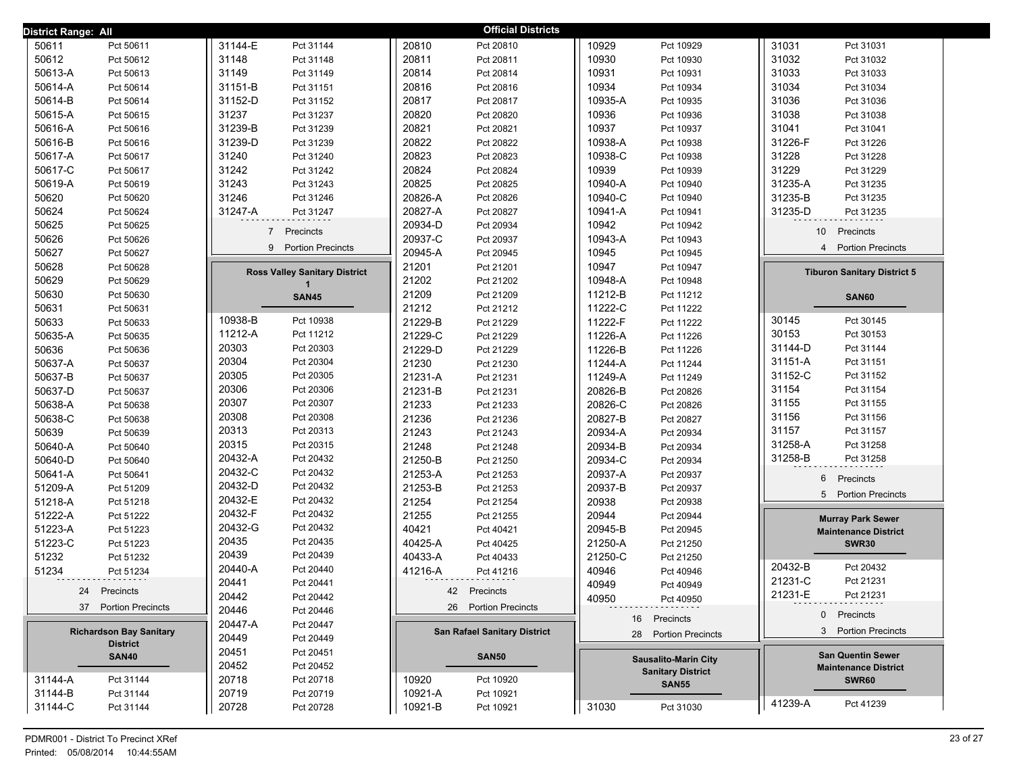| District Range: All            |                                      | <b>Official Districts</b>           |                             |                                                         |
|--------------------------------|--------------------------------------|-------------------------------------|-----------------------------|---------------------------------------------------------|
| 50611                          | 31144-E                              | 20810                               | 10929                       | 31031                                                   |
| Pct 50611                      | Pct 31144                            | Pct 20810                           | Pct 10929                   | Pct 31031                                               |
| 50612                          | 31148                                | 20811                               | 10930                       | 31032                                                   |
| Pct 50612                      | Pct 31148                            | Pct 20811                           | Pct 10930                   | Pct 31032                                               |
| 50613-A                        | 31149                                | 20814                               | 10931                       | 31033                                                   |
| Pct 50613                      | Pct 31149                            | Pct 20814                           | Pct 10931                   | Pct 31033                                               |
| 50614-A                        | 31151-B                              | 20816                               | 10934                       | 31034                                                   |
| Pct 50614                      | Pct 31151                            | Pct 20816                           | Pct 10934                   | Pct 31034                                               |
| 50614-B                        | 31152-D                              | 20817                               | 10935-A                     | 31036                                                   |
| Pct 50614                      | Pct 31152                            | Pct 20817                           | Pct 10935                   | Pct 31036                                               |
| 50615-A                        | 31237                                | 20820                               | 10936                       | 31038                                                   |
| Pct 50615                      | Pct 31237                            | Pct 20820                           | Pct 10936                   | Pct 31038                                               |
| 50616-A                        | 31239-B                              | 20821                               | 10937                       | 31041                                                   |
| Pct 50616                      | Pct 31239                            | Pct 20821                           | Pct 10937                   | Pct 31041                                               |
| 50616-B                        | 31239-D                              | 20822                               | 10938-A                     | 31226-F                                                 |
| Pct 50616                      | Pct 31239                            | Pct 20822                           | Pct 10938                   | Pct 31226                                               |
| 50617-A                        | 31240                                | 20823                               | 10938-C                     | 31228                                                   |
| Pct 50617                      | Pct 31240                            | Pct 20823                           | Pct 10938                   | Pct 31228                                               |
| 50617-C                        | 31242                                | 20824                               | 10939                       | 31229                                                   |
| Pct 50617                      | Pct 31242                            | Pct 20824                           | Pct 10939                   | Pct 31229                                               |
| 50619-A                        | 31243                                | 20825                               | 10940-A                     | 31235-A                                                 |
| Pct 50619                      | Pct 31243                            | Pct 20825                           | Pct 10940                   | Pct 31235                                               |
| 50620                          | 31246                                | 20826-A                             | 10940-C                     | 31235-B                                                 |
| Pct 50620                      | Pct 31246                            | Pct 20826                           | Pct 10940                   | Pct 31235                                               |
| 50624                          | 31247-A                              | 20827-A                             | 10941-A                     | 31235-D                                                 |
| Pct 50624                      | Pct 31247                            | Pct 20827                           | Pct 10941                   | Pct 31235                                               |
| 50625<br>Pct 50625             |                                      | 20934-D<br>Pct 20934                | 10942<br>Pct 10942          |                                                         |
| 50626                          | $\overline{7}$                       | 20937-C                             | 10943-A                     | 10 <sup>1</sup>                                         |
| Pct 50626                      | Precincts                            | Pct 20937                           | Pct 10943                   | Precincts                                               |
| 50627                          | 9 Portion Precincts                  | 20945-A                             | 10945                       | <b>Portion Precincts</b>                                |
| Pct 50627                      |                                      | Pct 20945                           | Pct 10945                   | $\overline{4}$                                          |
| 50628<br>Pct 50628             |                                      | 21201<br>Pct 21201                  | 10947<br>Pct 10947          |                                                         |
| 50629<br>Pct 50629             | <b>Ross Valley Sanitary District</b> | 21202<br>Pct 21202                  | 10948-A<br>Pct 10948        | <b>Tiburon Sanitary District 5</b>                      |
| 50630<br>Pct 50630             | <b>SAN45</b>                         | 21209<br>Pct 21209                  | 11212-B<br>Pct 11212        | <b>SAN60</b>                                            |
| 50631<br>Pct 50631             |                                      | 21212<br>Pct 21212                  | 11222-C<br>Pct 11222        |                                                         |
| 50633                          | 10938-B                              | 21229-B                             | 11222-F                     | 30145                                                   |
| Pct 50633                      | Pct 10938                            | Pct 21229                           | Pct 11222                   | Pct 30145                                               |
| 50635-A                        | 11212-A                              | 21229-C                             | 11226-A                     | 30153                                                   |
| Pct 50635                      | Pct 11212                            | Pct 21229                           | Pct 11226                   | Pct 30153                                               |
| 50636                          | 20303                                | 21229-D                             | 11226-B                     | 31144-D                                                 |
| Pct 50636                      | Pct 20303                            | Pct 21229                           | Pct 11226                   | Pct 31144                                               |
| 50637-A                        | 20304                                | 21230                               | 11244-A                     | 31151-A                                                 |
| Pct 50637                      | Pct 20304                            | Pct 21230                           | Pct 11244                   | Pct 31151                                               |
| 50637-B                        | 20305                                | 21231-A                             | 11249-A                     | 31152-C                                                 |
| Pct 50637                      | Pct 20305                            | Pct 21231                           | Pct 11249                   | Pct 31152                                               |
| 50637-D                        | 20306                                | 21231-B                             | 20826-B                     | 31154                                                   |
| Pct 50637                      | Pct 20306                            | Pct 21231                           | Pct 20826                   | Pct 31154                                               |
| 50638-A                        | 20307                                | 21233                               | 20826-C                     | Pct 31155                                               |
| Pct 50638                      | Pct 20307                            | Pct 21233                           | Pct 20826                   | 31155                                                   |
| 50638-C                        | 20308                                | 21236                               | 20827-B                     | 31156                                                   |
| Pct 50638                      | Pct 20308                            | Pct 21236                           | Pct 20827                   | Pct 31156                                               |
| 50639                          | 20313                                | 21243                               | 20934-A                     | 31157                                                   |
| Pct 50639                      | Pct 20313                            | Pct 21243                           | Pct 20934                   | Pct 31157                                               |
| 50640-A                        | 20315                                | 21248                               | 20934-B                     | 31258-A                                                 |
| Pct 50640                      | Pct 20315                            | Pct 21248                           | Pct 20934                   | Pct 31258                                               |
| 50640-D                        | 20432-A                              | 21250-B                             | 20934-C                     | 31258-B                                                 |
| Pct 50640                      | Pct 20432                            | Pct 21250                           | Pct 20934                   | Pct 31258                                               |
| 50641-A                        | 20432-C                              | 21253-A                             | 20937-A                     |                                                         |
| Pct 50641                      | Pct 20432                            | Pct 21253                           | Pct 20937                   |                                                         |
| 51209-A                        | 20432-D                              | 21253-B                             | 20937-B                     | 6                                                       |
| Pct 51209                      | Pct 20432                            | Pct 21253                           | Pct 20937                   | Precincts                                               |
| 51218-A                        | 20432-E                              | 21254                               | 20938                       | 5                                                       |
| Pct 51218                      | Pct 20432                            | Pct 21254                           | Pct 20938                   | <b>Portion Precincts</b>                                |
| 51222-A                        | 20432-F                              | 21255                               | 20944                       |                                                         |
| Pct 51222                      | Pct 20432                            | Pct 21255                           | Pct 20944                   |                                                         |
| 51223-A                        | 20432-G                              | 40421                               | 20945-B                     | <b>Murray Park Sewer</b>                                |
| Pct 51223                      | Pct 20432                            | Pct 40421                           | Pct 20945                   | <b>Maintenance District</b>                             |
| 51223-C                        | 20435                                | 40425-A                             | 21250-A                     | <b>SWR30</b>                                            |
| Pct 51223                      | Pct 20435                            | Pct 40425                           | Pct 21250                   |                                                         |
| 51232                          | 20439                                | 40433-A                             | 21250-C                     |                                                         |
| Pct 51232                      | Pct 20439                            | Pct 40433                           | Pct 21250                   |                                                         |
| 51234                          | 20440-A                              | 41216-A                             | 40946                       | 20432-B                                                 |
| Pct 51234                      | Pct 20440                            | Pct 41216                           | Pct 40946                   | Pct 20432                                               |
|                                | 20441<br>Pct 20441                   |                                     | 40949<br>Pct 40949          | 21231-C<br>Pct 21231                                    |
| 24                             | 20442                                | 42                                  | 40950                       | 21231-E                                                 |
| Precincts                      | Pct 20442                            | Precincts                           | Pct 40950                   | Pct 21231                                               |
| 37 Portion Precincts           | 20446<br>Pct 20446                   | 26 Portion Precincts                |                             |                                                         |
|                                | 20447-A<br>Pct 20447                 |                                     | 16 Precincts                | 0 Precincts                                             |
| <b>Richardson Bay Sanitary</b> | 20449<br>Pct 20449                   | <b>San Rafael Sanitary District</b> | 28 Portion Precincts        | 3 Portion Precincts                                     |
| <b>District</b>                | 20451<br>Pct 20451                   |                                     |                             |                                                         |
| <b>SAN40</b>                   | 20452<br>Pct 20452                   | <b>SAN50</b>                        | <b>Sausalito-Marin City</b> | <b>San Quentin Sewer</b><br><b>Maintenance District</b> |
| 31144-A<br>Pct 31144           | 20718<br>Pct 20718                   | 10920<br>Pct 10920                  | <b>Sanitary District</b>    | <b>SWR60</b>                                            |
| 31144-B<br>Pct 31144           | 20719<br>Pct 20719                   | 10921-A<br>Pct 10921                | <b>SAN55</b>                |                                                         |
| 31144-C                        | 20728                                | 10921-B                             | 31030                       | 41239-A                                                 |
| Pct 31144                      | Pct 20728                            | Pct 10921                           | Pct 31030                   | Pct 41239                                               |
|                                |                                      |                                     |                             |                                                         |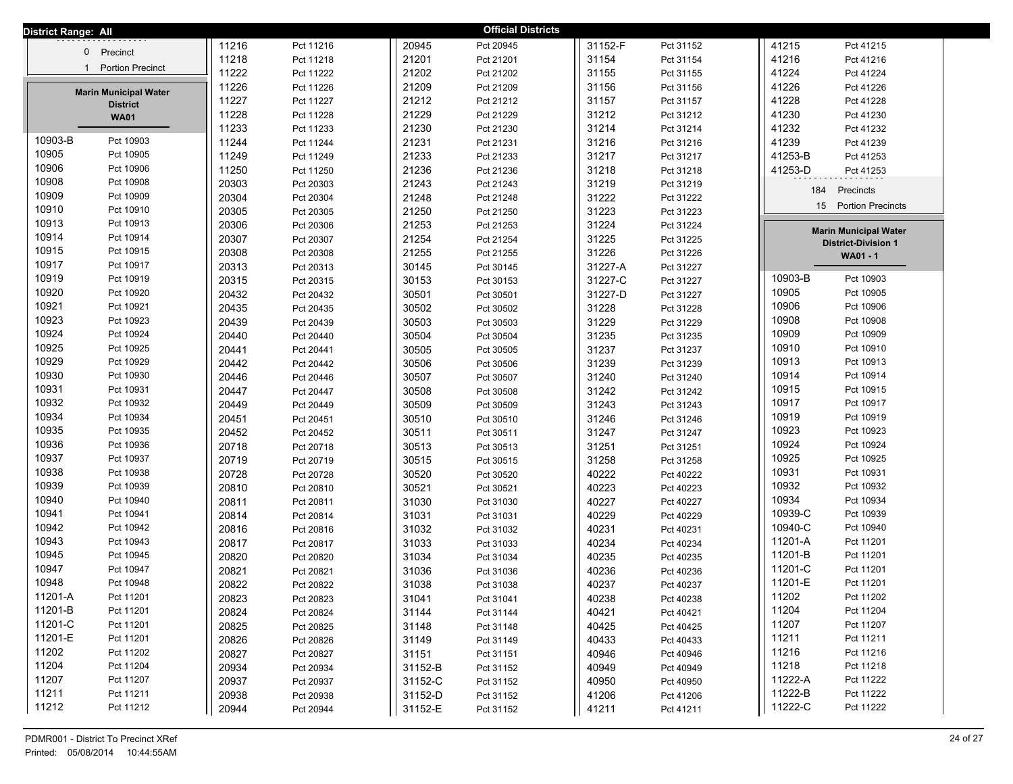| District Range: All                     |       |           |         | <b>Official Districts</b> |         |           |                                |
|-----------------------------------------|-------|-----------|---------|---------------------------|---------|-----------|--------------------------------|
|                                         | 11216 | Pct 11216 | 20945   | Pct 20945                 | 31152-F | Pct 31152 | 41215<br>Pct 41215             |
| 0 Precinct                              | 11218 | Pct 11218 | 21201   | Pct 21201                 | 31154   | Pct 31154 | 41216<br>Pct 41216             |
| <b>Portion Precinct</b><br>$\mathbf{1}$ | 11222 | Pct 11222 | 21202   | Pct 21202                 | 31155   | Pct 31155 | 41224<br>Pct 41224             |
| <b>Marin Municipal Water</b>            | 11226 | Pct 11226 | 21209   | Pct 21209                 | 31156   | Pct 31156 | 41226<br>Pct 41226             |
| <b>District</b>                         | 11227 | Pct 11227 | 21212   | Pct 21212                 | 31157   | Pct 31157 | 41228<br>Pct 41228             |
| <b>WA01</b>                             | 11228 | Pct 11228 | 21229   | Pct 21229                 | 31212   | Pct 31212 | 41230<br>Pct 41230             |
|                                         | 11233 | Pct 11233 | 21230   | Pct 21230                 | 31214   | Pct 31214 | 41232<br>Pct 41232             |
| 10903-B<br>Pct 10903                    | 11244 | Pct 11244 | 21231   | Pct 21231                 | 31216   | Pct 31216 | 41239<br>Pct 41239             |
| 10905<br>Pct 10905                      | 11249 | Pct 11249 | 21233   | Pct 21233                 | 31217   | Pct 31217 | 41253-B<br>Pct 41253           |
| 10906<br>Pct 10906                      | 11250 | Pct 11250 | 21236   | Pct 21236                 | 31218   | Pct 31218 | 41253-D<br>Pct 41253           |
| 10908<br>Pct 10908                      | 20303 | Pct 20303 | 21243   | Pct 21243                 | 31219   | Pct 31219 | 184<br>Precincts               |
| 10909<br>Pct 10909                      | 20304 | Pct 20304 | 21248   | Pct 21248                 | 31222   | Pct 31222 |                                |
| 10910<br>Pct 10910                      | 20305 | Pct 20305 | 21250   | Pct 21250                 | 31223   | Pct 31223 | 15<br><b>Portion Precincts</b> |
| 10913<br>Pct 10913                      | 20306 | Pct 20306 | 21253   | Pct 21253                 | 31224   | Pct 31224 | <b>Marin Municipal Water</b>   |
| 10914<br>Pct 10914                      | 20307 | Pct 20307 | 21254   | Pct 21254                 | 31225   | Pct 31225 | <b>District-Division 1</b>     |
| 10915<br>Pct 10915                      | 20308 | Pct 20308 | 21255   | Pct 21255                 | 31226   | Pct 31226 | WA01 - 1                       |
| 10917<br>Pct 10917                      | 20313 | Pct 20313 | 30145   | Pct 30145                 | 31227-A | Pct 31227 |                                |
| 10919<br>Pct 10919                      | 20315 | Pct 20315 | 30153   | Pct 30153                 | 31227-C | Pct 31227 | 10903-B<br>Pct 10903           |
| 10920<br>Pct 10920                      | 20432 | Pct 20432 | 30501   | Pct 30501                 | 31227-D | Pct 31227 | 10905<br>Pct 10905             |
| 10921<br>Pct 10921                      | 20435 | Pct 20435 | 30502   | Pct 30502                 | 31228   | Pct 31228 | 10906<br>Pct 10906             |
| 10923<br>Pct 10923                      | 20439 | Pct 20439 | 30503   | Pct 30503                 | 31229   | Pct 31229 | 10908<br>Pct 10908             |
| 10924<br>Pct 10924                      | 20440 | Pct 20440 | 30504   | Pct 30504                 | 31235   | Pct 31235 | 10909<br>Pct 10909             |
| 10925<br>Pct 10925                      | 20441 | Pct 20441 | 30505   | Pct 30505                 | 31237   | Pct 31237 | 10910<br>Pct 10910             |
| 10929<br>Pct 10929                      | 20442 | Pct 20442 | 30506   | Pct 30506                 | 31239   | Pct 31239 | 10913<br>Pct 10913             |
| 10930<br>Pct 10930                      | 20446 | Pct 20446 | 30507   | Pct 30507                 | 31240   | Pct 31240 | 10914<br>Pct 10914             |
| 10931<br>Pct 10931                      | 20447 | Pct 20447 | 30508   | Pct 30508                 | 31242   | Pct 31242 | 10915<br>Pct 10915             |
| 10932<br>Pct 10932                      | 20449 | Pct 20449 | 30509   | Pct 30509                 | 31243   | Pct 31243 | 10917<br>Pct 10917             |
| 10934<br>Pct 10934                      | 20451 | Pct 20451 | 30510   | Pct 30510                 | 31246   | Pct 31246 | 10919<br>Pct 10919             |
| 10935<br>Pct 10935                      | 20452 | Pct 20452 | 30511   | Pct 30511                 | 31247   | Pct 31247 | 10923<br>Pct 10923             |
| 10936<br>Pct 10936                      | 20718 | Pct 20718 | 30513   | Pct 30513                 | 31251   | Pct 31251 | 10924<br>Pct 10924             |
| 10937<br>Pct 10937                      | 20719 | Pct 20719 | 30515   | Pct 30515                 | 31258   | Pct 31258 | 10925<br>Pct 10925             |
| 10938<br>Pct 10938                      | 20728 | Pct 20728 | 30520   | Pct 30520                 | 40222   | Pct 40222 | 10931<br>Pct 10931             |
| 10939<br>Pct 10939                      | 20810 | Pct 20810 | 30521   | Pct 30521                 | 40223   | Pct 40223 | 10932<br>Pct 10932             |
| 10940<br>Pct 10940                      | 20811 | Pct 20811 | 31030   | Pct 31030                 | 40227   | Pct 40227 | 10934<br>Pct 10934             |
| 10941<br>Pct 10941                      | 20814 | Pct 20814 | 31031   | Pct 31031                 | 40229   | Pct 40229 | 10939-C<br>Pct 10939           |
| 10942<br>Pct 10942                      | 20816 | Pct 20816 | 31032   | Pct 31032                 | 40231   | Pct 40231 | 10940-C<br>Pct 10940           |
| 10943<br>Pct 10943                      | 20817 | Pct 20817 | 31033   | Pct 31033                 | 40234   | Pct 40234 | 11201-A<br>Pct 11201           |
| 10945<br>Pct 10945                      | 20820 | Pct 20820 | 31034   | Pct 31034                 | 40235   | Pct 40235 | 11201-B<br>Pct 11201           |
| 10947<br>Pct 10947                      | 20821 | Pct 20821 | 31036   | Pct 31036                 | 40236   | Pct 40236 | 11201-C<br>Pct 11201           |
| 10948<br>Pct 10948                      | 20822 | Pct 20822 | 31038   | Pct 31038                 | 40237   | Pct 40237 | 11201-E<br>Pct 11201           |
| 11201-A<br>Pct 11201                    | 20823 | Pct 20823 | 31041   | Pct 31041                 | 40238   | Pct 40238 | 11202<br>Pct 11202             |
| 11201-B<br>Pct 11201                    | 20824 | Pct 20824 | 31144   | Pct 31144                 | 40421   | Pct 40421 | 11204<br>Pct 11204             |
| 11201-C<br>Pct 11201                    | 20825 | Pct 20825 | 31148   | Pct 31148                 | 40425   | Pct 40425 | 11207<br>Pct 11207             |
| 11201-E<br>Pct 11201                    | 20826 | Pct 20826 | 31149   | Pct 31149                 | 40433   | Pct 40433 | 11211<br>Pct 11211             |
| 11202<br>Pct 11202                      | 20827 | Pct 20827 | 31151   | Pct 31151                 | 40946   | Pct 40946 | 11216<br>Pct 11216             |
| 11204<br>Pct 11204                      | 20934 | Pct 20934 | 31152-B | Pct 31152                 | 40949   | Pct 40949 | 11218<br>Pct 11218             |
| 11207<br>Pct 11207                      | 20937 | Pct 20937 | 31152-C | Pct 31152                 | 40950   | Pct 40950 | 11222-A<br>Pct 11222           |
| 11211<br>Pct 11211                      | 20938 | Pct 20938 | 31152-D | Pct 31152                 | 41206   | Pct 41206 | 11222-B<br>Pct 11222           |
| 11212<br>Pct 11212                      | 20944 | Pct 20944 | 31152-E | Pct 31152                 | 41211   | Pct 41211 | 11222-C<br>Pct 11222           |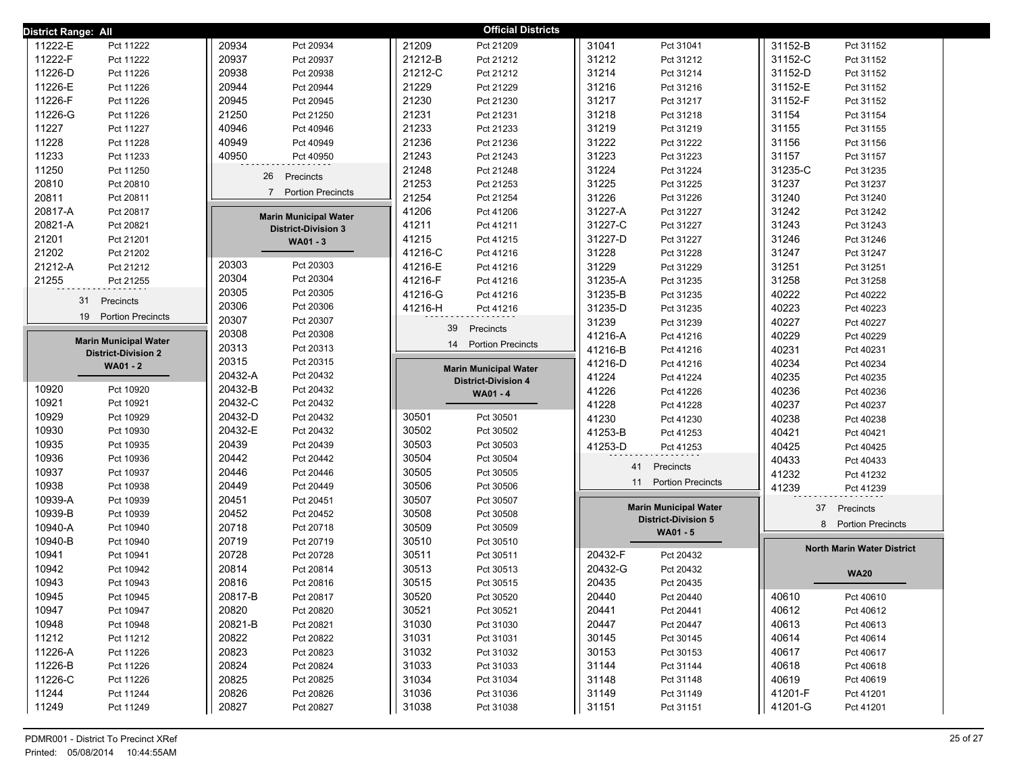| <b>Official Districts</b><br>District Range: All |                                 |                                 |                              |                                   |  |  |  |
|--------------------------------------------------|---------------------------------|---------------------------------|------------------------------|-----------------------------------|--|--|--|
| 11222-E                                          | 20934                           | 21209                           | 31041                        | 31152-B                           |  |  |  |
| Pct 11222                                        | Pct 20934                       | Pct 21209                       | Pct 31041                    | Pct 31152                         |  |  |  |
| 11222-F                                          | 20937                           | 21212-B                         | 31212                        | 31152-C                           |  |  |  |
| Pct 11222                                        | Pct 20937                       | Pct 21212                       | Pct 31212                    | Pct 31152                         |  |  |  |
| 11226-D                                          | 20938                           | 21212-C                         | 31214                        | 31152-D                           |  |  |  |
| Pct 11226                                        | Pct 20938                       | Pct 21212                       | Pct 31214                    | Pct 31152                         |  |  |  |
| 11226-E                                          | 20944                           | 21229                           | 31216                        | 31152-E                           |  |  |  |
| Pct 11226                                        | Pct 20944                       | Pct 21229                       | Pct 31216                    | Pct 31152                         |  |  |  |
| 11226-F                                          | 20945                           | 21230                           | 31217                        | 31152-F                           |  |  |  |
| Pct 11226                                        | Pct 20945                       | Pct 21230                       | Pct 31217                    | Pct 31152                         |  |  |  |
| 11226-G                                          | 21250                           | 21231                           | 31218                        | 31154                             |  |  |  |
| Pct 11226                                        | Pct 21250                       | Pct 21231                       | Pct 31218                    | Pct 31154                         |  |  |  |
| 11227                                            | 40946                           | 21233                           | 31219                        | 31155                             |  |  |  |
| Pct 11227                                        | Pct 40946                       | Pct 21233                       | Pct 31219                    | Pct 31155                         |  |  |  |
| 11228                                            | 40949                           | 21236                           | 31222                        | 31156                             |  |  |  |
| Pct 11228                                        | Pct 40949                       | Pct 21236                       | Pct 31222                    | Pct 31156                         |  |  |  |
| 11233                                            | 40950                           | 21243                           | 31223                        | 31157                             |  |  |  |
| Pct 11233                                        | Pct 40950                       | Pct 21243                       | Pct 31223                    | Pct 31157                         |  |  |  |
| 11250                                            | 26                              | 21248                           | 31224                        | 31235-C                           |  |  |  |
| Pct 11250                                        | Precincts                       | Pct 21248                       | Pct 31224                    | Pct 31235                         |  |  |  |
| 20810                                            |                                 | 21253                           | 31225                        | 31237                             |  |  |  |
| Pct 20810                                        |                                 | Pct 21253                       | Pct 31225                    | Pct 31237                         |  |  |  |
| 20811                                            | 7 Portion Precincts             | 21254                           | 31226                        | 31240                             |  |  |  |
| Pct 20811                                        |                                 | Pct 21254                       | Pct 31226                    | Pct 31240                         |  |  |  |
| 20817-A                                          | <b>Marin Municipal Water</b>    | 41206                           | 31227-A                      | 31242                             |  |  |  |
| Pct 20817                                        |                                 | Pct 41206                       | Pct 31227                    | Pct 31242                         |  |  |  |
| 20821-A                                          | <b>District-Division 3</b>      | 41211                           | 31227-C                      | 31243                             |  |  |  |
| Pct 20821                                        |                                 | Pct 41211                       | Pct 31227                    | Pct 31243                         |  |  |  |
| 21201                                            | <b>WA01 - 3</b>                 | 41215                           | 31227-D                      | 31246                             |  |  |  |
| Pct 21201                                        |                                 | Pct 41215                       | Pct 31227                    | Pct 31246                         |  |  |  |
| 21202                                            |                                 | 41216-C                         | 31228                        | 31247                             |  |  |  |
| Pct 21202                                        |                                 | Pct 41216                       | Pct 31228                    | Pct 31247                         |  |  |  |
| 21212-A                                          | 20303                           | 41216-E                         | 31229                        | 31251                             |  |  |  |
| Pct 21212                                        | Pct 20303                       | Pct 41216                       | Pct 31229                    | Pct 31251                         |  |  |  |
| 21255                                            | 20304                           | 41216-F                         | 31235-A                      | 31258                             |  |  |  |
| Pct 21255                                        | Pct 20304                       | Pct 41216                       | Pct 31235                    | Pct 31258                         |  |  |  |
| 31                                               | 20305                           | 41216-G                         | 31235-B                      | 40222                             |  |  |  |
| Precincts                                        | Pct 20305                       | Pct 41216                       | Pct 31235                    | Pct 40222                         |  |  |  |
|                                                  | 20306                           | 41216-H                         | 31235-D                      | 40223                             |  |  |  |
|                                                  | Pct 20306                       | Pct 41216                       | Pct 31235                    | Pct 40223                         |  |  |  |
| 19                                               | 20307                           | 39                              | 31239                        | 40227                             |  |  |  |
| <b>Portion Precincts</b>                         | Pct 20307                       | Precincts                       | Pct 31239                    | Pct 40227                         |  |  |  |
| <b>Marin Municipal Water</b>                     | 20308<br>Pct 20308              | <b>Portion Precincts</b>        | 41216-A<br>Pct 41216         | 40229<br>Pct 40229                |  |  |  |
| <b>District-Division 2</b>                       | 20313<br>Pct 20313              | 14                              | 41216-B<br>Pct 41216         | 40231<br>Pct 40231                |  |  |  |
| <b>WA01 - 2</b>                                  | 20315<br>Pct 20315              | <b>Marin Municipal Water</b>    | 41216-D<br>Pct 41216         | 40234<br>Pct 40234                |  |  |  |
|                                                  | 20432-A<br>Pct 20432            | <b>District-Division 4</b>      | 41224<br>Pct 41224           | 40235<br>Pct 40235                |  |  |  |
| 10920                                            | 20432-B                         | WA01 - 4                        | 41226                        | 40236                             |  |  |  |
| Pct 10920                                        | Pct 20432                       |                                 | Pct 41226                    | Pct 40236                         |  |  |  |
| 10921                                            | 20432-C                         |                                 | 41228                        | 40237                             |  |  |  |
| Pct 10921                                        | Pct 20432                       |                                 | Pct 41228                    | Pct 40237                         |  |  |  |
| 10929                                            | 20432-D                         | 30501                           | 41230                        | 40238                             |  |  |  |
| Pct 10929                                        | Pct 20432                       | Pct 30501                       | Pct 41230                    | Pct 40238                         |  |  |  |
| 10930                                            | 20432-E                         | 30502                           | 41253-B                      | 40421                             |  |  |  |
| Pct 10930                                        | Pct 20432                       | Pct 30502                       | Pct 41253                    | Pct 40421                         |  |  |  |
| 10935                                            | 20439                           | 30503                           | 41253-D                      | 40425                             |  |  |  |
| Pct 10935                                        | Pct 20439                       | Pct 30503                       | Pct 41253                    | Pct 40425                         |  |  |  |
| 10936                                            | 20442                           | 30504                           | 41                           | 40433                             |  |  |  |
| Pct 10936                                        | Pct 20442                       | Pct 30504                       | Precincts                    | Pct 40433                         |  |  |  |
| 10937                                            | 20446                           | 30505                           | <b>Portion Precincts</b>     | 41232                             |  |  |  |
| Pct 10937                                        | Pct 20446                       | Pct 30505                       | 11                           | Pct 41232                         |  |  |  |
| 10938                                            | 20449                           | 30506                           |                              | 41239                             |  |  |  |
| Pct 10938                                        | Pct 20449                       | Pct 30506                       |                              | Pct 41239                         |  |  |  |
| 10939-A<br>Pct 10939<br>10939-B                  | 20451<br>Pct 20451<br>20452     | 30507<br>Pct 30507<br>30508     | <b>Marin Municipal Water</b> | 37<br>Precincts                   |  |  |  |
| Pct 10939                                        | Pct 20452                       | Pct 30508                       | <b>District-Division 5</b>   | <b>Portion Precincts</b>          |  |  |  |
| 10940-A                                          | 20718                           | 30509                           |                              | 8                                 |  |  |  |
| Pct 10940<br>Pct 10940                           | Pct 20718<br>20719<br>Pct 20719 | Pct 30509<br>30510<br>Pct 30510 | WA01 - 5                     |                                   |  |  |  |
| 10940-B<br>10941<br>Pct 10941                    | 20728<br>Pct 20728              | 30511<br>Pct 30511              | 20432-F<br>Pct 20432         | <b>North Marin Water District</b> |  |  |  |
| 10942                                            | 20814                           | 30513                           | 20432-G                      |                                   |  |  |  |
| Pct 10942                                        | Pct 20814                       | Pct 30513                       | Pct 20432                    |                                   |  |  |  |
| 10943                                            | 20816                           | 30515                           | 20435                        | <b>WA20</b>                       |  |  |  |
| Pct 10943                                        | Pct 20816                       | Pct 30515                       | Pct 20435                    |                                   |  |  |  |
| 10945                                            | 20817-B                         | 30520                           | 20440                        | 40610                             |  |  |  |
| Pct 10945                                        | Pct 20817                       | Pct 30520                       | Pct 20440                    | Pct 40610                         |  |  |  |
| 10947                                            | 20820                           | 30521                           | 20441                        | 40612                             |  |  |  |
| Pct 10947                                        | Pct 20820                       | Pct 30521                       | Pct 20441                    | Pct 40612                         |  |  |  |
| 10948                                            | 20821-B                         | 31030                           | 20447                        | 40613                             |  |  |  |
| Pct 10948                                        | Pct 20821                       | Pct 31030                       | Pct 20447                    | Pct 40613                         |  |  |  |
| 11212                                            | 20822                           | 31031                           | 30145                        | 40614                             |  |  |  |
| Pct 11212                                        | Pct 20822                       | Pct 31031                       | Pct 30145                    | Pct 40614                         |  |  |  |
| 11226-A                                          | 20823                           | 31032                           | 30153                        | 40617                             |  |  |  |
| Pct 11226                                        | Pct 20823                       | Pct 31032                       | Pct 30153                    | Pct 40617                         |  |  |  |
| 11226-B                                          | 20824                           | 31033                           | 31144                        | 40618                             |  |  |  |
| Pct 11226                                        | Pct 20824                       | Pct 31033                       | Pct 31144                    | Pct 40618                         |  |  |  |
| 11226-C                                          | 20825                           | 31034                           | 31148                        | 40619                             |  |  |  |
| Pct 11226                                        | Pct 20825                       | Pct 31034                       | Pct 31148                    | Pct 40619                         |  |  |  |
| 11244                                            | 20826                           | 31036                           | 31149                        | 41201-F                           |  |  |  |
| Pct 11244                                        | Pct 20826                       | Pct 31036                       | Pct 31149                    | Pct 41201                         |  |  |  |
| 11249                                            | 20827                           | 31038                           | 31151                        | 41201-G                           |  |  |  |
| Pct 11249                                        | Pct 20827                       | Pct 31038                       | Pct 31151                    | Pct 41201                         |  |  |  |
|                                                  |                                 |                                 |                              |                                   |  |  |  |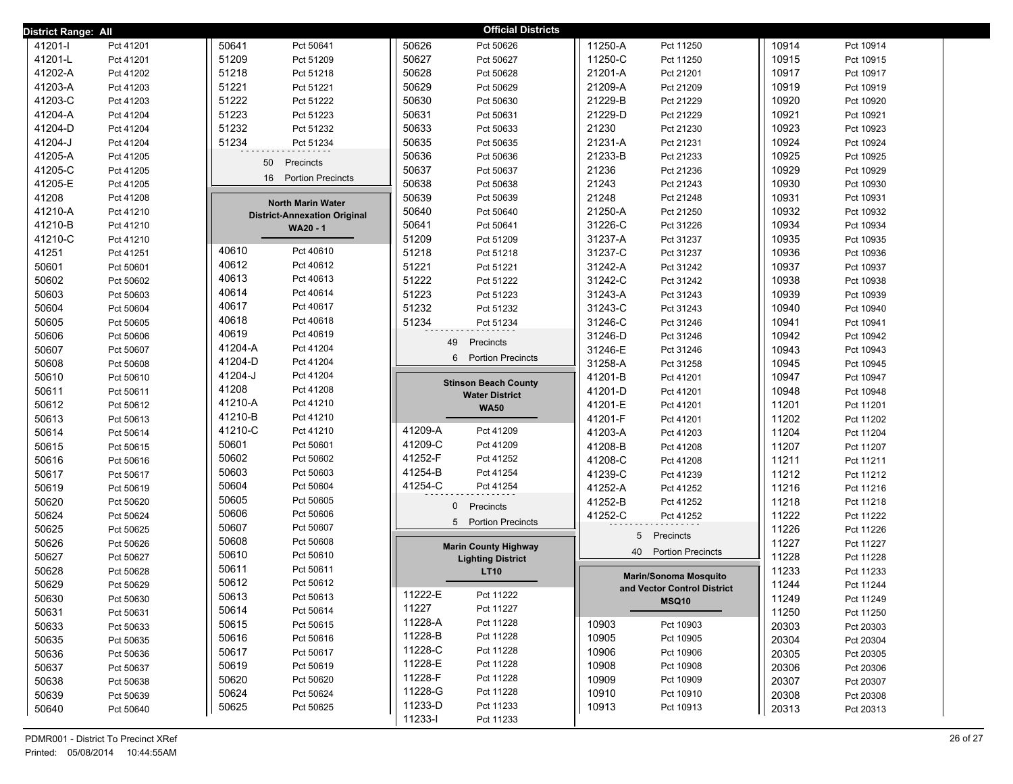| District Range: All |           |                                          | <b>Official Districts</b>     |                                |       |           |
|---------------------|-----------|------------------------------------------|-------------------------------|--------------------------------|-------|-----------|
| 41201-l             | Pct 41201 | 50641<br>Pct 50641                       | 50626<br>Pct 50626            | 11250-A<br>Pct 11250           | 10914 | Pct 10914 |
| 41201-L             | Pct 41201 | 51209<br>Pct 51209                       | 50627<br>Pct 50627            | 11250-C<br>Pct 11250           | 10915 | Pct 10915 |
| 41202-A             | Pct 41202 | 51218<br>Pct 51218                       | 50628<br>Pct 50628            | 21201-A<br>Pct 21201           | 10917 | Pct 10917 |
| 41203-A             | Pct 41203 | 51221<br>Pct 51221                       | 50629<br>Pct 50629            | 21209-A<br>Pct 21209           | 10919 | Pct 10919 |
| 41203-C             | Pct 41203 | 51222<br>Pct 51222                       | 50630<br>Pct 50630            | 21229-B<br>Pct 21229           | 10920 | Pct 10920 |
| 41204-A             | Pct 41204 | 51223<br>Pct 51223                       | 50631<br>Pct 50631            | 21229-D<br>Pct 21229           | 10921 | Pct 10921 |
| 41204-D             | Pct 41204 | 51232<br>Pct 51232                       | 50633<br>Pct 50633            | 21230<br>Pct 21230             | 10923 | Pct 10923 |
| 41204-J             | Pct 41204 | 51234<br>Pct 51234                       | 50635<br>Pct 50635            | 21231-A<br>Pct 21231           | 10924 | Pct 10924 |
| 41205-A             | Pct 41205 | 50<br>Precincts                          | 50636<br>Pct 50636            | 21233-B<br>Pct 21233           | 10925 | Pct 10925 |
| 41205-C             | Pct 41205 |                                          | 50637<br>Pct 50637            | 21236<br>Pct 21236             | 10929 | Pct 10929 |
| 41205-E             | Pct 41205 | 16<br><b>Portion Precincts</b>           | 50638<br>Pct 50638            | 21243<br>Pct 21243             | 10930 | Pct 10930 |
| 41208               | Pct 41208 | <b>North Marin Water</b>                 | 50639<br>Pct 50639            | 21248<br>Pct 21248             | 10931 | Pct 10931 |
| 41210-A             | Pct 41210 | <b>District-Annexation Original</b>      | 50640<br>Pct 50640            | 21250-A<br>Pct 21250           | 10932 | Pct 10932 |
| 41210-B             | Pct 41210 | <b>WA20 - 1</b>                          | 50641<br>Pct 50641            | 31226-C<br>Pct 31226           | 10934 | Pct 10934 |
| 41210-C             | Pct 41210 |                                          | 51209<br>Pct 51209            | 31237-A<br>Pct 31237           | 10935 | Pct 10935 |
| 41251               | Pct 41251 | 40610<br>Pct 40610                       | 51218<br>Pct 51218            | 31237-C<br>Pct 31237           | 10936 | Pct 10936 |
| 50601               | Pct 50601 | 40612<br>Pct 40612                       | 51221<br>Pct 51221            | 31242-A<br>Pct 31242           | 10937 | Pct 10937 |
| 50602               | Pct 50602 | 40613<br>Pct 40613                       | 51222<br>Pct 51222            | 31242-C<br>Pct 31242           | 10938 | Pct 10938 |
| 50603               | Pct 50603 | 40614<br>Pct 40614                       | 51223<br>Pct 51223            | 31243-A<br>Pct 31243           | 10939 | Pct 10939 |
| 50604               | Pct 50604 | 40617<br>Pct 40617                       | 51232<br>Pct 51232            | 31243-C<br>Pct 31243           | 10940 | Pct 10940 |
| 50605               | Pct 50605 | 40618<br>Pct 40618                       | 51234<br>Pct 51234            | 31246-C<br>Pct 31246           | 10941 | Pct 10941 |
| 50606               | Pct 50606 | 40619<br>Pct 40619                       | 49<br>Precincts               | 31246-D<br>Pct 31246           | 10942 | Pct 10942 |
| 50607               | Pct 50607 | 41204-A<br>Pct 41204                     | <b>Portion Precincts</b><br>6 | 31246-E<br>Pct 31246           | 10943 | Pct 10943 |
| 50608               | Pct 50608 | 41204-D<br>Pct 41204                     |                               | 31258-A<br>Pct 31258           | 10945 | Pct 10945 |
| 50610               | Pct 50610 | 41204-J<br>Pct 41204                     | <b>Stinson Beach County</b>   | 41201-B<br>Pct 41201           | 10947 | Pct 10947 |
| 50611               | Pct 50611 | 41208<br>Pct 41208                       | <b>Water District</b>         | 41201-D<br>Pct 41201           | 10948 | Pct 10948 |
| 50612               | Pct 50612 | 41210-A<br>Pct 41210                     | <b>WA50</b>                   | 41201-E<br>Pct 41201           | 11201 | Pct 11201 |
| 50613               | Pct 50613 | 41210-B<br>Pct 41210                     |                               | 41201-F<br>Pct 41201           | 11202 | Pct 11202 |
| 50614               | Pct 50614 | 41210-C<br>Pct 41210                     | 41209-A<br>Pct 41209          | 41203-A<br>Pct 41203           | 11204 | Pct 11204 |
| 50615               | Pct 50615 | 50601<br>Pct 50601                       | 41209-C<br>Pct 41209          | 41208-B<br>Pct 41208           | 11207 | Pct 11207 |
| 50616               | Pct 50616 | 50602<br>Pct 50602                       | 41252-F<br>Pct 41252          | 41208-C<br>Pct 41208           | 11211 | Pct 11211 |
| 50617               | Pct 50617 | 50603<br>Pct 50603                       | 41254-B<br>Pct 41254          | 41239-C<br>Pct 41239           | 11212 | Pct 11212 |
| 50619               | Pct 50619 | 50604<br>Pct 50604<br>50605              | 41254-C<br>Pct 41254          | 41252-A<br>Pct 41252           | 11216 | Pct 11216 |
| 50620               | Pct 50620 | Pct 50605<br>50606                       | $\mathbf 0$<br>Precincts      | 41252-B<br>Pct 41252           | 11218 | Pct 11218 |
| 50624               | Pct 50624 | Pct 50606                                | 5 Portion Precincts           | 41252-C<br>Pct 41252           | 11222 | Pct 11222 |
| 50625               | Pct 50625 | 50607<br>Pct 50607<br>50608<br>Pct 50608 |                               | 5<br>Precincts                 | 11226 | Pct 11226 |
| 50626               | Pct 50626 | 50610<br>Pct 50610                       | <b>Marin County Highway</b>   | <b>Portion Precincts</b><br>40 | 11227 | Pct 11227 |
| 50627               | Pct 50627 | 50611<br>Pct 50611                       | <b>Lighting District</b>      |                                | 11228 | Pct 11228 |
| 50628               | Pct 50628 | 50612<br>Pct 50612                       | <b>LT10</b>                   | <b>Marin/Sonoma Mosquito</b>   | 11233 | Pct 11233 |
| 50629               | Pct 50629 | 50613                                    | 11222-E<br>Pct 11222          | and Vector Control District    | 11244 | Pct 11244 |
| 50630               | Pct 50630 | Pct 50613<br>50614<br>Pct 50614          | 11227<br>Pct 11227            | MSQ10                          | 11249 | Pct 11249 |
| 50631               | Pct 50631 | 50615<br>Pct 50615                       | 11228-A<br>Pct 11228          | 10903<br>Pct 10903             | 11250 | Pct 11250 |
| 50633               | Pct 50633 | 50616<br>Pct 50616                       | 11228-B<br>Pct 11228          | 10905<br>Pct 10905             | 20303 | Pct 20303 |
| 50635               | Pct 50635 | 50617<br>Pct 50617                       | 11228-C<br>Pct 11228          | 10906<br>Pct 10906             | 20304 | Pct 20304 |
| 50636               | Pct 50636 | 50619<br>Pct 50619                       | 11228-E<br>Pct 11228          | 10908<br>Pct 10908             | 20305 | Pct 20305 |
| 50637               | Pct 50637 | 50620<br>Pct 50620                       | 11228-F<br>Pct 11228          | 10909<br>Pct 10909             | 20306 | Pct 20306 |
| 50638               | Pct 50638 | 50624<br>Pct 50624                       | 11228-G<br>Pct 11228          | 10910<br>Pct 10910             | 20307 | Pct 20307 |
| 50639               | Pct 50639 | 50625<br>Pct 50625                       | 11233-D<br>Pct 11233          | 10913<br>Pct 10913             | 20308 | Pct 20308 |
| 50640               | Pct 50640 |                                          | 11233-l<br>Pct 11233          |                                | 20313 | Pct 20313 |